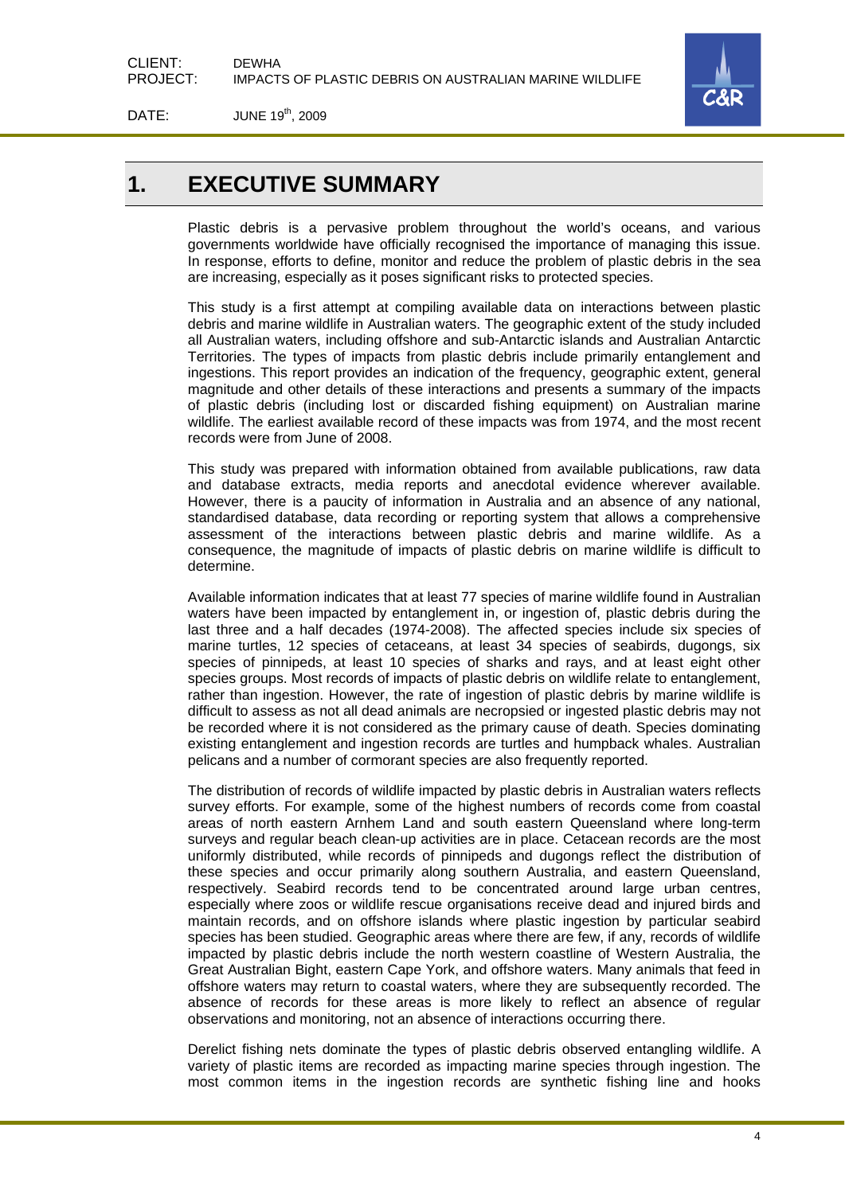CLIENT: DEWHA PROJECT: IMPACTS OF PLASTIC DEBRIS ON AUSTRALIAN MARINE WILDLIFE



DATE: **JUNE 19<sup>th</sup>, 2009** 

# <span id="page-3-0"></span>**1. EXECUTIVE SUMMARY**

Plastic debris is a pervasive problem throughout the world's oceans, and various governments worldwide have officially recognised the importance of managing this issue. In response, efforts to define, monitor and reduce the problem of plastic debris in the sea are increasing, especially as it poses significant risks to protected species.

This study is a first attempt at compiling available data on interactions between plastic debris and marine wildlife in Australian waters. The geographic extent of the study included all Australian waters, including offshore and sub-Antarctic islands and Australian Antarctic Territories. The types of impacts from plastic debris include primarily entanglement and ingestions. This report provides an indication of the frequency, geographic extent, general magnitude and other details of these interactions and presents a summary of the impacts of plastic debris (including lost or discarded fishing equipment) on Australian marine wildlife. The earliest available record of these impacts was from 1974, and the most recent records were from June of 2008.

This study was prepared with information obtained from available publications, raw data and database extracts, media reports and anecdotal evidence wherever available. However, there is a paucity of information in Australia and an absence of any national, standardised database, data recording or reporting system that allows a comprehensive assessment of the interactions between plastic debris and marine wildlife. As a consequence, the magnitude of impacts of plastic debris on marine wildlife is difficult to determine.

Available information indicates that at least 77 species of marine wildlife found in Australian waters have been impacted by entanglement in, or ingestion of, plastic debris during the last three and a half decades (1974-2008). The affected species include six species of marine turtles, 12 species of cetaceans, at least 34 species of seabirds, dugongs, six species of pinnipeds, at least 10 species of sharks and rays, and at least eight other species groups. Most records of impacts of plastic debris on wildlife relate to entanglement, rather than ingestion. However, the rate of ingestion of plastic debris by marine wildlife is difficult to assess as not all dead animals are necropsied or ingested plastic debris may not be recorded where it is not considered as the primary cause of death. Species dominating existing entanglement and ingestion records are turtles and humpback whales. Australian pelicans and a number of cormorant species are also frequently reported.

The distribution of records of wildlife impacted by plastic debris in Australian waters reflects survey efforts. For example, some of the highest numbers of records come from coastal areas of north eastern Arnhem Land and south eastern Queensland where long-term surveys and regular beach clean-up activities are in place. Cetacean records are the most uniformly distributed, while records of pinnipeds and dugongs reflect the distribution of these species and occur primarily along southern Australia, and eastern Queensland, respectively. Seabird records tend to be concentrated around large urban centres, especially where zoos or wildlife rescue organisations receive dead and injured birds and maintain records, and on offshore islands where plastic ingestion by particular seabird species has been studied. Geographic areas where there are few, if any, records of wildlife impacted by plastic debris include the north western coastline of Western Australia, the Great Australian Bight, eastern Cape York, and offshore waters. Many animals that feed in offshore waters may return to coastal waters, where they are subsequently recorded. The absence of records for these areas is more likely to reflect an absence of regular observations and monitoring, not an absence of interactions occurring there.

Derelict fishing nets dominate the types of plastic debris observed entangling wildlife. A variety of plastic items are recorded as impacting marine species through ingestion. The most common items in the ingestion records are synthetic fishing line and hooks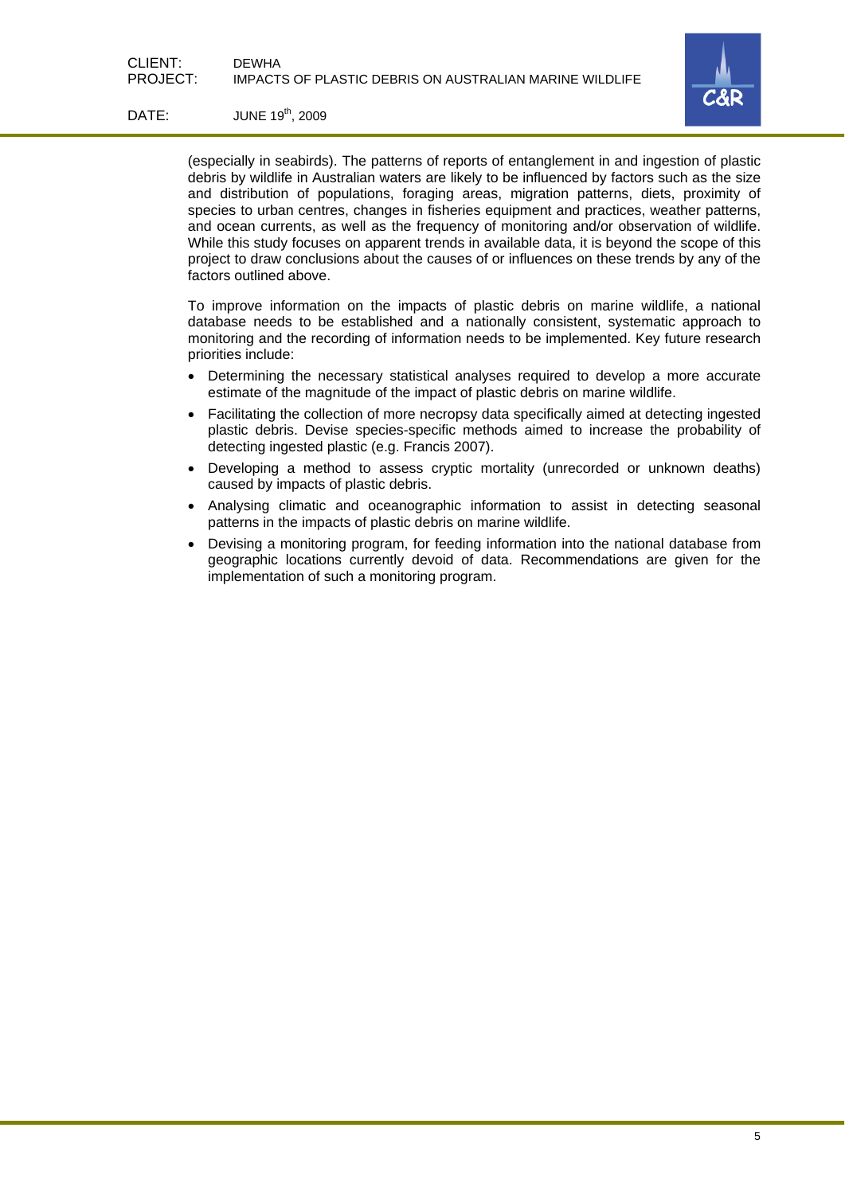

DATE: **JUNE 19<sup>th</sup>, 2009** 

(especially in seabirds). The patterns of reports of entanglement in and ingestion of plastic debris by wildlife in Australian waters are likely to be influenced by factors such as the size and distribution of populations, foraging areas, migration patterns, diets, proximity of species to urban centres, changes in fisheries equipment and practices, weather patterns, and ocean currents, as well as the frequency of monitoring and/or observation of wildlife. While this study focuses on apparent trends in available data, it is beyond the scope of this project to draw conclusions about the causes of or influences on these trends by any of the factors outlined above.

To improve information on the impacts of plastic debris on marine wildlife, a national database needs to be established and a nationally consistent, systematic approach to monitoring and the recording of information needs to be implemented. Key future research priorities include:

- Determining the necessary statistical analyses required to develop a more accurate estimate of the magnitude of the impact of plastic debris on marine wildlife.
- Facilitating the collection of more necropsy data specifically aimed at detecting ingested plastic debris. Devise species-specific methods aimed to increase the probability of detecting ingested plastic (e.g. Francis 2007).
- Developing a method to assess cryptic mortality (unrecorded or unknown deaths) caused by impacts of plastic debris.
- Analysing climatic and oceanographic information to assist in detecting seasonal patterns in the impacts of plastic debris on marine wildlife.
- Devising a monitoring program, for feeding information into the national database from geographic locations currently devoid of data. Recommendations are given for the implementation of such a monitoring program.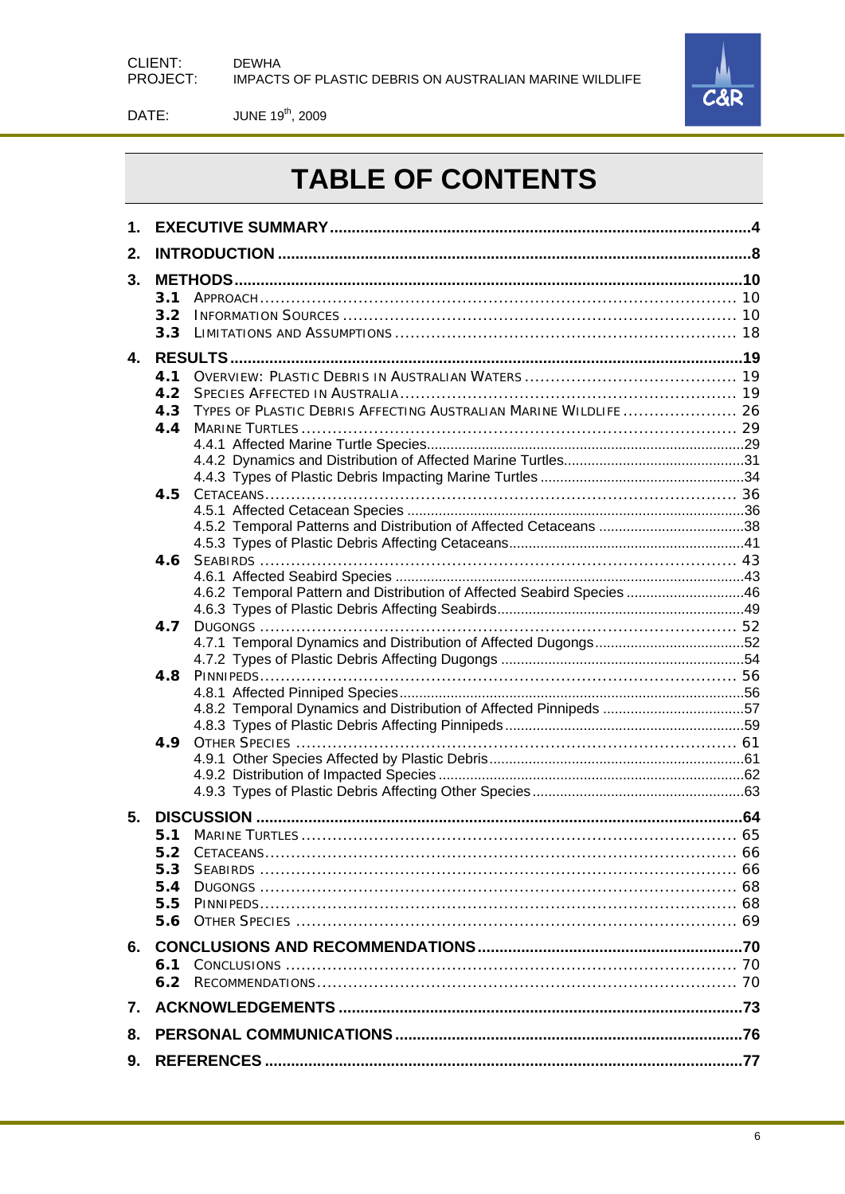CLIENT: **DEWHA** PROJECT: IMPACTS OF PLASTIC DEBRIS ON AUSTRALIAN MARINE WILDLIFE



JUNE 19<sup>th</sup>, 2009 DATE:

# **TABLE OF CONTENTS**

| 1.           |                                 |                                                                        |  |  |  |
|--------------|---------------------------------|------------------------------------------------------------------------|--|--|--|
| 2.           |                                 |                                                                        |  |  |  |
| 3.           | 3.1<br>3.2<br>3.3               |                                                                        |  |  |  |
| $\mathbf{4}$ |                                 |                                                                        |  |  |  |
|              | 4.1<br>4.2<br>4.3<br>4.4        | TYPES OF PLASTIC DEBRIS AFFECTING AUSTRALIAN MARINE WILDLIFE  26       |  |  |  |
|              | 4.5                             | 4.5.2 Temporal Patterns and Distribution of Affected Cetaceans 38      |  |  |  |
|              | 4.6                             | 4.6.2 Temporal Pattern and Distribution of Affected Seabird Species 46 |  |  |  |
|              | 4.7                             |                                                                        |  |  |  |
|              | 4.8                             | 4.8.2 Temporal Dynamics and Distribution of Affected Pinnipeds 57      |  |  |  |
|              | 4.9                             |                                                                        |  |  |  |
| 5.           |                                 |                                                                        |  |  |  |
|              | 5.1<br>5.3<br>5.4<br>5.5<br>5.6 |                                                                        |  |  |  |
| 6.           |                                 |                                                                        |  |  |  |
|              | 6.1                             |                                                                        |  |  |  |
| 7.           |                                 |                                                                        |  |  |  |
| 8.           |                                 |                                                                        |  |  |  |
| 9.           |                                 |                                                                        |  |  |  |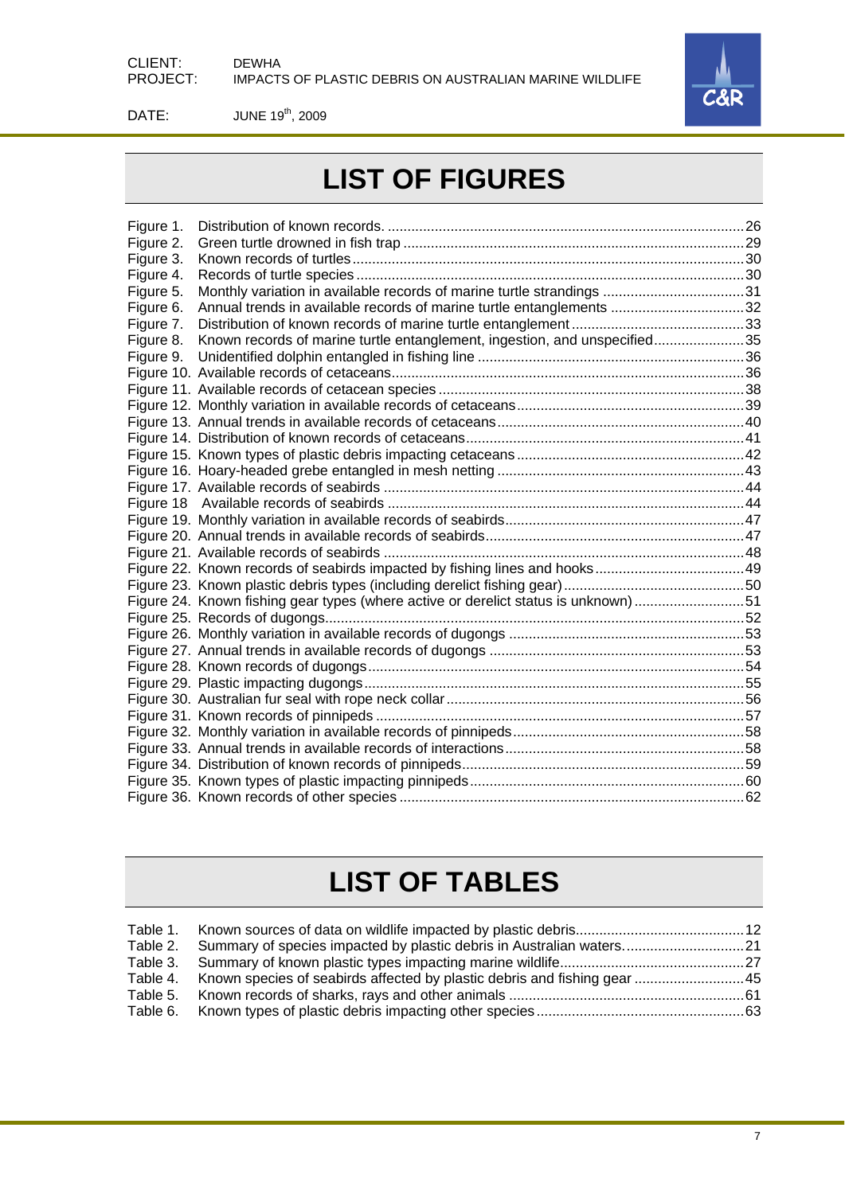CLIENT: DEWHA<br>PROJECT: IMPACT IMPACTS OF PLASTIC DEBRIS ON AUSTRALIAN MARINE WILDLIFE



DATE: **JUNE 19th**, 2009

# **LIST OF FIGURES**

| Figure 1. |                                                                                    |  |
|-----------|------------------------------------------------------------------------------------|--|
| Figure 2. |                                                                                    |  |
| Figure 3. |                                                                                    |  |
| Figure 4. |                                                                                    |  |
| Figure 5. | Monthly variation in available records of marine turtle strandings 31              |  |
| Figure 6. | Annual trends in available records of marine turtle entanglements 32               |  |
| Figure 7. |                                                                                    |  |
| Figure 8. | Known records of marine turtle entanglement, ingestion, and unspecified35          |  |
| Figure 9. |                                                                                    |  |
|           |                                                                                    |  |
|           |                                                                                    |  |
|           |                                                                                    |  |
|           |                                                                                    |  |
|           |                                                                                    |  |
|           |                                                                                    |  |
|           |                                                                                    |  |
|           |                                                                                    |  |
|           |                                                                                    |  |
|           |                                                                                    |  |
|           |                                                                                    |  |
|           |                                                                                    |  |
|           |                                                                                    |  |
|           |                                                                                    |  |
|           | Figure 24. Known fishing gear types (where active or derelict status is unknown)51 |  |
|           |                                                                                    |  |
|           |                                                                                    |  |
|           |                                                                                    |  |
|           |                                                                                    |  |
|           |                                                                                    |  |
|           |                                                                                    |  |
|           |                                                                                    |  |
|           |                                                                                    |  |
|           |                                                                                    |  |
|           |                                                                                    |  |
|           |                                                                                    |  |
|           |                                                                                    |  |

# **LIST OF TABLES**

| Table 2. Summary of species impacted by plastic debris in Australian waters21     |
|-----------------------------------------------------------------------------------|
|                                                                                   |
| Table 4. Known species of seabirds affected by plastic debris and fishing gear 45 |
|                                                                                   |
|                                                                                   |
|                                                                                   |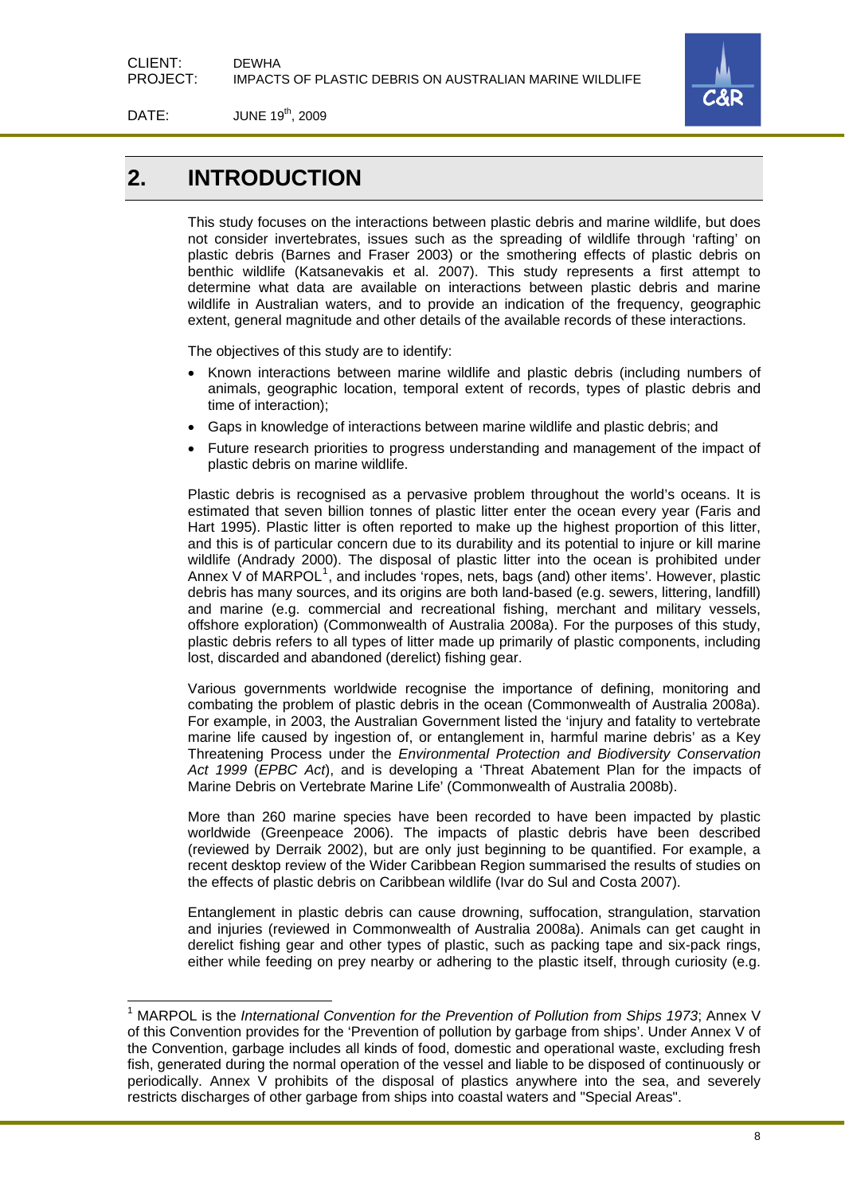CLIENT: DEWHA PROJECT: IMPACTS OF PLASTIC DEBRIS ON AUSTRALIAN MARINE WILDLIFE



l



# <span id="page-7-0"></span>**2. INTRODUCTION**

This study focuses on the interactions between plastic debris and marine wildlife, but does not consider invertebrates, issues such as the spreading of wildlife through 'rafting' on plastic debris (Barnes and Fraser 2003) or the smothering effects of plastic debris on benthic wildlife (Katsanevakis et al. 2007). This study represents a first attempt to determine what data are available on interactions between plastic debris and marine wildlife in Australian waters, and to provide an indication of the frequency, geographic extent, general magnitude and other details of the available records of these interactions.

The objectives of this study are to identify:

- Known interactions between marine wildlife and plastic debris (including numbers of animals, geographic location, temporal extent of records, types of plastic debris and time of interaction);
- Gaps in knowledge of interactions between marine wildlife and plastic debris; and
- Future research priorities to progress understanding and management of the impact of plastic debris on marine wildlife.

Plastic debris is recognised as a pervasive problem throughout the world's oceans. It is estimated that seven billion tonnes of plastic litter enter the ocean every year (Faris and Hart 1995). Plastic litter is often reported to make up the highest proportion of this litter, and this is of particular concern due to its durability and its potential to injure or kill marine wildlife (Andrady 2000). The disposal of plastic litter into the ocean is prohibited under Annex V of MARPOL<sup>[1](#page-7-1)</sup>, and includes 'ropes, nets, bags (and) other items'. However, plastic debris has many sources, and its origins are both land-based (e.g. sewers, littering, landfill) and marine (e.g. commercial and recreational fishing, merchant and military vessels, offshore exploration) (Commonwealth of Australia 2008a). For the purposes of this study, plastic debris refers to all types of litter made up primarily of plastic components, including lost, discarded and abandoned (derelict) fishing gear.

Various governments worldwide recognise the importance of defining, monitoring and combating the problem of plastic debris in the ocean (Commonwealth of Australia 2008a). For example, in 2003, the Australian Government listed the 'injury and fatality to vertebrate marine life caused by ingestion of, or entanglement in, harmful marine debris' as a Key Threatening Process under the *Environmental Protection and Biodiversity Conservation Act 1999* (*EPBC Act*), and is developing a 'Threat Abatement Plan for the impacts of Marine Debris on Vertebrate Marine Life' (Commonwealth of Australia 2008b).

More than 260 marine species have been recorded to have been impacted by plastic worldwide (Greenpeace 2006). The impacts of plastic debris have been described (reviewed by Derraik 2002), but are only just beginning to be quantified. For example, a recent desktop review of the Wider Caribbean Region summarised the results of studies on the effects of plastic debris on Caribbean wildlife (Ivar do Sul and Costa 2007).

Entanglement in plastic debris can cause drowning, suffocation, strangulation, starvation and injuries (reviewed in Commonwealth of Australia 2008a). Animals can get caught in derelict fishing gear and other types of plastic, such as packing tape and six-pack rings, either while feeding on prey nearby or adhering to the plastic itself, through curiosity (e.g.

<span id="page-7-1"></span><sup>1</sup> MARPOL is the *International Convention for the Prevention of Pollution from Ships 1973*; Annex V of this Convention provides for the 'Prevention of pollution by garbage from ships'. Under Annex V of the Convention, garbage includes all kinds of food, domestic and operational waste, excluding fresh fish, generated during the normal operation of the vessel and liable to be disposed of continuously or periodically. Annex V prohibits of the disposal of plastics anywhere into the sea, and severely restricts discharges of other garbage from ships into coastal waters and "Special Areas".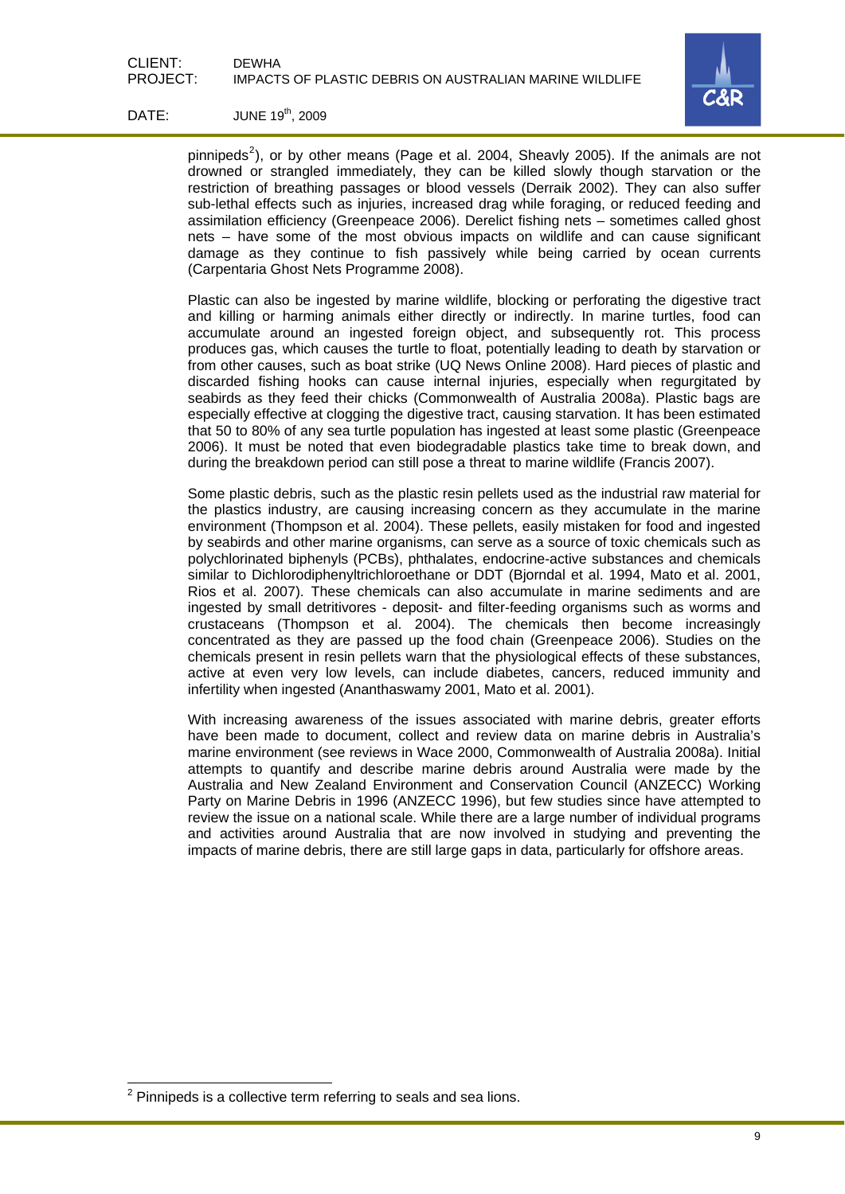

DATE: **JUNE 19<sup>th</sup>, 2009** 

pinnipeds<sup>[2](#page-8-0)</sup>), or by other means (Page et al. 2004, Sheavly 2005). If the animals are not drowned or strangled immediately, they can be killed slowly though starvation or the restriction of breathing passages or blood vessels (Derraik 2002). They can also suffer sub-lethal effects such as injuries, increased drag while foraging, or reduced feeding and assimilation efficiency (Greenpeace 2006). Derelict fishing nets – sometimes called ghost nets – have some of the most obvious impacts on wildlife and can cause significant damage as they continue to fish passively while being carried by ocean currents (Carpentaria Ghost Nets Programme 2008).

Plastic can also be ingested by marine wildlife, blocking or perforating the digestive tract and killing or harming animals either directly or indirectly. In marine turtles, food can accumulate around an ingested foreign object, and subsequently rot. This process produces gas, which causes the turtle to float, potentially leading to death by starvation or from other causes, such as boat strike (UQ News Online 2008). Hard pieces of plastic and discarded fishing hooks can cause internal injuries, especially when regurgitated by seabirds as they feed their chicks (Commonwealth of Australia 2008a). Plastic bags are especially effective at clogging the digestive tract, causing starvation. It has been estimated that 50 to 80% of any sea turtle population has ingested at least some plastic (Greenpeace 2006). It must be noted that even biodegradable plastics take time to break down, and during the breakdown period can still pose a threat to marine wildlife (Francis 2007).

Some plastic debris, such as the plastic resin pellets used as the industrial raw material for the plastics industry, are causing increasing concern as they accumulate in the marine environment (Thompson et al. 2004). These pellets, easily mistaken for food and ingested by seabirds and other marine organisms, can serve as a source of toxic chemicals such as polychlorinated biphenyls (PCBs), phthalates, endocrine-active substances and chemicals similar to Dichlorodiphenyltrichloroethane or DDT (Bjorndal et al. 1994, Mato et al. 2001, Rios et al. 2007). These chemicals can also accumulate in marine sediments and are ingested by small detritivores - deposit- and filter-feeding organisms such as worms and crustaceans (Thompson et al. 2004). The chemicals then become increasingly concentrated as they are passed up the food chain (Greenpeace 2006). Studies on the chemicals present in resin pellets warn that the physiological effects of these substances, active at even very low levels, can include diabetes, cancers, reduced immunity and infertility when ingested (Ananthaswamy 2001, Mato et al. 2001).

With increasing awareness of the issues associated with marine debris, greater efforts have been made to document, collect and review data on marine debris in Australia's marine environment (see reviews in Wace 2000, Commonwealth of Australia 2008a). Initial attempts to quantify and describe marine debris around Australia were made by the Australia and New Zealand Environment and Conservation Council (ANZECC) Working Party on Marine Debris in 1996 (ANZECC 1996), but few studies since have attempted to review the issue on a national scale. While there are a large number of individual programs and activities around Australia that are now involved in studying and preventing the impacts of marine debris, there are still large gaps in data, particularly for offshore areas.

<span id="page-8-0"></span><sup>&</sup>lt;u>2</u><br><sup>2</sup> Pinnipeds is a collective term referring to seals and sea lions.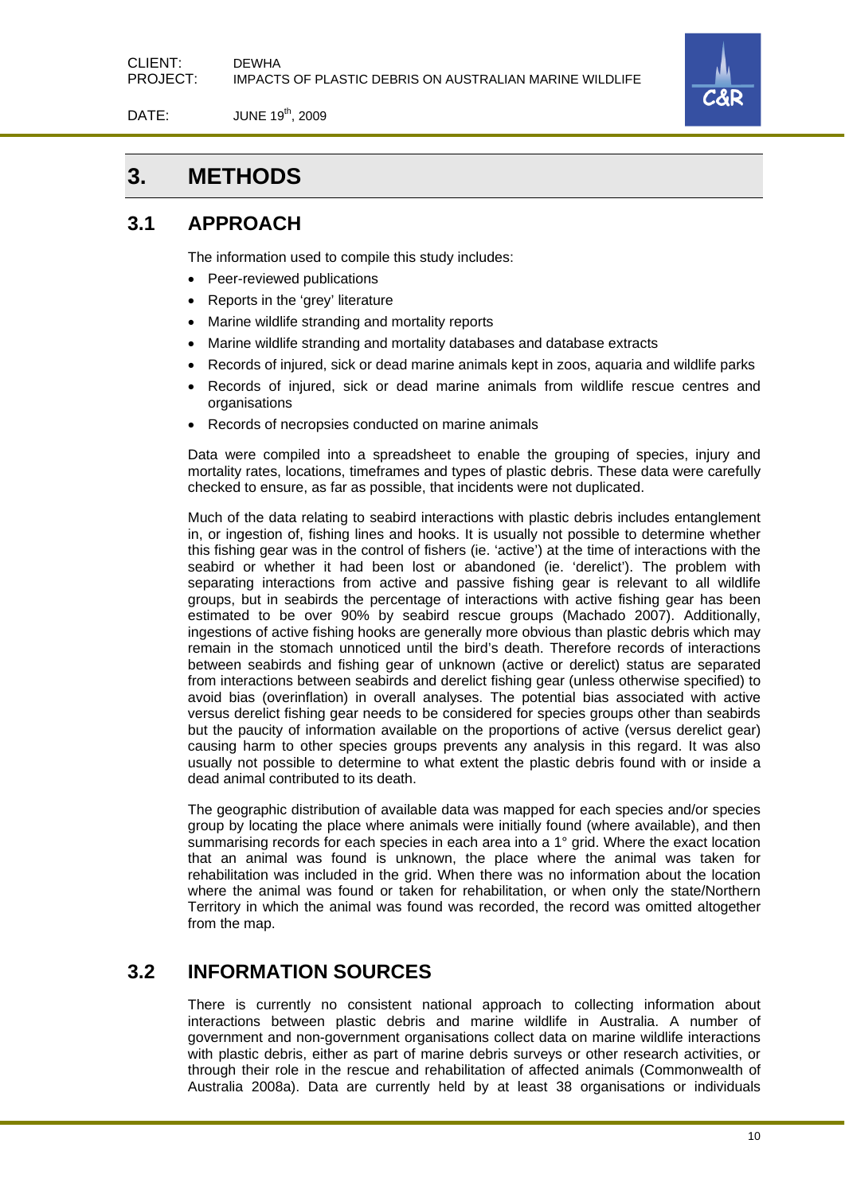CLIENT: DEWHA PROJECT: IMPACTS OF PLASTIC DEBRIS ON AUSTRALIAN MARINE WILDLIFE

DATE: **JUNE 19<sup>th</sup>, 2009** 



## <span id="page-9-0"></span>**3. METHODS**

#### <span id="page-9-1"></span>**3.1 APPROACH**

The information used to compile this study includes:

- Peer-reviewed publications
- Reports in the 'grey' literature
- Marine wildlife stranding and mortality reports
- Marine wildlife stranding and mortality databases and database extracts
- Records of injured, sick or dead marine animals kept in zoos, aquaria and wildlife parks
- Records of injured, sick or dead marine animals from wildlife rescue centres and organisations
- Records of necropsies conducted on marine animals

Data were compiled into a spreadsheet to enable the grouping of species, injury and mortality rates, locations, timeframes and types of plastic debris. These data were carefully checked to ensure, as far as possible, that incidents were not duplicated.

Much of the data relating to seabird interactions with plastic debris includes entanglement in, or ingestion of, fishing lines and hooks. It is usually not possible to determine whether this fishing gear was in the control of fishers (ie. 'active') at the time of interactions with the seabird or whether it had been lost or abandoned (ie. 'derelict'). The problem with separating interactions from active and passive fishing gear is relevant to all wildlife groups, but in seabirds the percentage of interactions with active fishing gear has been estimated to be over 90% by seabird rescue groups (Machado 2007). Additionally, ingestions of active fishing hooks are generally more obvious than plastic debris which may remain in the stomach unnoticed until the bird's death. Therefore records of interactions between seabirds and fishing gear of unknown (active or derelict) status are separated from interactions between seabirds and derelict fishing gear (unless otherwise specified) to avoid bias (overinflation) in overall analyses. The potential bias associated with active versus derelict fishing gear needs to be considered for species groups other than seabirds but the paucity of information available on the proportions of active (versus derelict gear) causing harm to other species groups prevents any analysis in this regard. It was also usually not possible to determine to what extent the plastic debris found with or inside a dead animal contributed to its death.

The geographic distribution of available data was mapped for each species and/or species group by locating the place where animals were initially found (where available), and then summarising records for each species in each area into a 1° grid. Where the exact location that an animal was found is unknown, the place where the animal was taken for rehabilitation was included in the grid. When there was no information about the location where the animal was found or taken for rehabilitation, or when only the state/Northern Territory in which the animal was found was recorded, the record was omitted altogether from the map.

#### <span id="page-9-2"></span>**3.2 INFORMATION SOURCES**

There is currently no consistent national approach to collecting information about interactions between plastic debris and marine wildlife in Australia. A number of government and non-government organisations collect data on marine wildlife interactions with plastic debris, either as part of marine debris surveys or other research activities, or through their role in the rescue and rehabilitation of affected animals (Commonwealth of Australia 2008a). Data are currently held by at least 38 organisations or individuals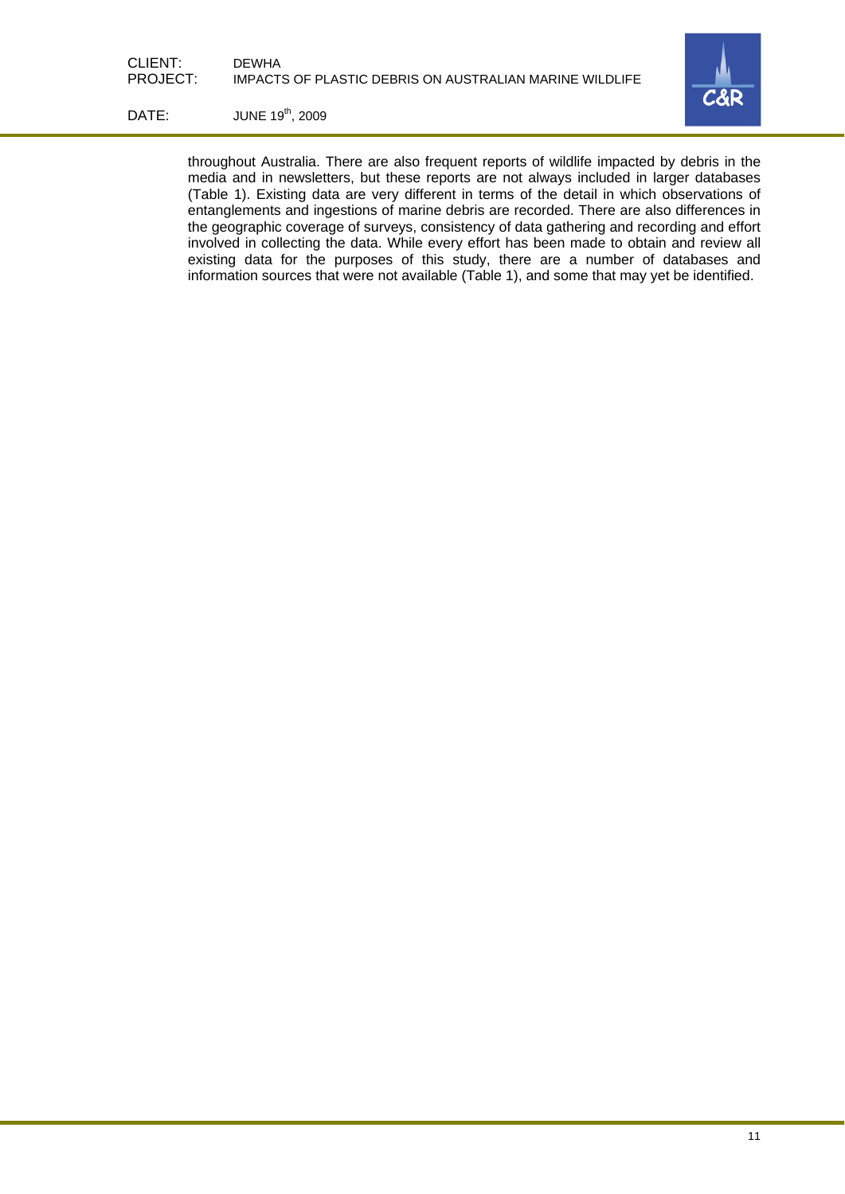

DATE: **JUNE 19<sup>th</sup>**, 2009

throughout Australia. There are also frequent reports of wildlife impacted by debris in the media and in newsletters, but these reports are not always included in larger databases ([Table 1\)](#page-11-0). Existing data are very different in terms of the detail in which observations of entanglements and ingestions of marine debris are recorded. There are also differences in the geographic coverage of surveys, consistency of data gathering and recording and effort involved in collecting the data. While every effort has been made to obtain and review all existing data for the purposes of this study, there are a number of databases and information sources that were not available (Table 1), and some that may yet be identified.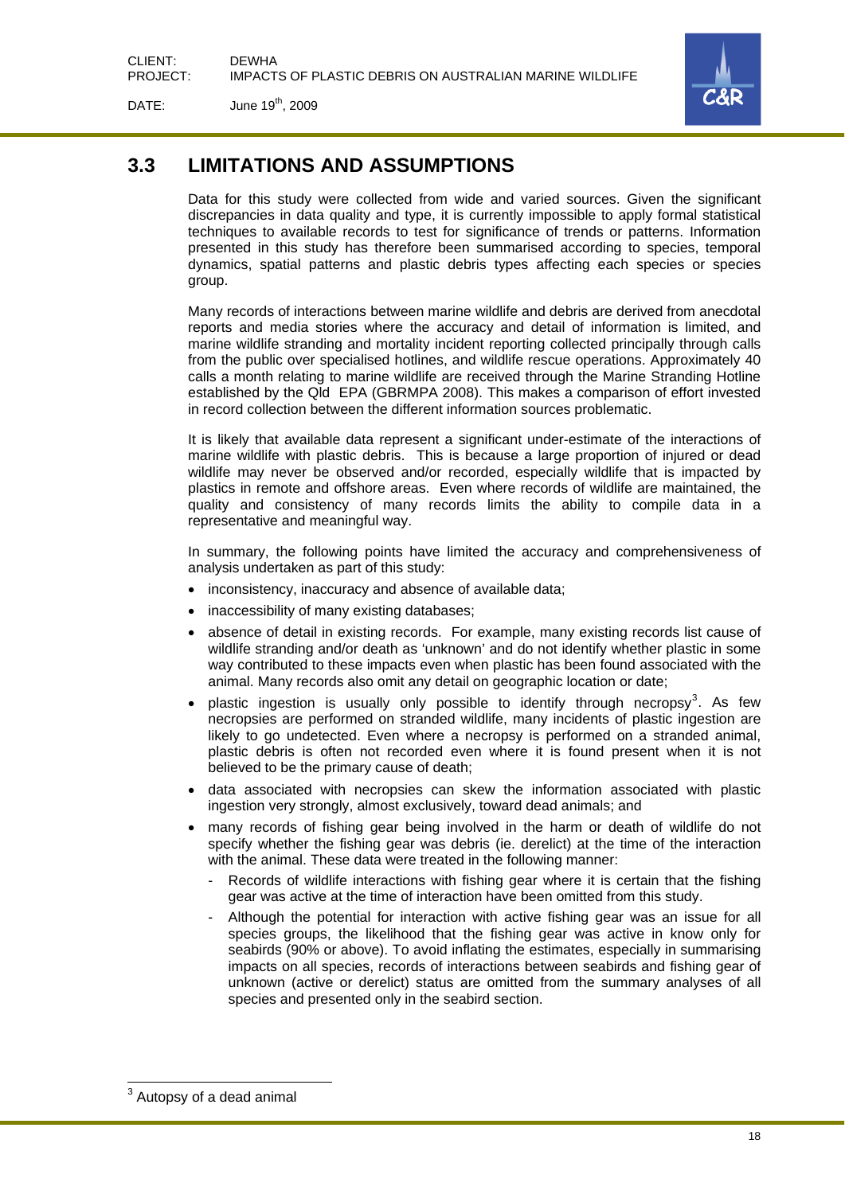CLIENT: DEWHA<br>PROJECT: IMPACT IMPACTS OF PLASTIC DEBRIS ON AUSTRALIAN MARINE WILDLIFE

DATE: June 19<sup>th</sup>, 2009



## <span id="page-17-0"></span>**3.3 LIMITATIONS AND ASSUMPTIONS**

Data for this study were collected from wide and varied sources. Given the significant discrepancies in data quality and type, it is currently impossible to apply formal statistical techniques to available records to test for significance of trends or patterns. Information presented in this study has therefore been summarised according to species, temporal dynamics, spatial patterns and plastic debris types affecting each species or species group.

Many records of interactions between marine wildlife and debris are derived from anecdotal reports and media stories where the accuracy and detail of information is limited, and marine wildlife stranding and mortality incident reporting collected principally through calls from the public over specialised hotlines, and wildlife rescue operations. Approximately 40 calls a month relating to marine wildlife are received through the Marine Stranding Hotline established by the Qld EPA (GBRMPA 2008). This makes a comparison of effort invested in record collection between the different information sources problematic.

It is likely that available data represent a significant under-estimate of the interactions of marine wildlife with plastic debris. This is because a large proportion of injured or dead wildlife may never be observed and/or recorded, especially wildlife that is impacted by plastics in remote and offshore areas. Even where records of wildlife are maintained, the quality and consistency of many records limits the ability to compile data in a representative and meaningful way.

In summary, the following points have limited the accuracy and comprehensiveness of analysis undertaken as part of this study:

- inconsistency, inaccuracy and absence of available data;
- inaccessibility of many existing databases;
- absence of detail in existing records. For example, many existing records list cause of wildlife stranding and/or death as 'unknown' and do not identify whether plastic in some way contributed to these impacts even when plastic has been found associated with the animal. Many records also omit any detail on geographic location or date;
- plastic ingestion is usually only possible to identify through necropsy<sup>[3](#page-17-1)</sup>. As few necropsies are performed on stranded wildlife, many incidents of plastic ingestion are likely to go undetected. Even where a necropsy is performed on a stranded animal, plastic debris is often not recorded even where it is found present when it is not believed to be the primary cause of death;
- data associated with necropsies can skew the information associated with plastic ingestion very strongly, almost exclusively, toward dead animals; and
- many records of fishing gear being involved in the harm or death of wildlife do not specify whether the fishing gear was debris (ie. derelict) at the time of the interaction with the animal. These data were treated in the following manner:
	- Records of wildlife interactions with fishing gear where it is certain that the fishing gear was active at the time of interaction have been omitted from this study.
	- Although the potential for interaction with active fishing gear was an issue for all species groups, the likelihood that the fishing gear was active in know only for seabirds (90% or above). To avoid inflating the estimates, especially in summarising impacts on all species, records of interactions between seabirds and fishing gear of unknown (active or derelict) status are omitted from the summary analyses of all species and presented only in the seabird section.

-

<span id="page-17-1"></span> $3$  Autopsy of a dead animal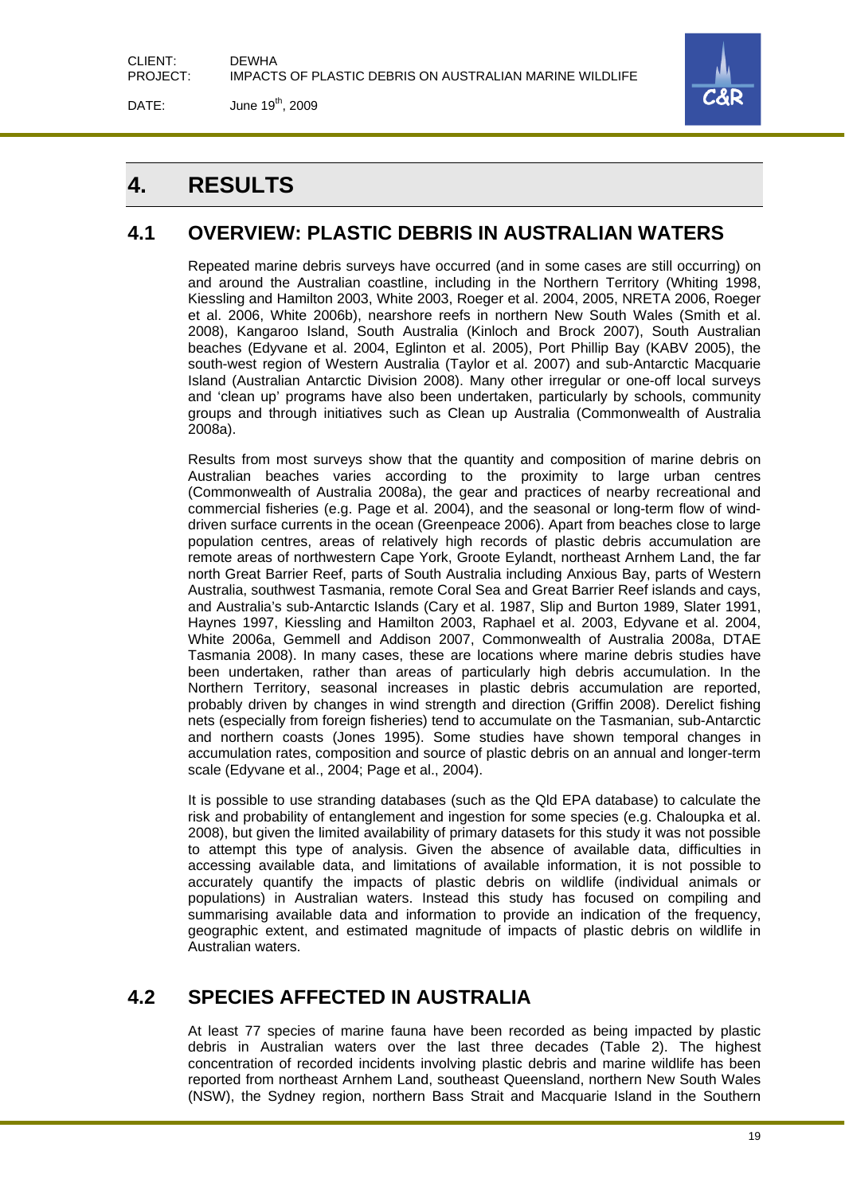CLIENT: DEWHA<br>PROJECT: IMPACT IMPACTS OF PLASTIC DEBRIS ON AUSTRALIAN MARINE WILDLIFE

DATE: June 19<sup>th</sup>, 2009

# C&R

# <span id="page-18-0"></span>**4. RESULTS**

## <span id="page-18-1"></span>**4.1 OVERVIEW: PLASTIC DEBRIS IN AUSTRALIAN WATERS**

Repeated marine debris surveys have occurred (and in some cases are still occurring) on and around the Australian coastline, including in the Northern Territory (Whiting 1998, Kiessling and Hamilton 2003, White 2003, Roeger et al. 2004, 2005, NRETA 2006, Roeger et al. 2006, White 2006b), nearshore reefs in northern New South Wales (Smith et al. 2008), Kangaroo Island, South Australia (Kinloch and Brock 2007), South Australian beaches (Edyvane et al. 2004, Eglinton et al. 2005), Port Phillip Bay (KABV 2005), the south-west region of Western Australia (Taylor et al. 2007) and sub-Antarctic Macquarie Island (Australian Antarctic Division 2008). Many other irregular or one-off local surveys and 'clean up' programs have also been undertaken, particularly by schools, community groups and through initiatives such as Clean up Australia (Commonwealth of Australia 2008a).

Results from most surveys show that the quantity and composition of marine debris on Australian beaches varies according to the proximity to large urban centres (Commonwealth of Australia 2008a), the gear and practices of nearby recreational and commercial fisheries (e.g. Page et al. 2004), and the seasonal or long-term flow of winddriven surface currents in the ocean (Greenpeace 2006). Apart from beaches close to large population centres, areas of relatively high records of plastic debris accumulation are remote areas of northwestern Cape York, Groote Eylandt, northeast Arnhem Land, the far north Great Barrier Reef, parts of South Australia including Anxious Bay, parts of Western Australia, southwest Tasmania, remote Coral Sea and Great Barrier Reef islands and cays, and Australia's sub-Antarctic Islands (Cary et al. 1987, Slip and Burton 1989, Slater 1991, Haynes 1997, Kiessling and Hamilton 2003, Raphael et al. 2003, Edyvane et al. 2004, White 2006a, Gemmell and Addison 2007, Commonwealth of Australia 2008a, DTAE Tasmania 2008). In many cases, these are locations where marine debris studies have been undertaken, rather than areas of particularly high debris accumulation. In the Northern Territory, seasonal increases in plastic debris accumulation are reported, probably driven by changes in wind strength and direction (Griffin 2008). Derelict fishing nets (especially from foreign fisheries) tend to accumulate on the Tasmanian, sub-Antarctic and northern coasts (Jones 1995). Some studies have shown temporal changes in accumulation rates, composition and source of plastic debris on an annual and longer-term scale (Edyvane et al., 2004; Page et al., 2004).

It is possible to use stranding databases (such as the Qld EPA database) to calculate the risk and probability of entanglement and ingestion for some species (e.g. Chaloupka et al. 2008), but given the limited availability of primary datasets for this study it was not possible to attempt this type of analysis. Given the absence of available data, difficulties in accessing available data, and limitations of available information, it is not possible to accurately quantify the impacts of plastic debris on wildlife (individual animals or populations) in Australian waters. Instead this study has focused on compiling and summarising available data and information to provide an indication of the frequency, geographic extent, and estimated magnitude of impacts of plastic debris on wildlife in Australian waters.

#### <span id="page-18-2"></span>**4.2 SPECIES AFFECTED IN AUSTRALIA**

At least 77 species of marine fauna have been recorded as being impacted by plastic debris in Australian waters over the last three decades [\(Table 2\)](#page-20-0). The highest concentration of recorded incidents involving plastic debris and marine wildlife has been reported from northeast Arnhem Land, southeast Queensland, northern New South Wales (NSW), the Sydney region, northern Bass Strait and Macquarie Island in the Southern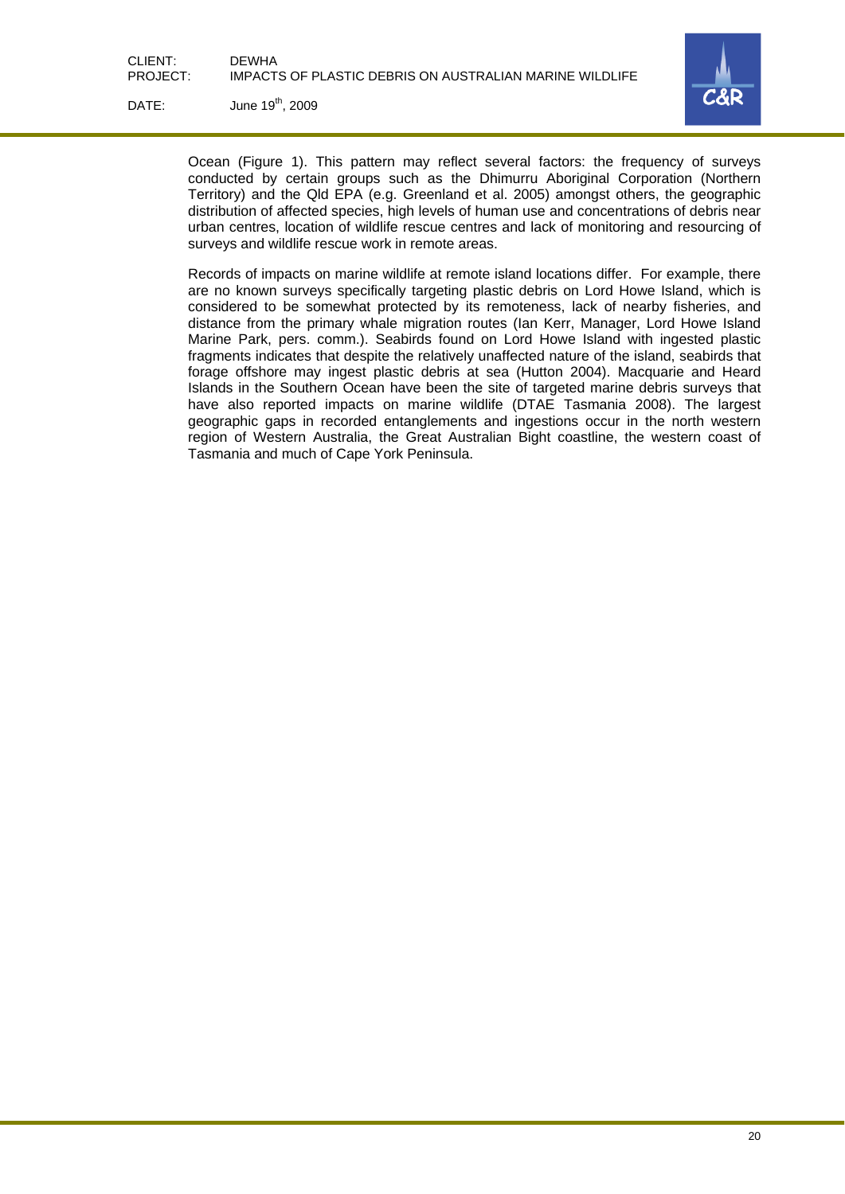

Ocean [\(Figure 1\)](#page-25-1). This pattern may reflect several factors: the frequency of surveys conducted by certain groups such as the Dhimurru Aboriginal Corporation (Northern Territory) and the Qld EPA (e.g. Greenland et al. 2005) amongst others, the geographic distribution of affected species, high levels of human use and concentrations of debris near urban centres, location of wildlife rescue centres and lack of monitoring and resourcing of surveys and wildlife rescue work in remote areas.

Records of impacts on marine wildlife at remote island locations differ. For example, there are no known surveys specifically targeting plastic debris on Lord Howe Island, which is considered to be somewhat protected by its remoteness, lack of nearby fisheries, and distance from the primary whale migration routes (Ian Kerr, Manager, Lord Howe Island Marine Park, pers. comm.). Seabirds found on Lord Howe Island with ingested plastic fragments indicates that despite the relatively unaffected nature of the island, seabirds that forage offshore may ingest plastic debris at sea (Hutton 2004). Macquarie and Heard Islands in the Southern Ocean have been the site of targeted marine debris surveys that have also reported impacts on marine wildlife (DTAE Tasmania 2008). The largest geographic gaps in recorded entanglements and ingestions occur in the north western region of Western Australia, the Great Australian Bight coastline, the western coast of Tasmania and much of Cape York Peninsula.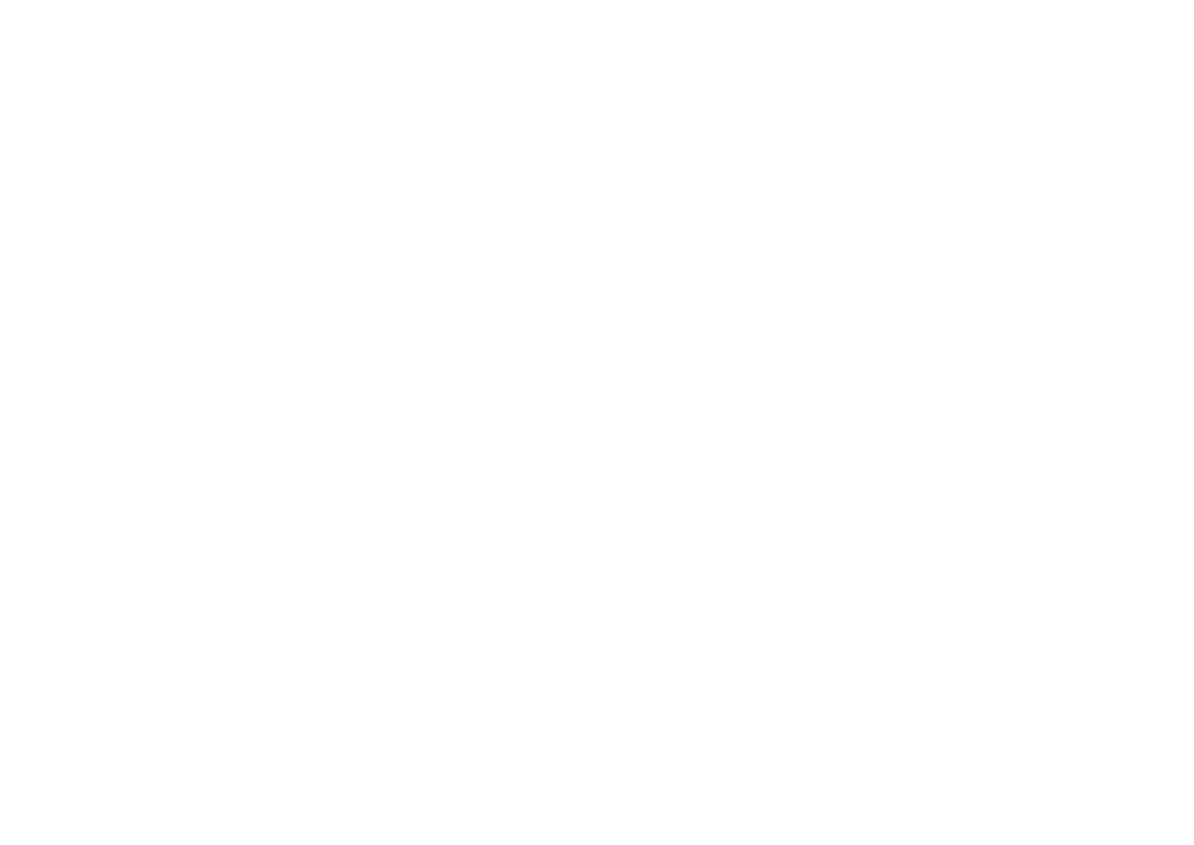|                                                                                                                                                                                                                                                                                                                                                                                                                                                                                                                                                                                                                                                                                                                                                          | <b>DATE:</b>   | <b>PROJECT:</b><br><b>CLIENT:</b>                                       |
|----------------------------------------------------------------------------------------------------------------------------------------------------------------------------------------------------------------------------------------------------------------------------------------------------------------------------------------------------------------------------------------------------------------------------------------------------------------------------------------------------------------------------------------------------------------------------------------------------------------------------------------------------------------------------------------------------------------------------------------------------------|----------------|-------------------------------------------------------------------------|
| existing data to the purposes of this study, there are a number of databases and<br>the geographic coverage of surveys, consistency of data gathering and recording and effort<br>entanguements and indestigns of Harine debris are recorded. There a re also differences in<br>therapical debris in the are also the dependent reports of willife impacted by debris in the<br>information sources that were not available (Table 1), and some that may yet be identified.<br>im solved in opliecting the data. While every effort has been made to obtain and review all<br>media and in hewsletters, but theed in larged in larged in larger databases<br>(Table 1). Existing data are very different in terms of the detail in which observations of | JUNE 19", 2009 | <b>DEWHA</b><br>IMPACTS OF PLASTIC DEBRIS ON AUSTRALIAN MARINE WILDLIFE |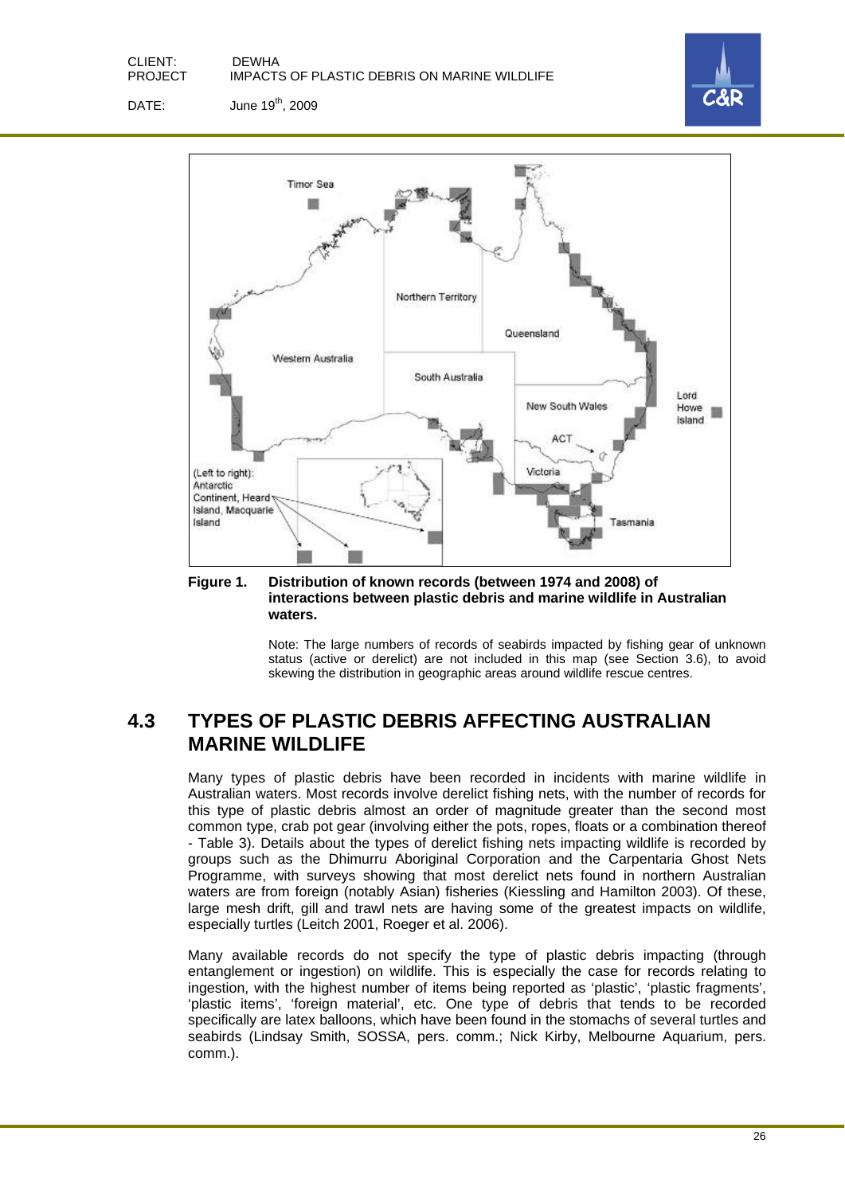



**Figure 1. Distribution of known records (between 1974 and 2008) of interactions between plastic debris and marine wildlife in Australian waters.** 

Note: The large numbers of records of seabirds impacted by fishing gear of unknown status (active or derelict) are not included in this map (see Section 3.6), to avoid skewing the distribution in geographic areas around wildlife rescue centres.

## <span id="page-25-1"></span><span id="page-25-0"></span>**4.3 TYPES OF PLASTIC DEBRIS AFFECTING AUSTRALIAN MARINE WILDLIFE**

Many types of plastic debris have been recorded in incidents with marine wildlife in Australian waters. Most records involve derelict fishing nets, with the number of records for this type of plastic debris almost an order of magnitude greater than the second most common type, crab pot gear (involving either the pots, ropes, floats or a combination thereof - [Table 3\)](#page-26-0). Details about the types of derelict fishing nets impacting wildlife is recorded by groups such as the Dhimurru Aboriginal Corporation and the Carpentaria Ghost Nets Programme, with surveys showing that most derelict nets found in northern Australian waters are from foreign (notably Asian) fisheries (Kiessling and Hamilton 2003). Of these, large mesh drift, gill and trawl nets are having some of the greatest impacts on wildlife, especially turtles (Leitch 2001, Roeger et al. 2006).

Many available records do not specify the type of plastic debris impacting (through entanglement or ingestion) on wildlife. This is especially the case for records relating to ingestion, with the highest number of items being reported as 'plastic', 'plastic fragments', 'plastic items', 'foreign material', etc. One type of debris that tends to be recorded specifically are latex balloons, which have been found in the stomachs of several turtles and seabirds (Lindsay Smith, SOSSA, pers. comm.; Nick Kirby, Melbourne Aquarium, pers. comm.).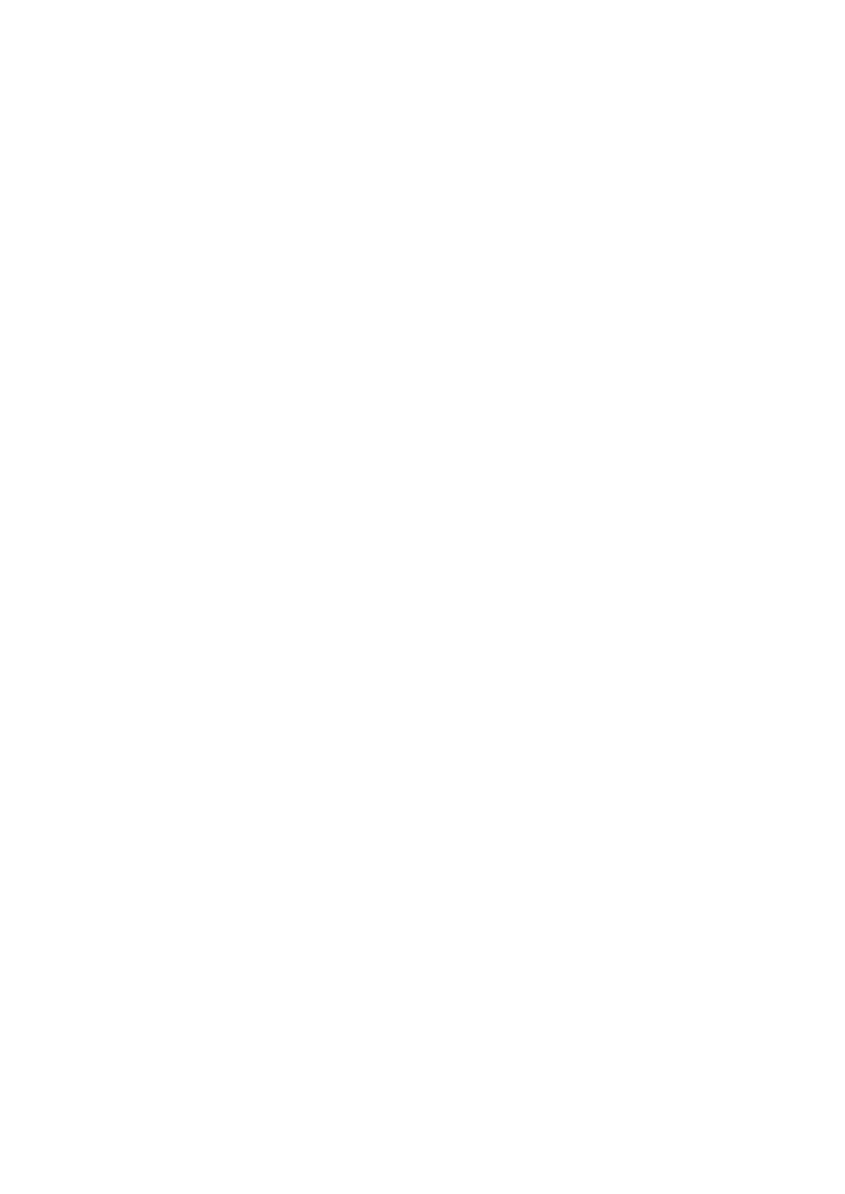![](_page_26_Picture_1.jpeg)

DATE: JUNE 19<sup>th</sup>, 2009

> pinnipeds<sup>2</sup>), or by other means (Page et al. 2004, Sheavly 2005). If the animals are not drowned or strangled immediately, they can be killed slowly though starvation or the restriction of breathing passages or blood vessels (Derraik 2002). They can also suffer sub-lethal effects such as injuries, increased drag while foraging, or reduced feeding and assimilation efficiency (Greenpeace 2006). Derelict fishing nets - sometimes called ghost nets – have some of the most obvious impacts on wildlife and can cause significant damage as they continue to fish passively while being carried by ocean currents (Carpentaria Ghost Nets Programme 2008).

> Plastic can also be ingested by marine wildlife, blocking or perforating the digestive tract and killing or harming animals either directly or indirectly. In marine turtles, food can accumulate around an ingested foreign object, and subsequently rot. This process produces gas, which causes the turtle to float, potentially leading to death by starvation or from other causes, such as boat strike (UQ News Online 2008). Hard pieces of plastic and discarded fishing hooks can cause internal injuries, especially when regurgitated by seabirds as they feed their chicks (Commonwealth of Australia 2008a). Plastic bags are especially effective at clogging the digestive tract, causing starvation. It has been estimated that 50 to 80% of any sea turtle population has ingested at least some plastic (Greenpeace 2006). It must be noted that even biodegradable plastics take time to break down, and during the breakdown period can still pose a threat to marine wildlife (Francis 2007).

> Some plastic debris, such as the plastic resin pellets used as the industrial raw material for the plastics industry, are causing increasing concern as they accumulate in the marine environment (Thompson et al. 2004). These pellets, easily mistaken for food and ingested by seabirds and other marine organisms, can serve as a source of toxic chemicals such as polychlorinated biphenyls (PCBs), phthalates, endocrine-active substances and chemicals similar to Dichlorodiphenyltrichloroethane or DDT (Bjorndal et al. 1994, Mato et al. 2001, Rios et al. 2007). These chemicals can also accumulate in marine sediments and are ingested by small detritivores - deposit- and filter-feeding organisms such as worms and crustaceans (Thompson et al. 2004). The chemicals then become increasingly concentrated as they are passed up the food chain (Greenpeace 2006). Studies on the chemicals present in resin pellets warn that the physiological effects of these substances, active at even very low levels, can include diabetes, cancers, reduced immunity and infertility when ingested (Ananthaswamy 2001, Mato et al. 2001).

> With increasing awareness of the issues associated with marine debris, greater efforts have been made to document, collect and review data on marine debris in Australia's marine environment (see reviews in Wace 2000, Commonwealth of Australia 2008a). Initial attempts to quantify and describe marine debris around Australia were made by the Australia and New Zealand Environment and Conservation Council (ANZECC) Working Party on Marine Debris in 1996 (ANZECC 1996), but few studies since have attempted to review the issue on a national scale. While there are a large number of individual programs and activities around Australia that are now involved in studying and preventing the impacts of marine debris, there are still large gaps in data, particularly for offshore areas.

 $2$  Pinnipeds is a collective term referring to seals and sea lions.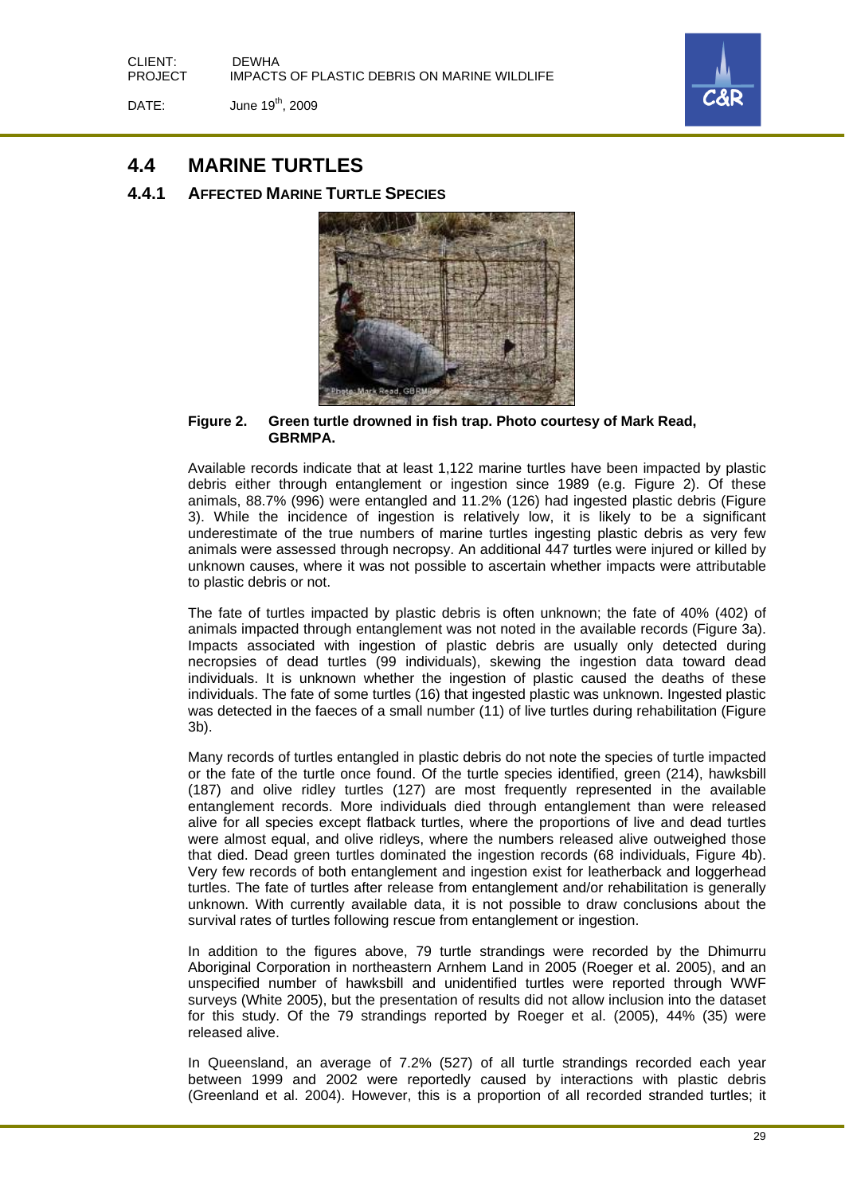CLIENT: DEWHA<br>PROJECT IMPACTS IMPACTS OF PLASTIC DEBRIS ON MARINE WILDLIFE

DATE: June 19<sup>th</sup>, 2009

![](_page_28_Picture_2.jpeg)

#### <span id="page-28-0"></span>**4.4 MARINE TURTLES**

#### <span id="page-28-1"></span>**4.4.1 AFFECTED MARINE TURTLE SPECIES**

![](_page_28_Picture_5.jpeg)

#### <span id="page-28-2"></span>**Figure 2. Green turtle drowned in fish trap. Photo courtesy of Mark Read, GBRMPA.**

Available records indicate that at least 1,122 marine turtles have been impacted by plastic debris either through entanglement or ingestion since 1989 (e.g. [Figure 2](#page-28-2)). Of these animals, 88.7% (996) were entangled and 11.2% (126) had ingested plastic debris ([Figure](#page-29-0)  [3](#page-29-0)). While the incidence of ingestion is relatively low, it is likely to be a significant underestimate of the true numbers of marine turtles ingesting plastic debris as very few animals were assessed through necropsy. An additional 447 turtles were injured or killed by unknown causes, where it was not possible to ascertain whether impacts were attributable to plastic debris or not.

The fate of turtles impacted by plastic debris is often unknown; the fate of 40% (402) of animals impacted through entanglement was not noted in the available records [\(Figure 3](#page-29-0)a). Impacts associated with ingestion of plastic debris are usually only detected during necropsies of dead turtles (99 individuals), skewing the ingestion data toward dead individuals. It is unknown whether the ingestion of plastic caused the deaths of these individuals. The fate of some turtles (16) that ingested plastic was unknown. Ingested plastic was detected in the faeces of a small number (11) of live turtles during rehabilitation (Figure [3](#page-29-0)b).

Many records of turtles entangled in plastic debris do not note the species of turtle impacted or the fate of the turtle once found. Of the turtle species identified, green (214), hawksbill (187) and olive ridley turtles (127) are most frequently represented in the available entanglement records. More individuals died through entanglement than were released alive for all species except flatback turtles, where the proportions of live and dead turtles were almost equal, and olive ridleys, where the numbers released alive outweighed those that died. Dead green turtles dominated the ingestion records (68 individuals, [Figure 4](#page-29-1)b). Very few records of both entanglement and ingestion exist for leatherback and loggerhead turtles. The fate of turtles after release from entanglement and/or rehabilitation is generally unknown. With currently available data, it is not possible to draw conclusions about the survival rates of turtles following rescue from entanglement or ingestion.

In addition to the figures above, 79 turtle strandings were recorded by the Dhimurru Aboriginal Corporation in northeastern Arnhem Land in 2005 (Roeger et al. 2005), and an unspecified number of hawksbill and unidentified turtles were reported through WWF surveys (White 2005), but the presentation of results did not allow inclusion into the dataset for this study. Of the 79 strandings reported by Roeger et al. (2005), 44% (35) were released alive.

In Queensland, an average of 7.2% (527) of all turtle strandings recorded each year between 1999 and 2002 were reportedly caused by interactions with plastic debris (Greenland et al. 2004). However, this is a proportion of all recorded stranded turtles; it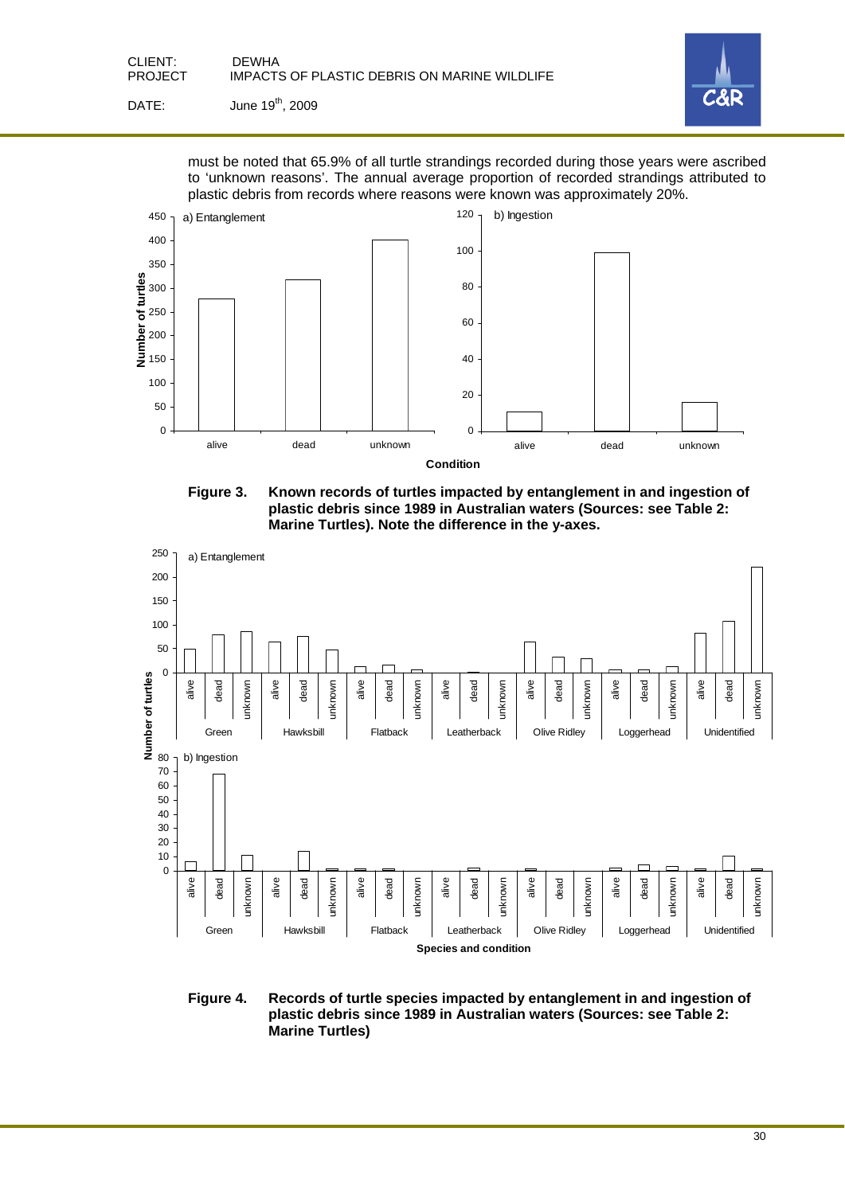![](_page_29_Picture_1.jpeg)

must be noted that 65.9% of all turtle strandings recorded during those years were ascribed to 'unknown reasons'. The annual average proportion of recorded strandings attributed to plastic debris from records where reasons were known was approximately 20%.

![](_page_29_Figure_4.jpeg)

![](_page_29_Figure_5.jpeg)

<span id="page-29-0"></span>![](_page_29_Figure_6.jpeg)

<span id="page-29-1"></span>**Figure 4. Records of turtle species impacted by entanglement in and ingestion of plastic debris since 1989 in Australian waters (Sources: see Table 2: Marine Turtles)**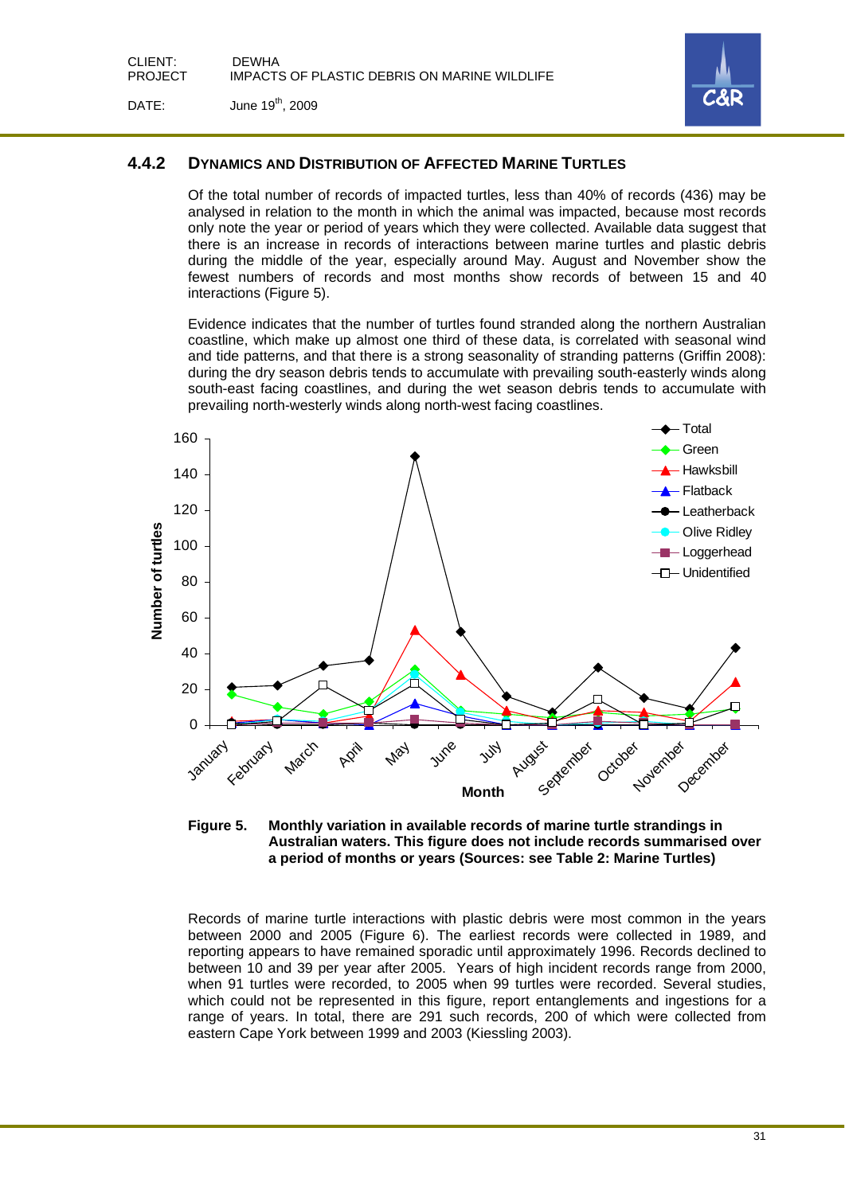![](_page_30_Picture_1.jpeg)

#### <span id="page-30-0"></span>**4.4.2 DYNAMICS AND DISTRIBUTION OF AFFECTED MARINE TURTLES**

Of the total number of records of impacted turtles, less than 40% of records (436) may be analysed in relation to the month in which the animal was impacted, because most records only note the year or period of years which they were collected. Available data suggest that there is an increase in records of interactions between marine turtles and plastic debris during the middle of the year, especially around May. August and November show the fewest numbers of records and most months show records of between 15 and 40 interactions ([Figure 5](#page-30-1)).

Evidence indicates that the number of turtles found stranded along the northern Australian coastline, which make up almost one third of these data, is correlated with seasonal wind and tide patterns, and that there is a strong seasonality of stranding patterns (Griffin 2008): during the dry season debris tends to accumulate with prevailing south-easterly winds along south-east facing coastlines, and during the wet season debris tends to accumulate with prevailing north-westerly winds along north-west facing coastlines.

![](_page_30_Figure_5.jpeg)

<span id="page-30-1"></span>**Figure 5. Monthly variation in available records of marine turtle strandings in Australian waters. This figure does not include records summarised over a period of months or years (Sources: see Table 2: Marine Turtles)** 

Records of marine turtle interactions with plastic debris were most common in the years between 2000 and 2005 ([Figure 6](#page-31-0)). The earliest records were collected in 1989, and reporting appears to have remained sporadic until approximately 1996. Records declined to between 10 and 39 per year after 2005. Years of high incident records range from 2000, when 91 turtles were recorded, to 2005 when 99 turtles were recorded. Several studies, which could not be represented in this figure, report entanglements and ingestions for a range of years. In total, there are 291 such records, 200 of which were collected from eastern Cape York between 1999 and 2003 (Kiessling 2003).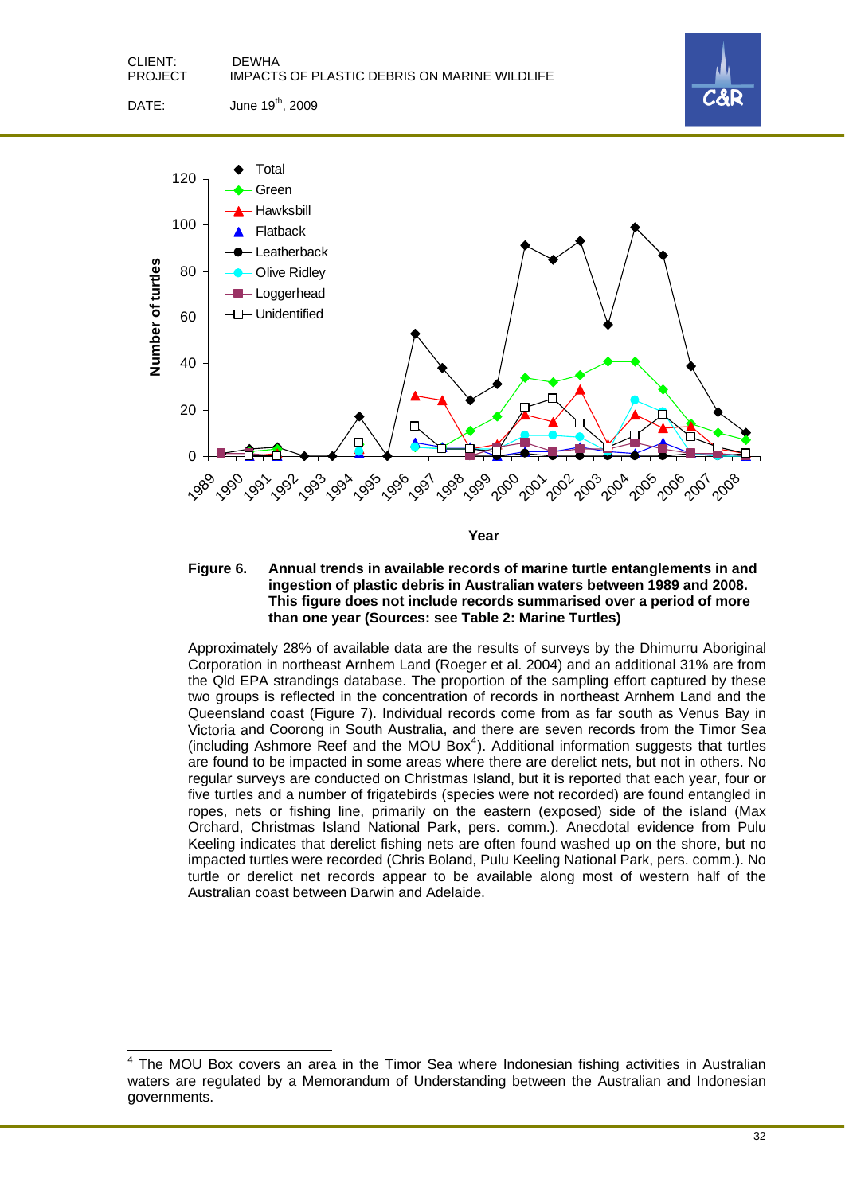![](_page_31_Figure_0.jpeg)

![](_page_31_Figure_1.jpeg)

<span id="page-31-0"></span>**Figure 6. Annual trends in available records of marine turtle entanglements in and ingestion of plastic debris in Australian waters between 1989 and 2008. This figure does not include records summarised over a period of more than one year (Sources: see Table 2: Marine Turtles)** 

Approximately 28% of available data are the results of surveys by the Dhimurru Aboriginal Corporation in northeast Arnhem Land (Roeger et al. 2004) and an additional 31% are from the Qld EPA strandings database. The proportion of the sampling effort captured by these two groups is reflected in the concentration of records in northeast Arnhem Land and the Queensland coast ([Figure 7](#page-32-0)). Individual records come from as far south as Venus Bay in Victoria and Coorong in South Australia, and there are seven records from the Timor Sea (including Ashmore Reef and the MOU Box<sup>[4](#page-31-1)</sup>). Additional information suggests that turtles are found to be impacted in some areas where there are derelict nets, but not in others. No regular surveys are conducted on Christmas Island, but it is reported that each year, four or five turtles and a number of frigatebirds (species were not recorded) are found entangled in ropes, nets or fishing line, primarily on the eastern (exposed) side of the island (Max Orchard, Christmas Island National Park, pers. comm.). Anecdotal evidence from Pulu Keeling indicates that derelict fishing nets are often found washed up on the shore, but no impacted turtles were recorded (Chris Boland, Pulu Keeling National Park, pers. comm.). No turtle or derelict net records appear to be available along most of western half of the Australian coast between Darwin and Adelaide.

-

<span id="page-31-1"></span><sup>4</sup> The MOU Box covers an area in the Timor Sea where Indonesian fishing activities in Australian waters are regulated by a Memorandum of Understanding between the Australian and Indonesian governments.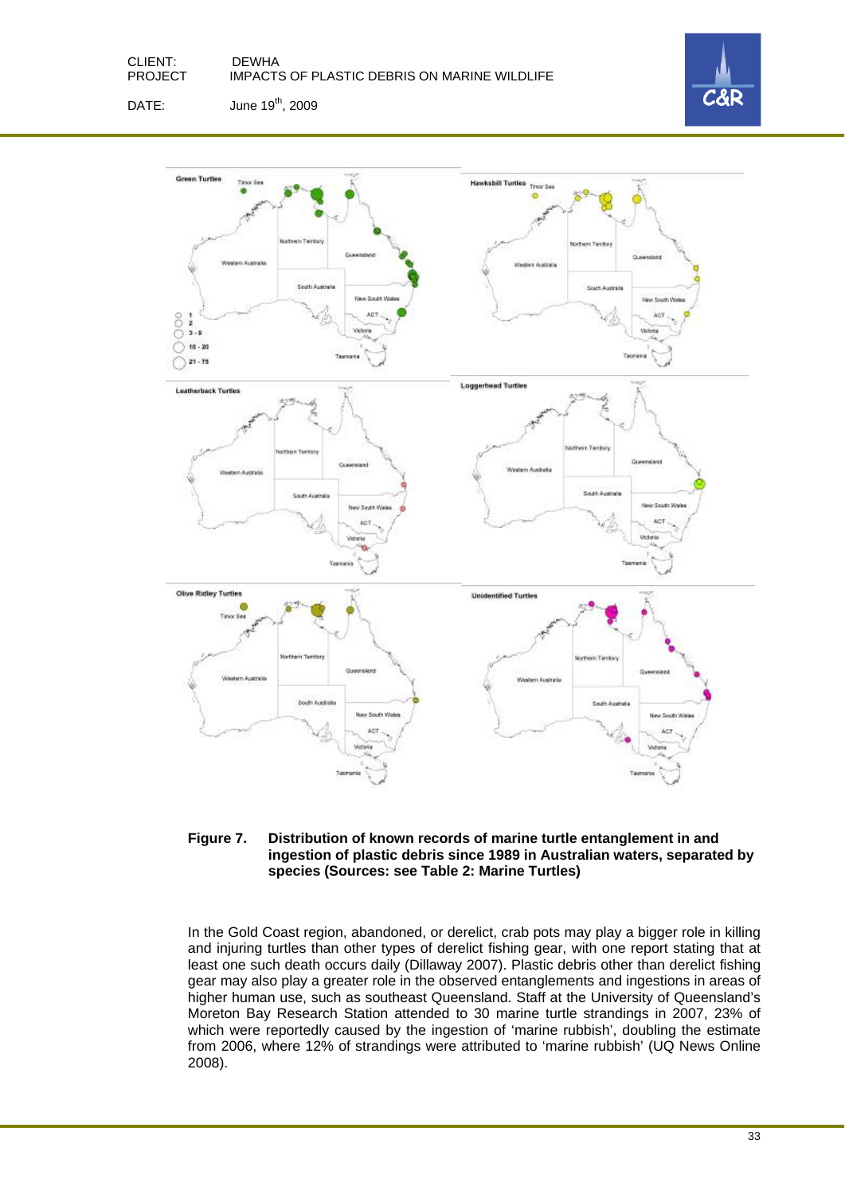![](_page_32_Picture_1.jpeg)

![](_page_32_Figure_4.jpeg)

#### <span id="page-32-0"></span>**Figure 7. Distribution of known records of marine turtle entanglement in and ingestion of plastic debris since 1989 in Australian waters, separated by species (Sources: see Table 2: Marine Turtles)**

In the Gold Coast region, abandoned, or derelict, crab pots may play a bigger role in killing and injuring turtles than other types of derelict fishing gear, with one report stating that at least one such death occurs daily (Dillaway 2007). Plastic debris other than derelict fishing gear may also play a greater role in the observed entanglements and ingestions in areas of higher human use, such as southeast Queensland. Staff at the University of Queensland's Moreton Bay Research Station attended to 30 marine turtle strandings in 2007, 23% of which were reportedly caused by the ingestion of 'marine rubbish', doubling the estimate from 2006, where 12% of strandings were attributed to 'marine rubbish' (UQ News Online 2008).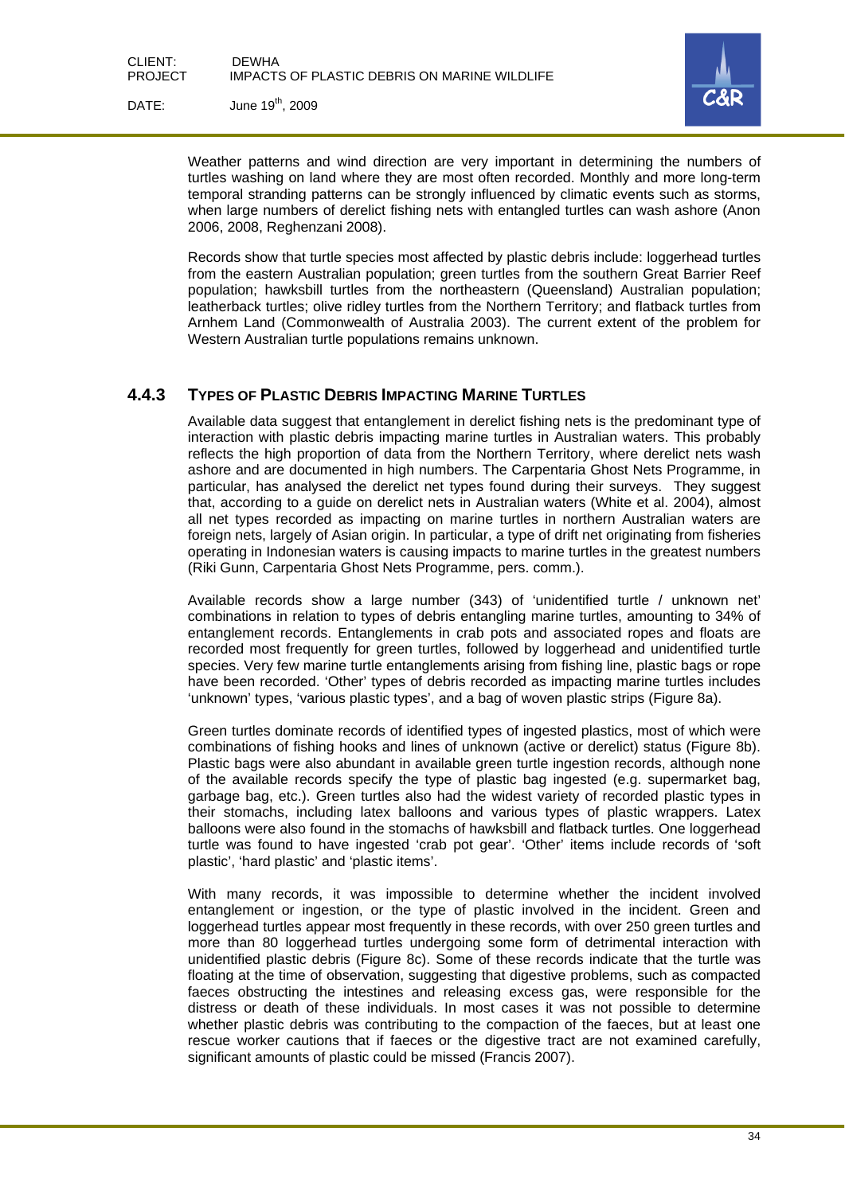![](_page_33_Picture_2.jpeg)

Weather patterns and wind direction are very important in determining the numbers of turtles washing on land where they are most often recorded. Monthly and more long-term temporal stranding patterns can be strongly influenced by climatic events such as storms, when large numbers of derelict fishing nets with entangled turtles can wash ashore (Anon 2006, 2008, Reghenzani 2008).

Records show that turtle species most affected by plastic debris include: loggerhead turtles from the eastern Australian population; green turtles from the southern Great Barrier Reef population; hawksbill turtles from the northeastern (Queensland) Australian population; leatherback turtles; olive ridley turtles from the Northern Territory; and flatback turtles from Arnhem Land (Commonwealth of Australia 2003). The current extent of the problem for Western Australian turtle populations remains unknown.

#### <span id="page-33-0"></span>**4.4.3 TYPES OF PLASTIC DEBRIS IMPACTING MARINE TURTLES**

Available data suggest that entanglement in derelict fishing nets is the predominant type of interaction with plastic debris impacting marine turtles in Australian waters. This probably reflects the high proportion of data from the Northern Territory, where derelict nets wash ashore and are documented in high numbers. The Carpentaria Ghost Nets Programme, in particular, has analysed the derelict net types found during their surveys. They suggest that, according to a guide on derelict nets in Australian waters (White et al. 2004), almost all net types recorded as impacting on marine turtles in northern Australian waters are foreign nets, largely of Asian origin. In particular, a type of drift net originating from fisheries operating in Indonesian waters is causing impacts to marine turtles in the greatest numbers (Riki Gunn, Carpentaria Ghost Nets Programme, pers. comm.).

Available records show a large number (343) of 'unidentified turtle / unknown net' combinations in relation to types of debris entangling marine turtles, amounting to 34% of entanglement records. Entanglements in crab pots and associated ropes and floats are recorded most frequently for green turtles, followed by loggerhead and unidentified turtle species. Very few marine turtle entanglements arising from fishing line, plastic bags or rope have been recorded. 'Other' types of debris recorded as impacting marine turtles includes 'unknown' types, 'various plastic types', and a bag of woven plastic strips [\(Figure 8](#page-34-0)a).

Green turtles dominate records of identified types of ingested plastics, most of which were combinations of fishing hooks and lines of unknown (active or derelict) status [\(Figure 8](#page-34-0)b). Plastic bags were also abundant in available green turtle ingestion records, although none of the available records specify the type of plastic bag ingested (e.g. supermarket bag, garbage bag, etc.). Green turtles also had the widest variety of recorded plastic types in their stomachs, including latex balloons and various types of plastic wrappers. Latex balloons were also found in the stomachs of hawksbill and flatback turtles. One loggerhead turtle was found to have ingested 'crab pot gear'. 'Other' items include records of 'soft plastic', 'hard plastic' and 'plastic items'.

With many records, it was impossible to determine whether the incident involved entanglement or ingestion, or the type of plastic involved in the incident. Green and loggerhead turtles appear most frequently in these records, with over 250 green turtles and more than 80 loggerhead turtles undergoing some form of detrimental interaction with unidentified plastic debris [\(Figure 8](#page-34-0)c). Some of these records indicate that the turtle was floating at the time of observation, suggesting that digestive problems, such as compacted faeces obstructing the intestines and releasing excess gas, were responsible for the distress or death of these individuals. In most cases it was not possible to determine whether plastic debris was contributing to the compaction of the faeces, but at least one rescue worker cautions that if faeces or the digestive tract are not examined carefully, significant amounts of plastic could be missed (Francis 2007).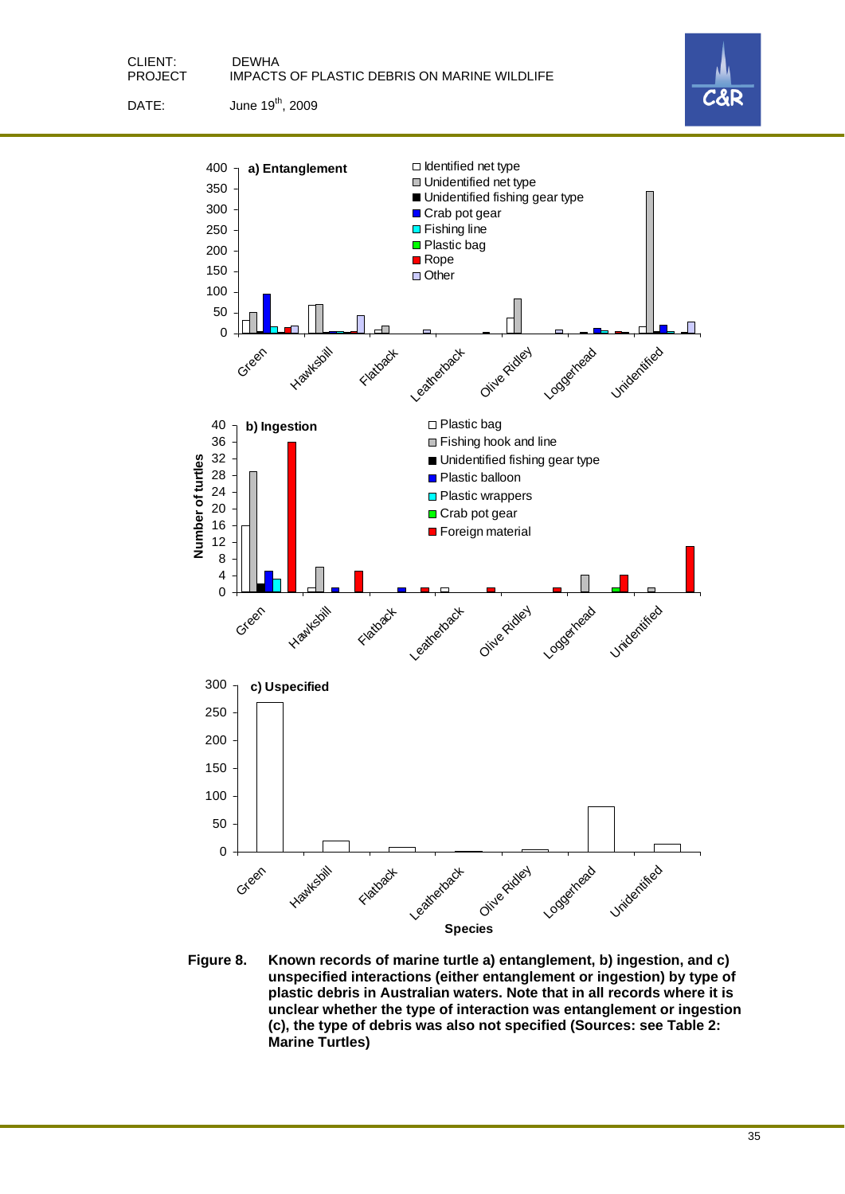![](_page_34_Figure_1.jpeg)

![](_page_34_Figure_3.jpeg)

![](_page_34_Figure_4.jpeg)

<span id="page-34-0"></span>**Figure 8. Known records of marine turtle a) entanglement, b) ingestion, and c) unspecified interactions (either entanglement or ingestion) by type of plastic debris in Australian waters. Note that in all records where it is unclear whether the type of interaction was entanglement or ingestion (c), the type of debris was also not specified (Sources: see Table 2: Marine Turtles)**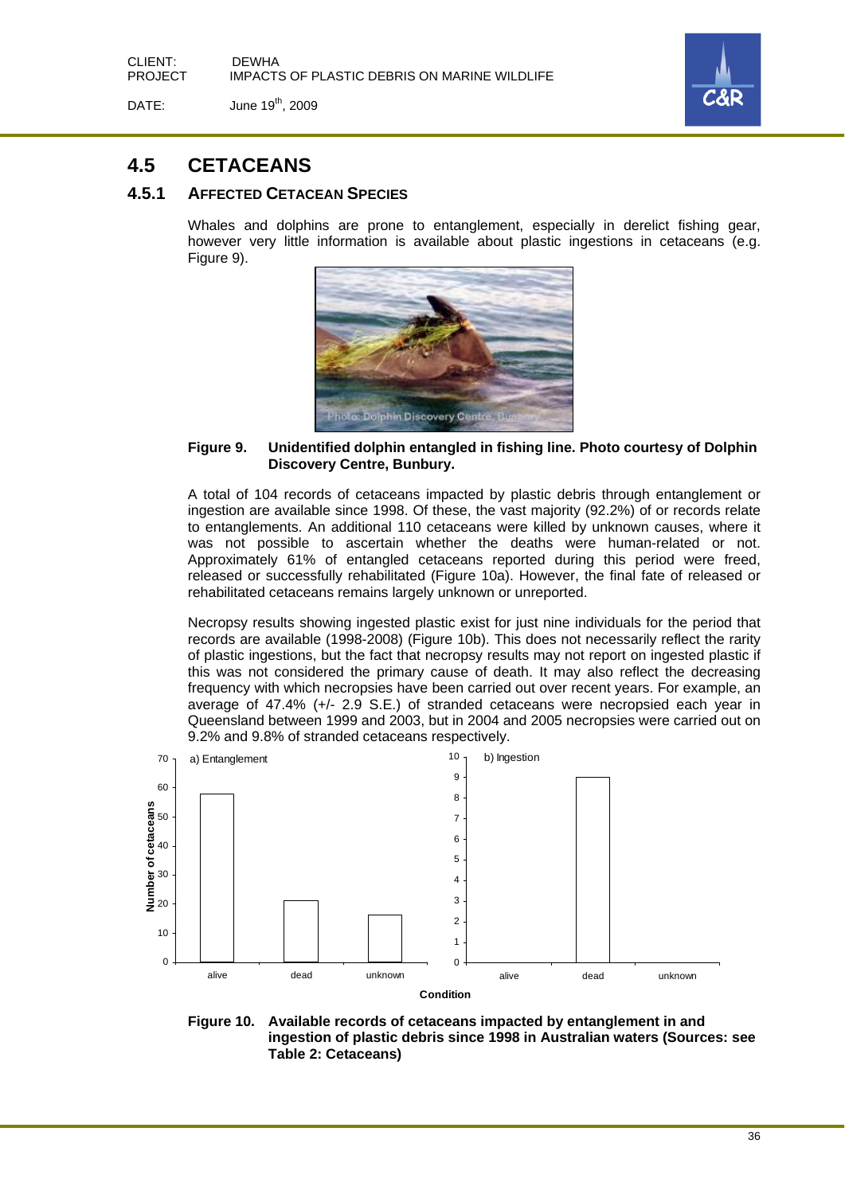CLIENT: DEWHA<br>PROJECT IMPACTS IMPACTS OF PLASTIC DEBRIS ON MARINE WILDLIFE

DATE: June 19<sup>th</sup>, 2009

![](_page_35_Picture_2.jpeg)

#### <span id="page-35-0"></span>**4.5 CETACEANS**

#### <span id="page-35-1"></span>**4.5.1 AFFECTED CETACEAN SPECIES**

Whales and dolphins are prone to entanglement, especially in derelict fishing gear, however very little information is available about plastic ingestions in cetaceans (e.g. [Figure 9](#page-35-2)).

![](_page_35_Picture_6.jpeg)

#### <span id="page-35-2"></span>**Figure 9. Unidentified dolphin entangled in fishing line. Photo courtesy of Dolphin Discovery Centre, Bunbury.**

 $\mathbf{I}$ 

A total of 104 records of cetaceans impacted by plastic debris through entanglement or ingestion are available since 1998. Of these, the vast majority (92.2%) of or records relate to entanglements. An additional 110 cetaceans were killed by unknown causes, where it was not possible to ascertain whether the deaths were human-related or not. Approximately 61% of entangled cetaceans reported during this period were freed, released or successfully rehabilitated [\(Figure 10](#page-35-3)a). However, the final fate of released or rehabilitated cetaceans remains largely unknown or unreported.

Necropsy results showing ingested plastic exist for just nine individuals for the period that records are available (1998-2008) ([Figure 10b](#page-35-3)). This does not necessarily reflect the rarity of plastic ingestions, but the fact that necropsy results may not report on ingested plastic if this was not considered the primary cause of death. It may also reflect the decreasing frequency with which necropsies have been carried out over recent years. For example, an average of 47.4% (+/- 2.9 S.E.) of stranded cetaceans were necropsied each year in Queensland between 1999 and 2003, but in 2004 and 2005 necropsies were carried out on 9.2% and 9.8% of stranded cetaceans respectively.

![](_page_35_Figure_10.jpeg)

<span id="page-35-3"></span>**Figure 10. Available records of cetaceans impacted by entanglement in and ingestion of plastic debris since 1998 in Australian waters (Sources: see Table 2: Cetaceans)**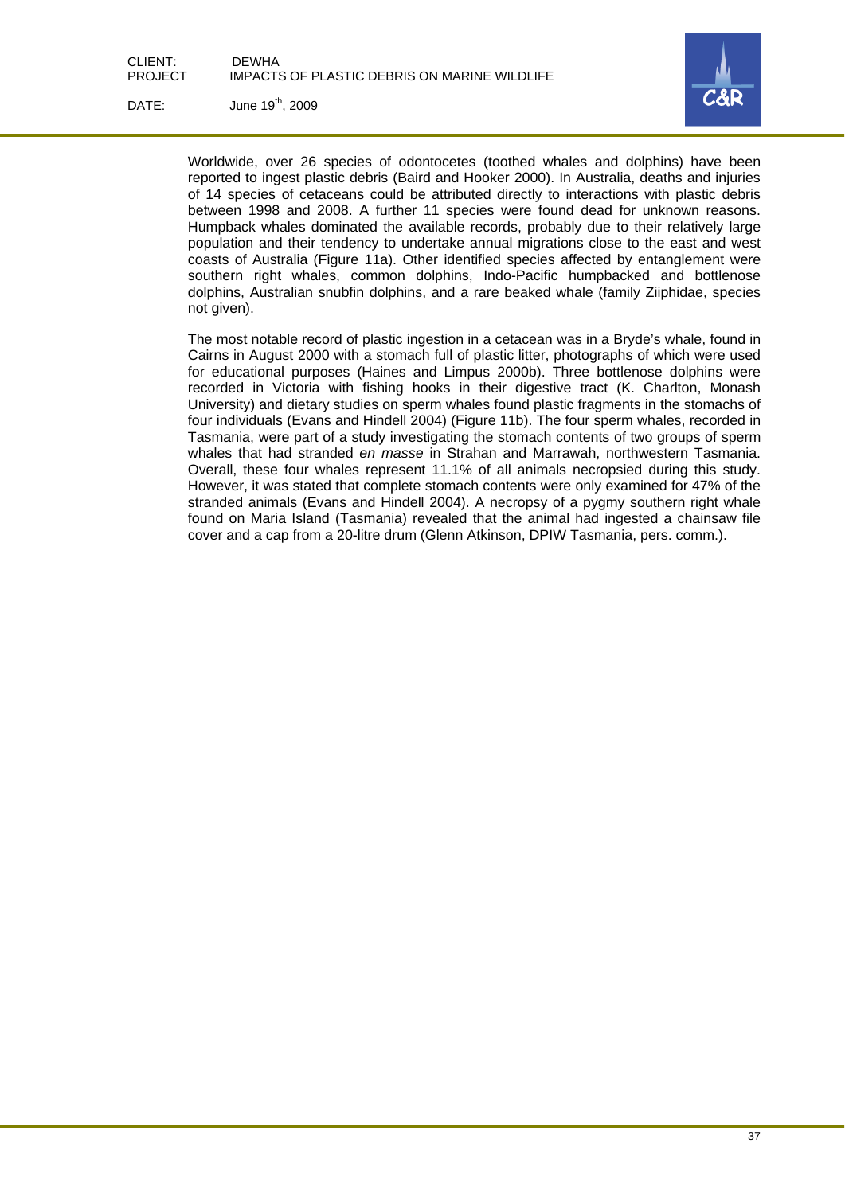

Worldwide, over 26 species of odontocetes (toothed whales and dolphins) have been reported to ingest plastic debris (Baird and Hooker 2000). In Australia, deaths and injuries of 14 species of cetaceans could be attributed directly to interactions with plastic debris between 1998 and 2008. A further 11 species were found dead for unknown reasons. Humpback whales dominated the available records, probably due to their relatively large population and their tendency to undertake annual migrations close to the east and west coasts of Australia [\(Figure 11a](#page-37-0)). Other identified species affected by entanglement were southern right whales, common dolphins, Indo-Pacific humpbacked and bottlenose dolphins, Australian snubfin dolphins, and a rare beaked whale (family Ziiphidae, species not given).

The most notable record of plastic ingestion in a cetacean was in a Bryde's whale, found in Cairns in August 2000 with a stomach full of plastic litter, photographs of which were used for educational purposes (Haines and Limpus 2000b). Three bottlenose dolphins were recorded in Victoria with fishing hooks in their digestive tract (K. Charlton, Monash University) and dietary studies on sperm whales found plastic fragments in the stomachs of four individuals (Evans and Hindell 2004) [\(Figure 11b](#page-37-0)). The four sperm whales, recorded in Tasmania, were part of a study investigating the stomach contents of two groups of sperm whales that had stranded *en masse* in Strahan and Marrawah, northwestern Tasmania. Overall, these four whales represent 11.1% of all animals necropsied during this study. However, it was stated that complete stomach contents were only examined for 47% of the stranded animals (Evans and Hindell 2004). A necropsy of a pygmy southern right whale found on Maria Island (Tasmania) revealed that the animal had ingested a chainsaw file cover and a cap from a 20-litre drum (Glenn Atkinson, DPIW Tasmania, pers. comm.).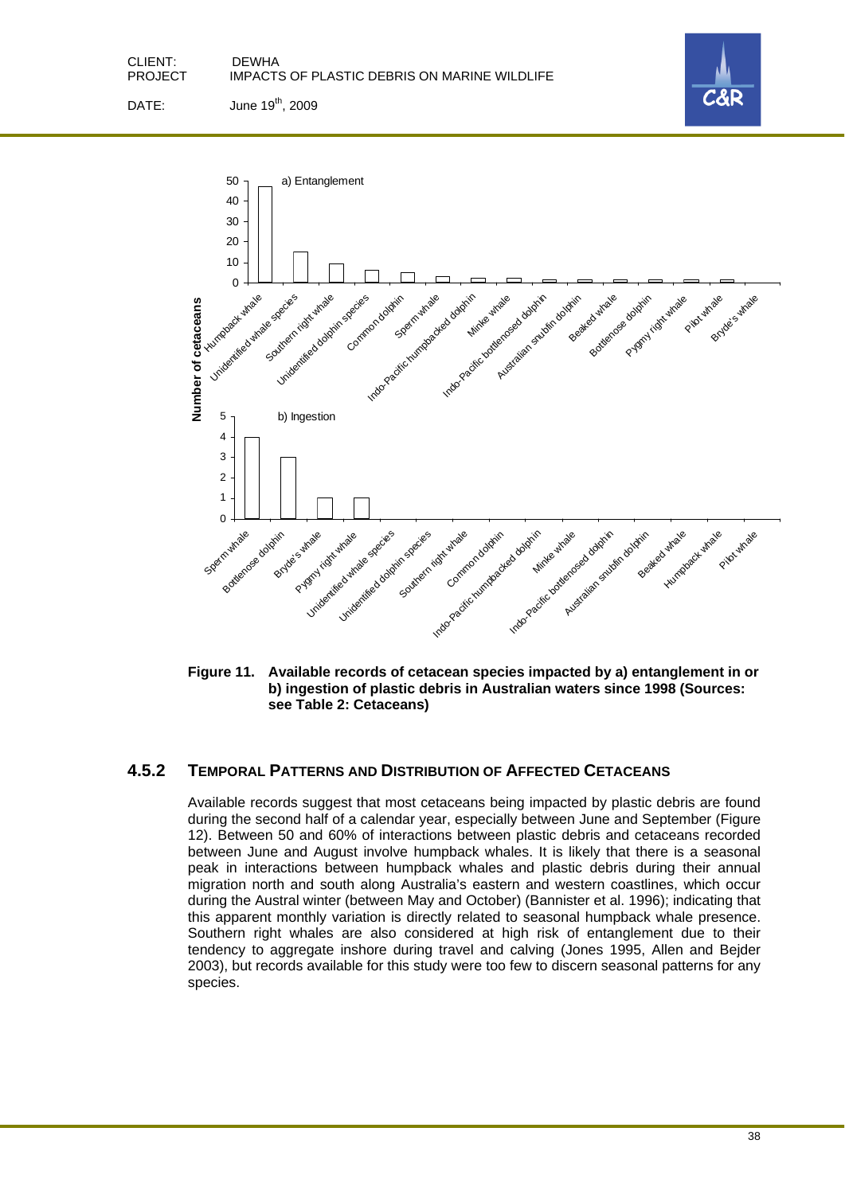



**Figure 11. Available records of cetacean species impacted by a) entanglement in or b) ingestion of plastic debris in Australian waters since 1998 (Sources: see Table 2: Cetaceans)** 

### <span id="page-37-0"></span>**4.5.2 TEMPORAL PATTERNS AND DISTRIBUTION OF AFFECTED CETACEANS**

Available records suggest that most cetaceans being impacted by plastic debris are found during the second half of a calendar year, especially between June and September ([Figure](#page-38-0)  [12\)](#page-38-0). Between 50 and 60% of interactions between plastic debris and cetaceans recorded between June and August involve humpback whales. It is likely that there is a seasonal peak in interactions between humpback whales and plastic debris during their annual migration north and south along Australia's eastern and western coastlines, which occur during the Austral winter (between May and October) (Bannister et al. 1996); indicating that this apparent monthly variation is directly related to seasonal humpback whale presence. Southern right whales are also considered at high risk of entanglement due to their tendency to aggregate inshore during travel and calving (Jones 1995, Allen and Bejder 2003), but records available for this study were too few to discern seasonal patterns for any species.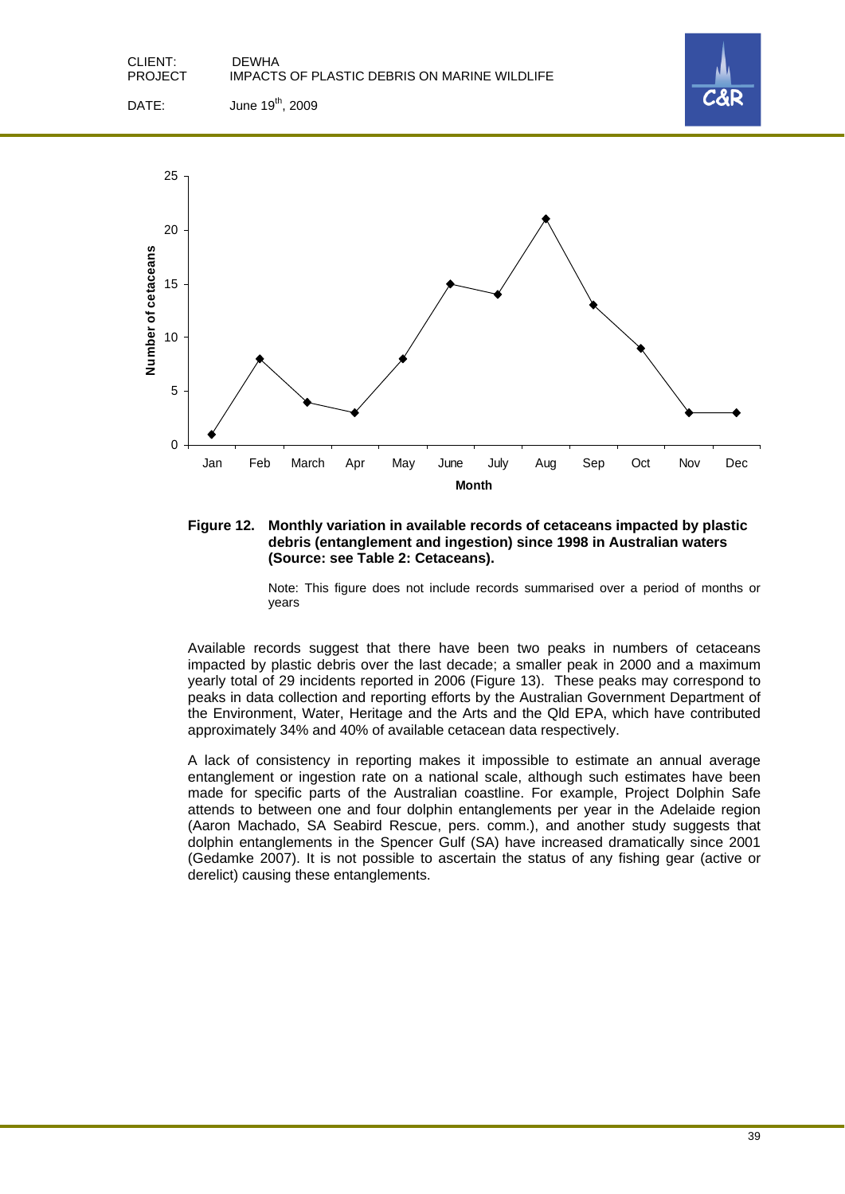



#### <span id="page-38-0"></span>**Figure 12. Monthly variation in available records of cetaceans impacted by plastic debris (entanglement and ingestion) since 1998 in Australian waters (Source: see Table 2: Cetaceans).**

Note: This figure does not include records summarised over a period of months or years

Available records suggest that there have been two peaks in numbers of cetaceans impacted by plastic debris over the last decade; a smaller peak in 2000 and a maximum yearly total of 29 incidents reported in 2006 ([Figure 13\)](#page-39-0). These peaks may correspond to peaks in data collection and reporting efforts by the Australian Government Department of the Environment, Water, Heritage and the Arts and the Qld EPA, which have contributed approximately 34% and 40% of available cetacean data respectively.

A lack of consistency in reporting makes it impossible to estimate an annual average entanglement or ingestion rate on a national scale, although such estimates have been made for specific parts of the Australian coastline. For example, Project Dolphin Safe attends to between one and four dolphin entanglements per year in the Adelaide region (Aaron Machado, SA Seabird Rescue, pers. comm.), and another study suggests that dolphin entanglements in the Spencer Gulf (SA) have increased dramatically since 2001 (Gedamke 2007). It is not possible to ascertain the status of any fishing gear (active or derelict) causing these entanglements.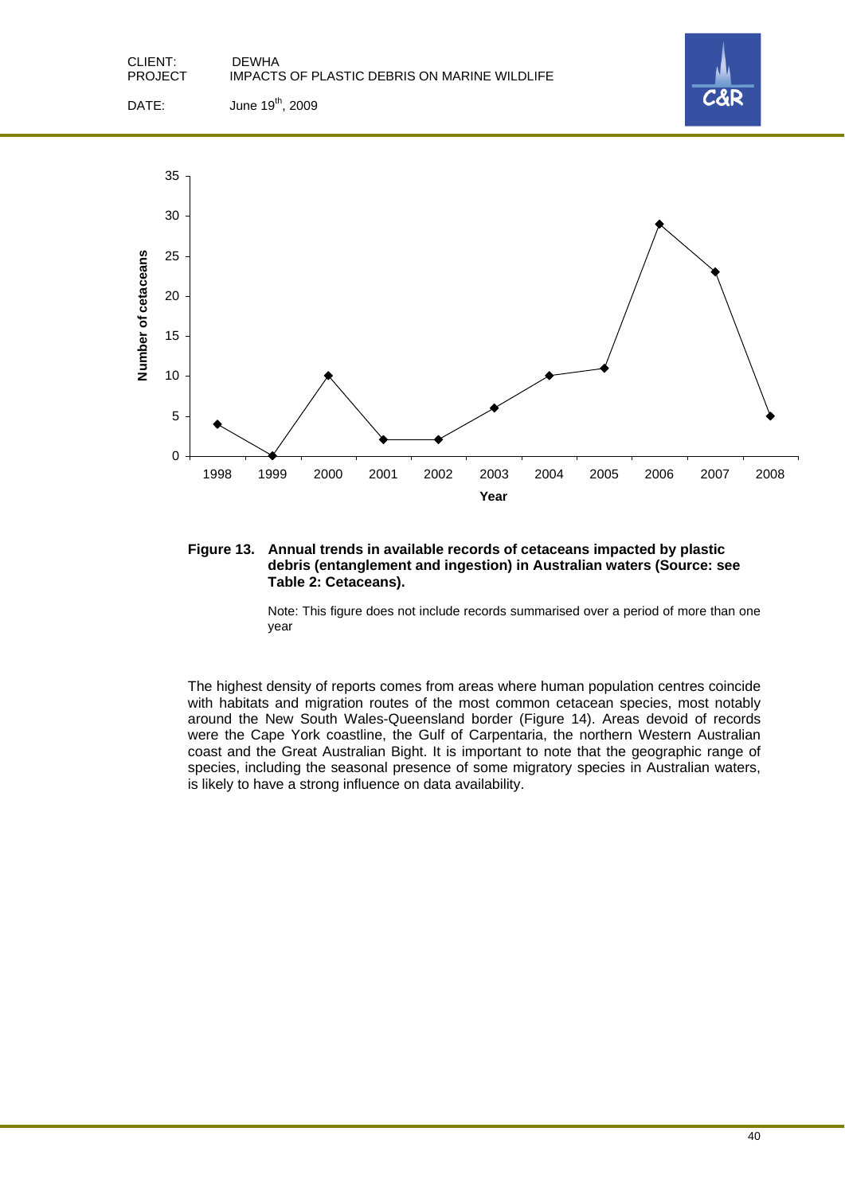



#### <span id="page-39-0"></span>**Figure 13. Annual trends in available records of cetaceans impacted by plastic debris (entanglement and ingestion) in Australian waters (Source: see Table 2: Cetaceans).**

Note: This figure does not include records summarised over a period of more than one year

The highest density of reports comes from areas where human population centres coincide with habitats and migration routes of the most common cetacean species, most notably around the New South Wales-Queensland border [\(Figure 14\)](#page-40-0). Areas devoid of records were the Cape York coastline, the Gulf of Carpentaria, the northern Western Australian coast and the Great Australian Bight. It is important to note that the geographic range of species, including the seasonal presence of some migratory species in Australian waters, is likely to have a strong influence on data availability.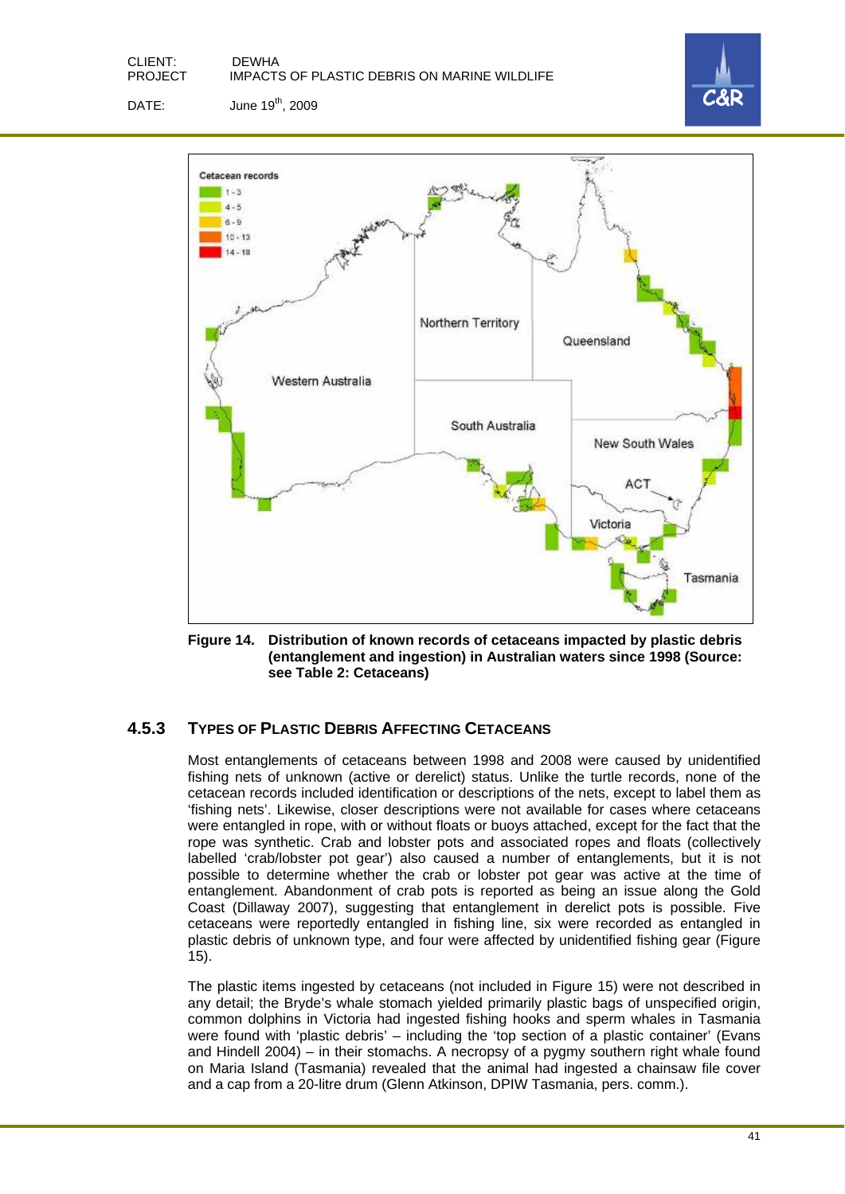

DATE: June 19<sup>th</sup>, 2009



**Figure 14. Distribution of known records of cetaceans impacted by plastic debris (entanglement and ingestion) in Australian waters since 1998 (Source: see Table 2: Cetaceans)** 

### <span id="page-40-0"></span>**4.5.3 TYPES OF PLASTIC DEBRIS AFFECTING CETACEANS**

Most entanglements of cetaceans between 1998 and 2008 were caused by unidentified fishing nets of unknown (active or derelict) status. Unlike the turtle records, none of the cetacean records included identification or descriptions of the nets, except to label them as 'fishing nets'. Likewise, closer descriptions were not available for cases where cetaceans were entangled in rope, with or without floats or buoys attached, except for the fact that the rope was synthetic. Crab and lobster pots and associated ropes and floats (collectively labelled 'crab/lobster pot gear') also caused a number of entanglements, but it is not possible to determine whether the crab or lobster pot gear was active at the time of entanglement. Abandonment of crab pots is reported as being an issue along the Gold Coast (Dillaway 2007), suggesting that entanglement in derelict pots is possible. Five cetaceans were reportedly entangled in fishing line, six were recorded as entangled in plastic debris of unknown type, and four were affected by unidentified fishing gear ([Figure](#page-41-0)  [15\)](#page-41-0).

The plastic items ingested by cetaceans (not included in [Figure 15](#page-41-0)) were not described in any detail; the Bryde's whale stomach yielded primarily plastic bags of unspecified origin, common dolphins in Victoria had ingested fishing hooks and sperm whales in Tasmania were found with 'plastic debris' – including the 'top section of a plastic container' (Evans and Hindell 2004) – in their stomachs. A necropsy of a pygmy southern right whale found on Maria Island (Tasmania) revealed that the animal had ingested a chainsaw file cover and a cap from a 20-litre drum (Glenn Atkinson, DPIW Tasmania, pers. comm.).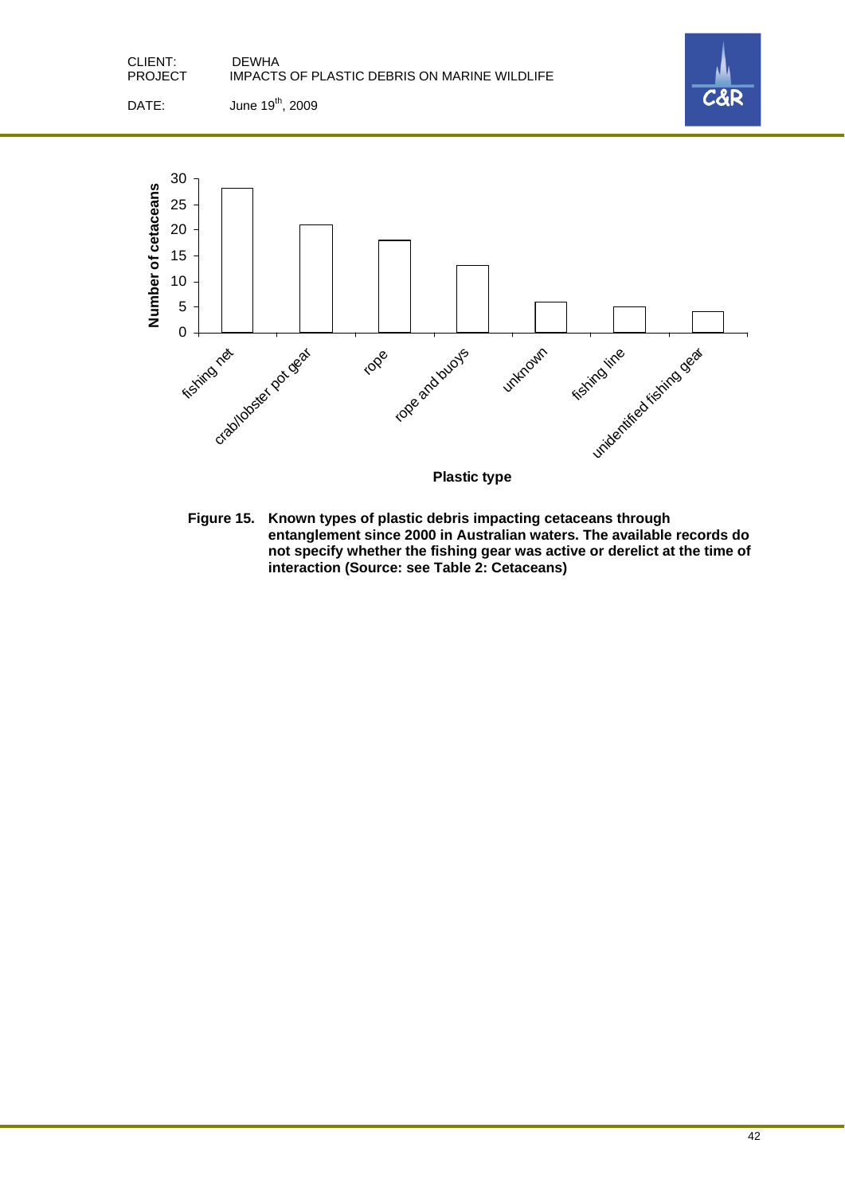





<span id="page-41-0"></span>**Figure 15. Known types of plastic debris impacting cetaceans through entanglement since 2000 in Australian waters. The available records do not specify whether the fishing gear was active or derelict at the time of interaction (Source: see Table 2: Cetaceans)**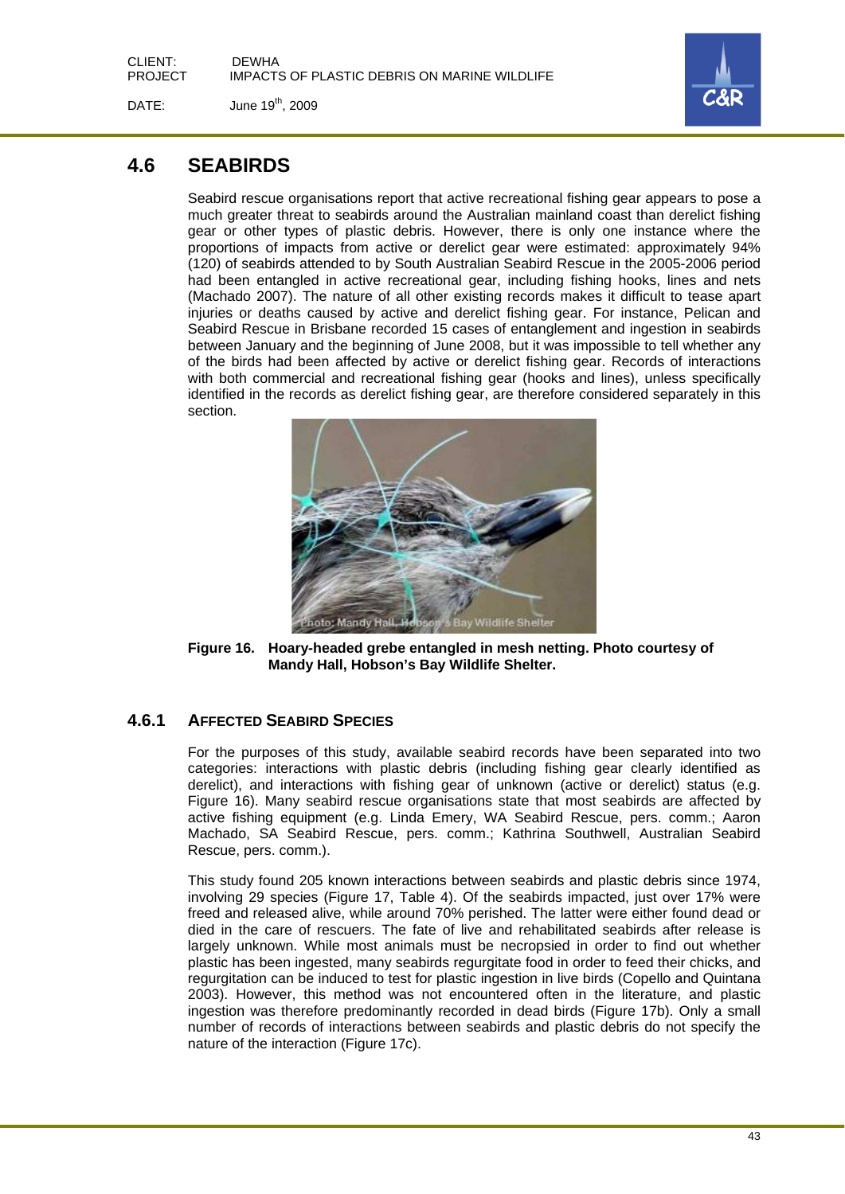DATE: June 19<sup>th</sup>, 2009



### **4.6 SEABIRDS**

Seabird rescue organisations report that active recreational fishing gear appears to pose a much greater threat to seabirds around the Australian mainland coast than derelict fishing gear or other types of plastic debris. However, there is only one instance where the proportions of impacts from active or derelict gear were estimated: approximately 94% (120) of seabirds attended to by South Australian Seabird Rescue in the 2005-2006 period had been entangled in active recreational gear, including fishing hooks, lines and nets (Machado 2007). The nature of all other existing records makes it difficult to tease apart injuries or deaths caused by active and derelict fishing gear. For instance, Pelican and Seabird Rescue in Brisbane recorded 15 cases of entanglement and ingestion in seabirds between January and the beginning of June 2008, but it was impossible to tell whether any of the birds had been affected by active or derelict fishing gear. Records of interactions with both commercial and recreational fishing gear (hooks and lines), unless specifically identified in the records as derelict fishing gear, are therefore considered separately in this section.



**Figure 16. Hoary-headed grebe entangled in mesh netting. Photo courtesy of Mandy Hall, Hobson's Bay Wildlife Shelter.** 

#### <span id="page-42-0"></span>**4.6.1 AFFECTED SEABIRD SPECIES**

For the purposes of this study, available seabird records have been separated into two categories: interactions with plastic debris (including fishing gear clearly identified as derelict), and interactions with fishing gear of unknown (active or derelict) status (e.g. [Figure 16](#page-42-0)). Many seabird rescue organisations state that most seabirds are affected by active fishing equipment (e.g. Linda Emery, WA Seabird Rescue, pers. comm.; Aaron Machado, SA Seabird Rescue, pers. comm.; Kathrina Southwell, Australian Seabird Rescue, pers. comm.).

This study found 205 known interactions between seabirds and plastic debris since 1974, involving 29 species [\(Figure 17,](#page-43-0) [Table 4](#page-44-0)). Of the seabirds impacted, just over 17% were freed and released alive, while around 70% perished. The latter were either found dead or died in the care of rescuers. The fate of live and rehabilitated seabirds after release is largely unknown. While most animals must be necropsied in order to find out whether plastic has been ingested, many seabirds regurgitate food in order to feed their chicks, and regurgitation can be induced to test for plastic ingestion in live birds (Copello and Quintana 2003). However, this method was not encountered often in the literature, and plastic ingestion was therefore predominantly recorded in dead birds ([Figure 17](#page-43-0)b). Only a small number of records of interactions between seabirds and plastic debris do not specify the nature of the interaction ([Figure 17c](#page-43-0)).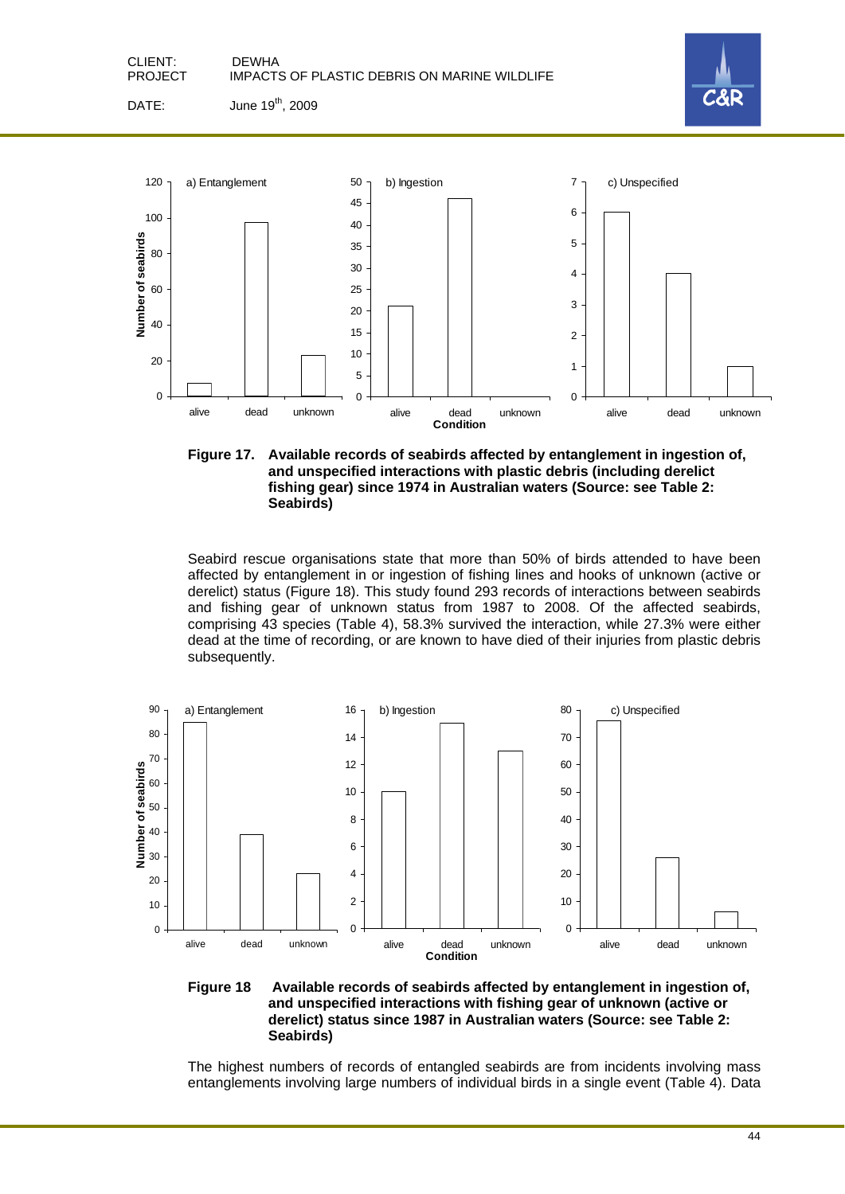

<span id="page-43-0"></span>**Figure 17. Available records of seabirds affected by entanglement in ingestion of, and unspecified interactions with plastic debris (including derelict fishing gear) since 1974 in Australian waters (Source: see Table 2: Seabirds)** 

Seabird rescue organisations state that more than 50% of birds attended to have been affected by entanglement in or ingestion of fishing lines and hooks of unknown (active or derelict) status ([Figure 18](#page-43-1)). This study found 293 records of interactions between seabirds and fishing gear of unknown status from 1987 to 2008. Of the affected seabirds, comprising 43 species [\(Table 4](#page-44-0)), 58.3% survived the interaction, while 27.3% were either dead at the time of recording, or are known to have died of their injuries from plastic debris subsequently.



#### <span id="page-43-1"></span>**Figure 18 Available records of seabirds affected by entanglement in ingestion of, and unspecified interactions with fishing gear of unknown (active or derelict) status since 1987 in Australian waters (Source: see Table 2: Seabirds)**

The highest numbers of records of entangled seabirds are from incidents involving mass entanglements involving large numbers of individual birds in a single event [\(Table 4\)](#page-44-0). Data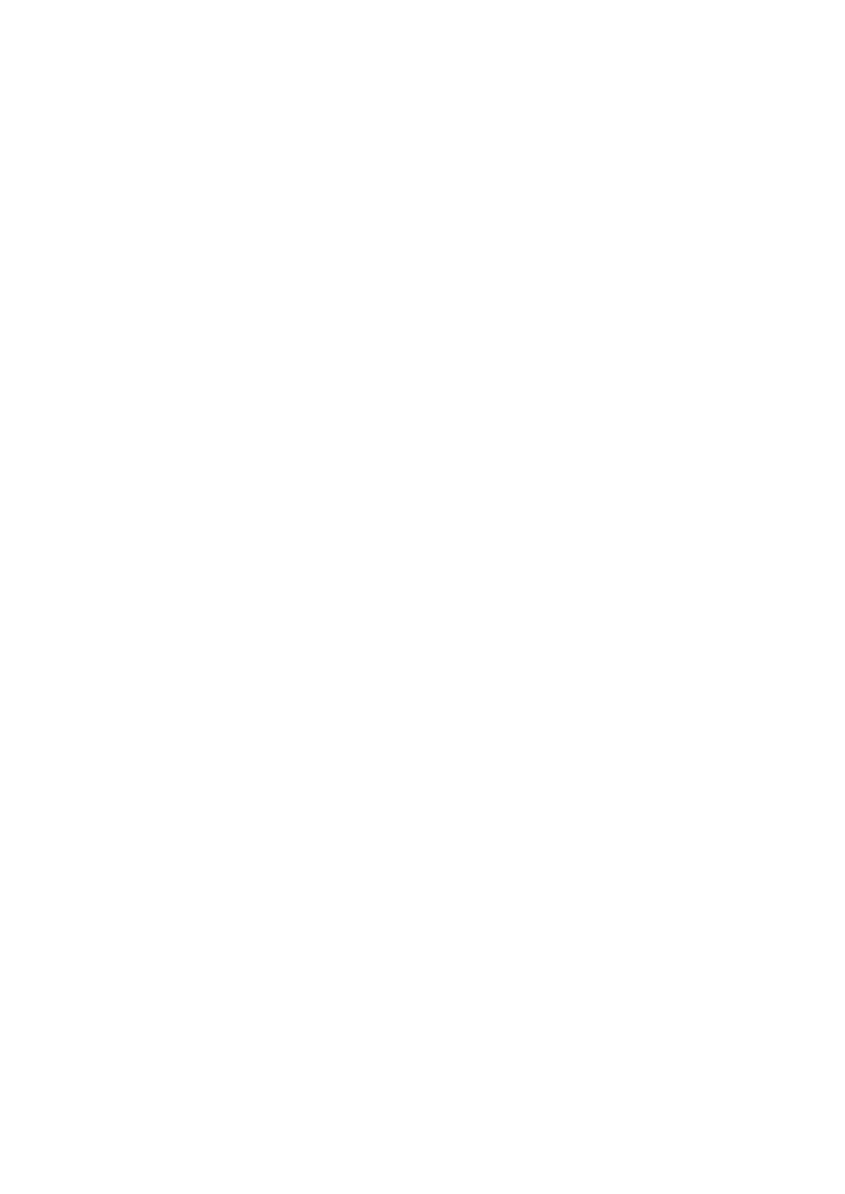June 19<sup>th</sup>, 2009

DATE:





#### Figure 12. Monthly variation in available records of cetaceans impacted by plastic debris (entanglement and ingestion) since 1998 in Australian waters (Source: see Table 2: Cetaceans).

Note: This figure does not include records summarised over a period of months or years

Available records suggest that there have been two peaks in numbers of cetaceans impacted by plastic debris over the last decade; a smaller peak in 2000 and a maximum yearly total of 29 incidents reported in 2006 (Figure 13). These peaks may correspond to peaks in data collection and reporting efforts by the Australian Government Department of the Environment, Water, Heritage and the Arts and the Qld EPA, which have contributed approximately 34% and 40% of available cetacean data respectively.

A lack of consistency in reporting makes it impossible to estimate an annual average entanglement or ingestion rate on a national scale, although such estimates have been made for specific parts of the Australian coastline. For example, Project Dolphin Safe attends to between one and four dolphin entanglements per year in the Adelaide region (Aaron Machado, SA Seabird Rescue, pers. comm.), and another study suggests that dolphin entanglements in the Spencer Gulf (SA) have increased dramatically since 2001 (Gedamke 2007). It is not possible to ascertain the status of any fishing gear (active or derelict) causing these entanglements.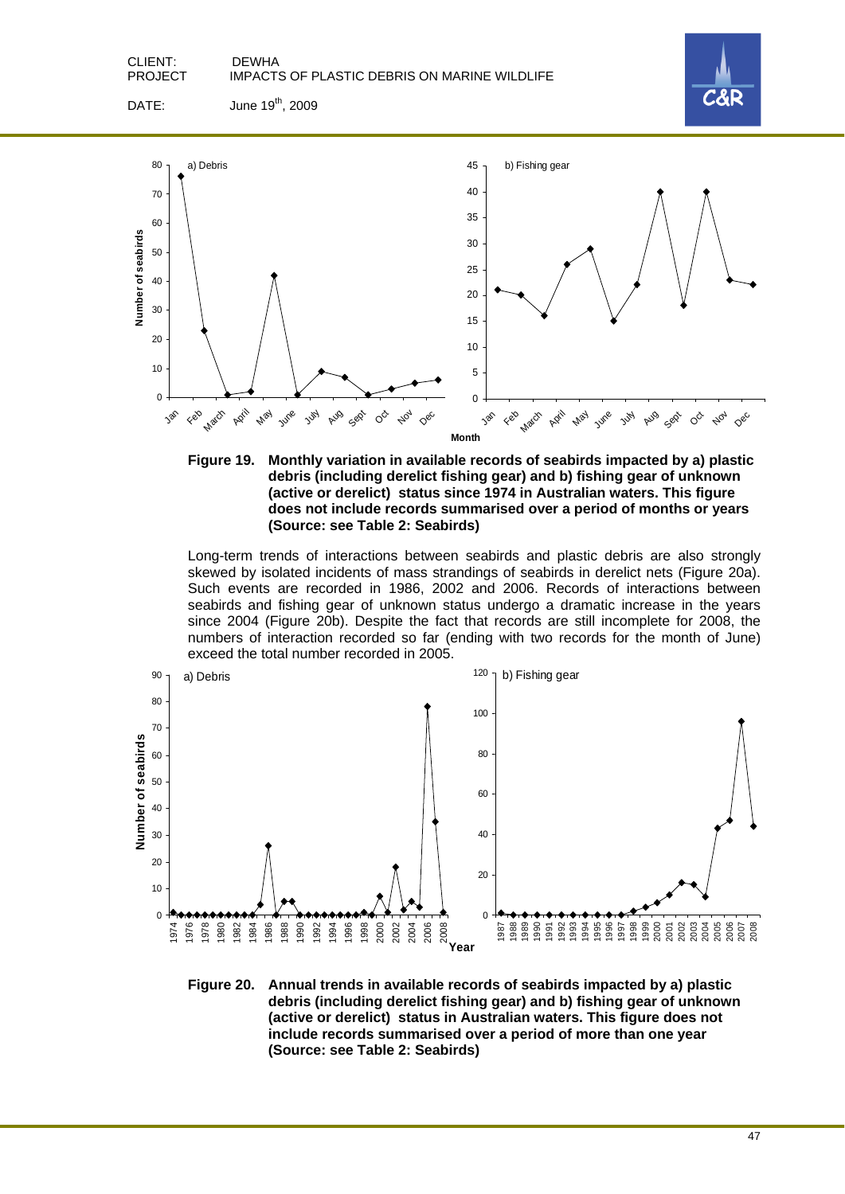



<span id="page-46-0"></span>

Long-term trends of interactions between seabirds and plastic debris are also strongly skewed by isolated incidents of mass strandings of seabirds in derelict nets [\(Figure 20a](#page-46-1)). Such events are recorded in 1986, 2002 and 2006. Records of interactions between seabirds and fishing gear of unknown status undergo a dramatic increase in the years since 2004 [\(Figure 20](#page-46-1)b). Despite the fact that records are still incomplete for 2008, the numbers of interaction recorded so far (ending with two records for the month of June) exceed the total number recorded in 2005.



<span id="page-46-1"></span>**Figure 20. Annual trends in available records of seabirds impacted by a) plastic debris (including derelict fishing gear) and b) fishing gear of unknown (active or derelict) status in Australian waters. This figure does not include records summarised over a period of more than one year (Source: see Table 2: Seabirds)**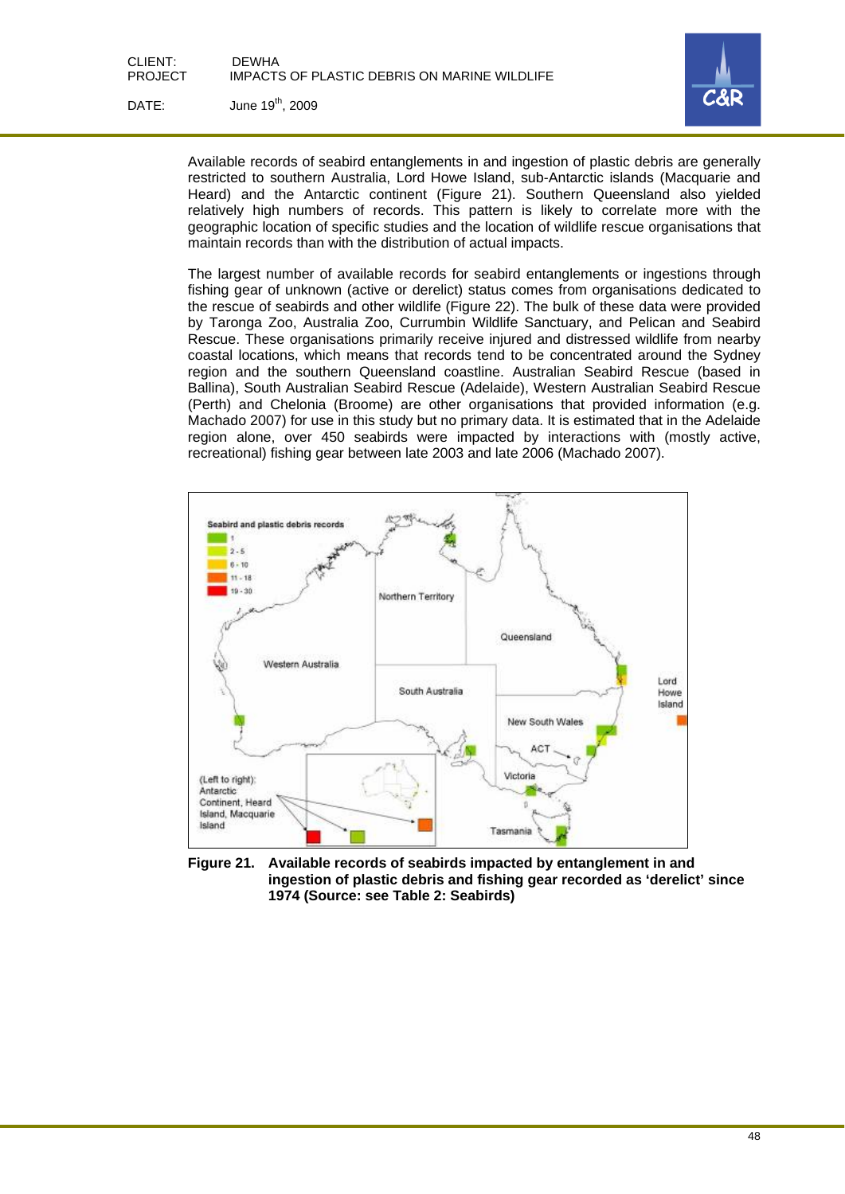

Available records of seabird entanglements in and ingestion of plastic debris are generally restricted to southern Australia, Lord Howe Island, sub-Antarctic islands (Macquarie and Heard) and the Antarctic continent [\(Figure 21\)](#page-47-0). Southern Queensland also yielded relatively high numbers of records. This pattern is likely to correlate more with the geographic location of specific studies and the location of wildlife rescue organisations that maintain records than with the distribution of actual impacts.

The largest number of available records for seabird entanglements or ingestions through fishing gear of unknown (active or derelict) status comes from organisations dedicated to the rescue of seabirds and other wildlife [\(Figure 22\)](#page-48-0). The bulk of these data were provided by Taronga Zoo, Australia Zoo, Currumbin Wildlife Sanctuary, and Pelican and Seabird Rescue. These organisations primarily receive injured and distressed wildlife from nearby coastal locations, which means that records tend to be concentrated around the Sydney region and the southern Queensland coastline. Australian Seabird Rescue (based in Ballina), South Australian Seabird Rescue (Adelaide), Western Australian Seabird Rescue (Perth) and Chelonia (Broome) are other organisations that provided information (e.g. Machado 2007) for use in this study but no primary data. It is estimated that in the Adelaide region alone, over 450 seabirds were impacted by interactions with (mostly active, recreational) fishing gear between late 2003 and late 2006 (Machado 2007).



<span id="page-47-0"></span>**Figure 21. Available records of seabirds impacted by entanglement in and ingestion of plastic debris and fishing gear recorded as 'derelict' since 1974 (Source: see Table 2: Seabirds)**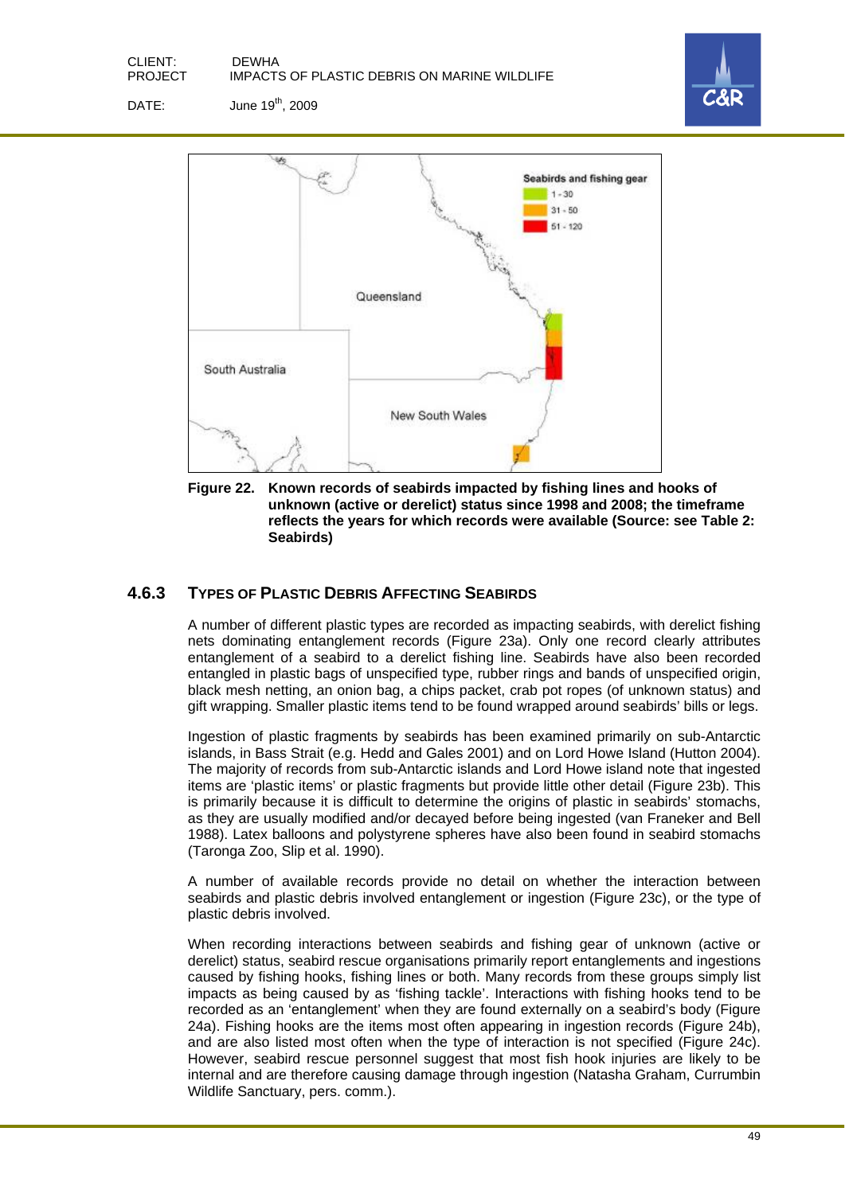DATE: June 19<sup>th</sup>, 2009





**Figure 22. Known records of seabirds impacted by fishing lines and hooks of unknown (active or derelict) status since 1998 and 2008; the timeframe reflects the years for which records were available (Source: see Table 2: Seabirds)** 

#### <span id="page-48-0"></span>**4.6.3 TYPES OF PLASTIC DEBRIS AFFECTING SEABIRDS**

A number of different plastic types are recorded as impacting seabirds, with derelict fishing nets dominating entanglement records [\(Figure 23a](#page-49-0)). Only one record clearly attributes entanglement of a seabird to a derelict fishing line. Seabirds have also been recorded entangled in plastic bags of unspecified type, rubber rings and bands of unspecified origin, black mesh netting, an onion bag, a chips packet, crab pot ropes (of unknown status) and gift wrapping. Smaller plastic items tend to be found wrapped around seabirds' bills or legs.

Ingestion of plastic fragments by seabirds has been examined primarily on sub-Antarctic islands, in Bass Strait (e.g. Hedd and Gales 2001) and on Lord Howe Island (Hutton 2004). The majority of records from sub-Antarctic islands and Lord Howe island note that ingested items are 'plastic items' or plastic fragments but provide little other detail [\(Figure 23b](#page-49-0)). This is primarily because it is difficult to determine the origins of plastic in seabirds' stomachs, as they are usually modified and/or decayed before being ingested (van Franeker and Bell 1988). Latex balloons and polystyrene spheres have also been found in seabird stomachs (Taronga Zoo, Slip et al. 1990).

A number of available records provide no detail on whether the interaction between seabirds and plastic debris involved entanglement or ingestion ([Figure 23c](#page-49-0)), or the type of plastic debris involved.

When recording interactions between seabirds and fishing gear of unknown (active or derelict) status, seabird rescue organisations primarily report entanglements and ingestions caused by fishing hooks, fishing lines or both. Many records from these groups simply list impacts as being caused by as 'fishing tackle'. Interactions with fishing hooks tend to be recorded as an 'entanglement' when they are found externally on a seabird's body ([Figure](#page-50-0)  [24a](#page-50-0)). Fishing hooks are the items most often appearing in ingestion records [\(Figure 24b](#page-50-0)), and are also listed most often when the type of interaction is not specified [\(Figure 24c](#page-50-0)). However, seabird rescue personnel suggest that most fish hook injuries are likely to be internal and are therefore causing damage through ingestion (Natasha Graham, Currumbin Wildlife Sanctuary, pers. comm.).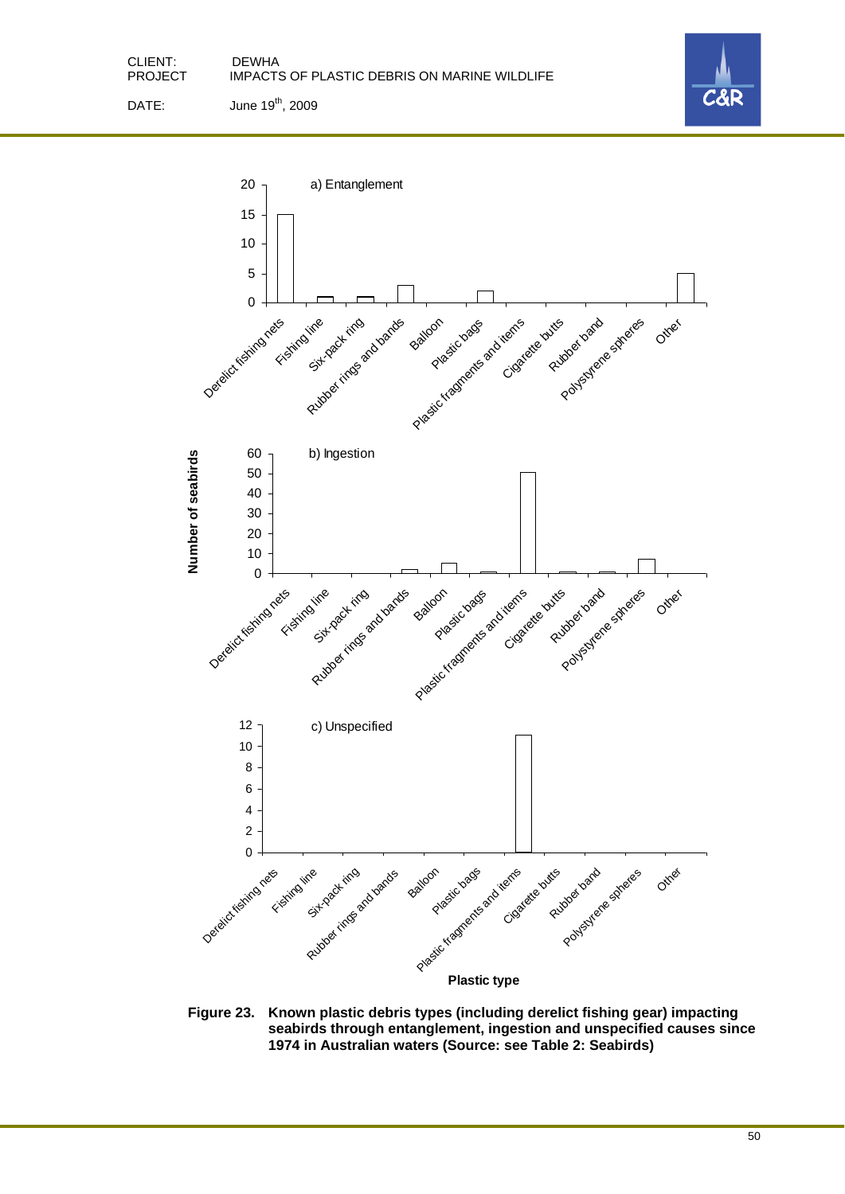



<span id="page-49-0"></span>**Figure 23. Known plastic debris types (including derelict fishing gear) impacting seabirds through entanglement, ingestion and unspecified causes since 1974 in Australian waters (Source: see Table 2: Seabirds)**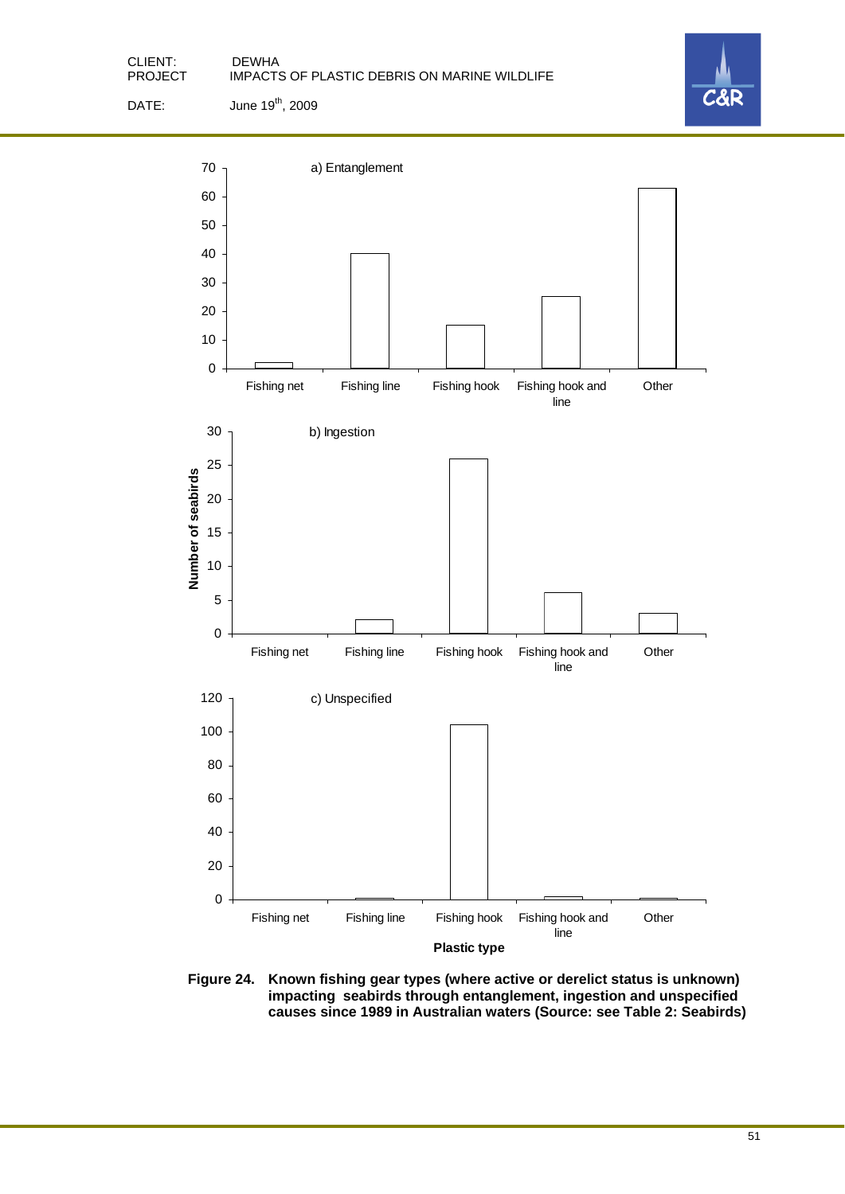DATE:

June 19<sup>th</sup>, 2009



70 a) Entanglement 60 50 40 30 20 10 0 Fishing net Fishing line Fishing hook Fishing hook and **Other** line 30 b) Ingestion 25 Number of seabirds **Number of seabirds** 20 15 10 5 0 Fishing net Fishing line Fishing hook Fishing hook and **Other** line 120 c) Unspecified 100 80 60 40 20 0 Fishing net Fishing line Fishing hook Fishing hook and **Other** line **Plastic type**

<span id="page-50-0"></span>**Figure 24. Known fishing gear types (where active or derelict status is unknown) impacting seabirds through entanglement, ingestion and unspecified causes since 1989 in Australian waters (Source: see Table 2: Seabirds)**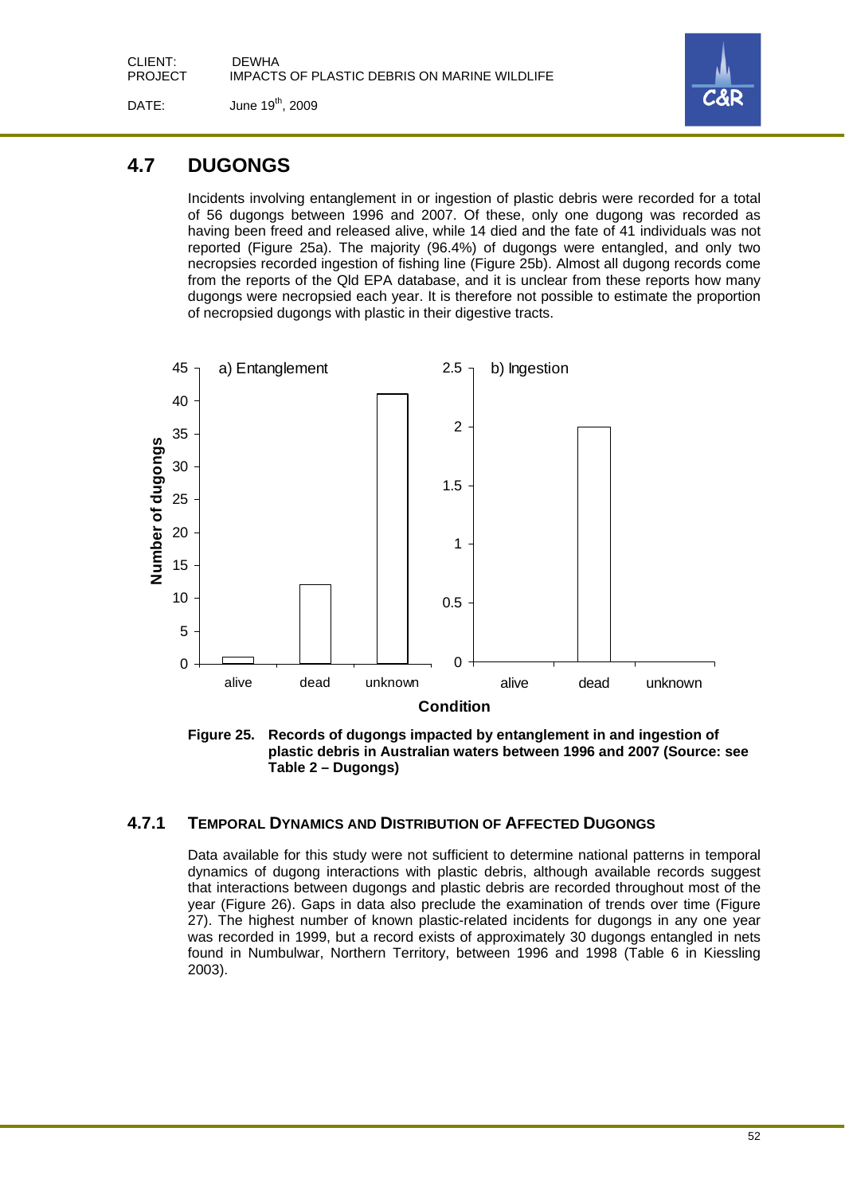

# **4.7 DUGONGS**

DATE: June 19<sup>th</sup>, 2009

Incidents involving entanglement in or ingestion of plastic debris were recorded for a total of 56 dugongs between 1996 and 2007. Of these, only one dugong was recorded as having been freed and released alive, while 14 died and the fate of 41 individuals was not reported ([Figure 25](#page-51-0)a). The majority (96.4%) of dugongs were entangled, and only two necropsies recorded ingestion of fishing line ([Figure 25](#page-51-0)b). Almost all dugong records come from the reports of the Qld EPA database, and it is unclear from these reports how many dugongs were necropsied each year. It is therefore not possible to estimate the proportion of necropsied dugongs with plastic in their digestive tracts.





#### <span id="page-51-0"></span>**4.7.1 TEMPORAL DYNAMICS AND DISTRIBUTION OF AFFECTED DUGONGS**

Data available for this study were not sufficient to determine national patterns in temporal dynamics of dugong interactions with plastic debris, although available records suggest that interactions between dugongs and plastic debris are recorded throughout most of the year [\(Figure 26](#page-52-0)). Gaps in data also preclude the examination of trends over time ([Figure](#page-52-1)  [27\)](#page-52-1). The highest number of known plastic-related incidents for dugongs in any one year was recorded in 1999, but a record exists of approximately 30 dugongs entangled in nets found in Numbulwar, Northern Territory, between 1996 and 1998 (Table 6 in Kiessling 2003).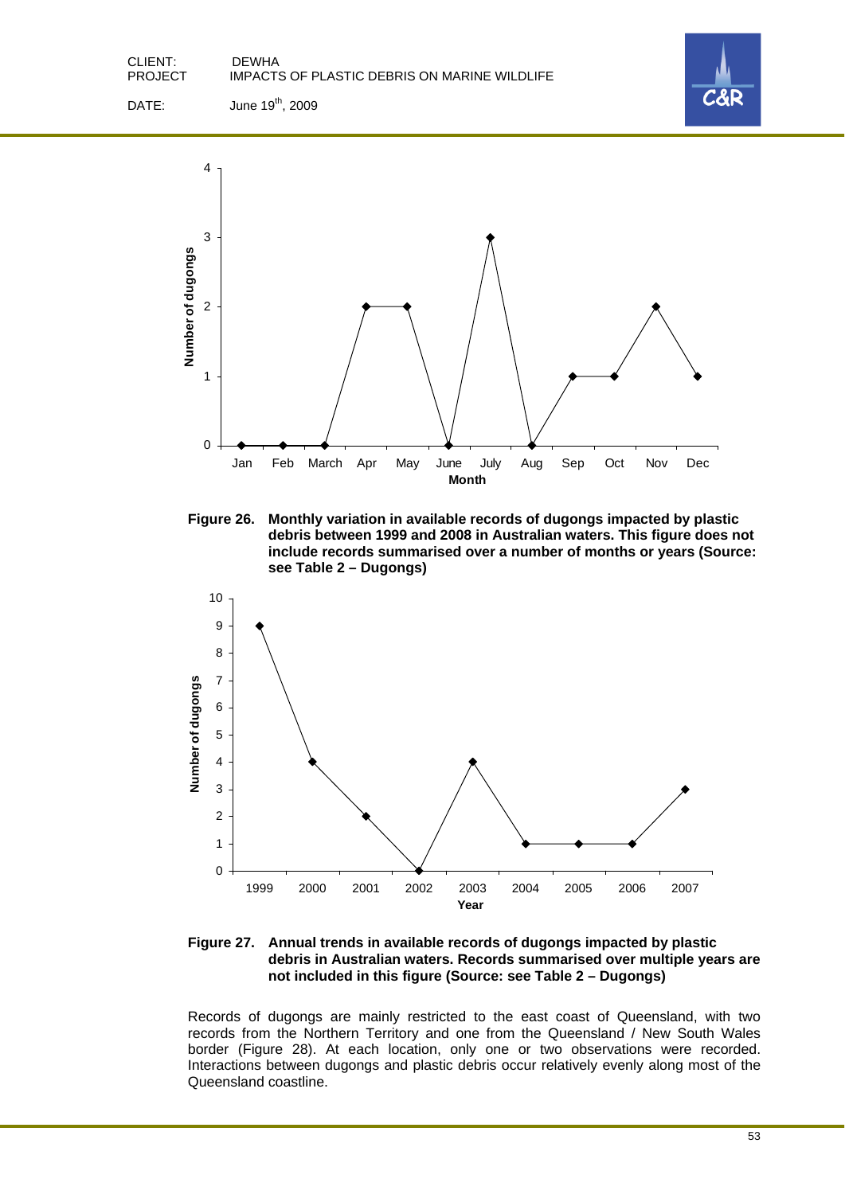



<span id="page-52-0"></span>**Figure 26. Monthly variation in available records of dugongs impacted by plastic debris between 1999 and 2008 in Australian waters. This figure does not include records summarised over a number of months or years (Source: see Table 2 – Dugongs)** 



<span id="page-52-1"></span>**Figure 27. Annual trends in available records of dugongs impacted by plastic debris in Australian waters. Records summarised over multiple years are not included in this figure (Source: see Table 2 – Dugongs)** 

Records of dugongs are mainly restricted to the east coast of Queensland, with two records from the Northern Territory and one from the Queensland / New South Wales border [\(Figure 28](#page-53-0)). At each location, only one or two observations were recorded. Interactions between dugongs and plastic debris occur relatively evenly along most of the Queensland coastline.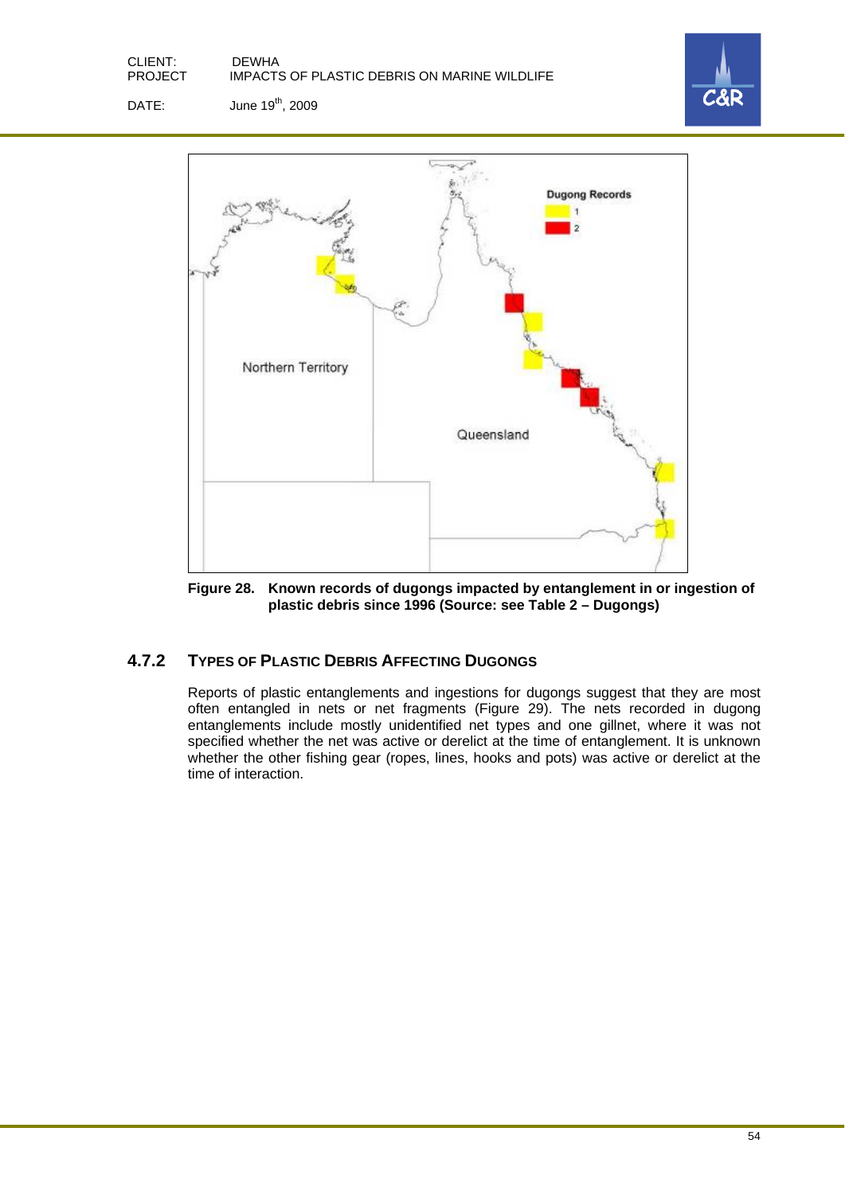



**Figure 28. Known records of dugongs impacted by entanglement in or ingestion of plastic debris since 1996 (Source: see Table 2 – Dugongs)** 

### <span id="page-53-0"></span>**4.7.2 TYPES OF PLASTIC DEBRIS AFFECTING DUGONGS**

Reports of plastic entanglements and ingestions for dugongs suggest that they are most often entangled in nets or net fragments ([Figure 29](#page-54-0)). The nets recorded in dugong entanglements include mostly unidentified net types and one gillnet, where it was not specified whether the net was active or derelict at the time of entanglement. It is unknown whether the other fishing gear (ropes, lines, hooks and pots) was active or derelict at the time of interaction.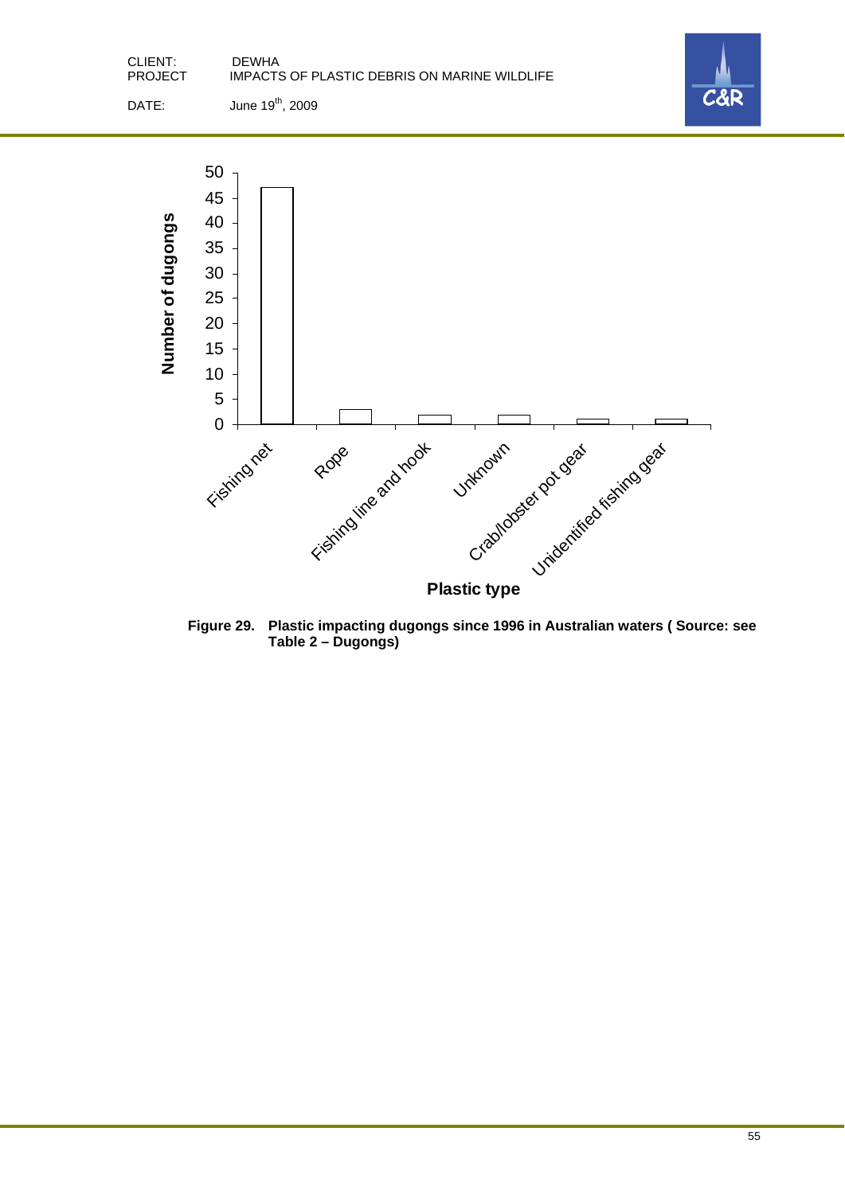



15

<span id="page-54-0"></span>**Figure 29. Plastic impacting dugongs since 1996 in Australian waters ( Source: see Table 2 – Dugongs)**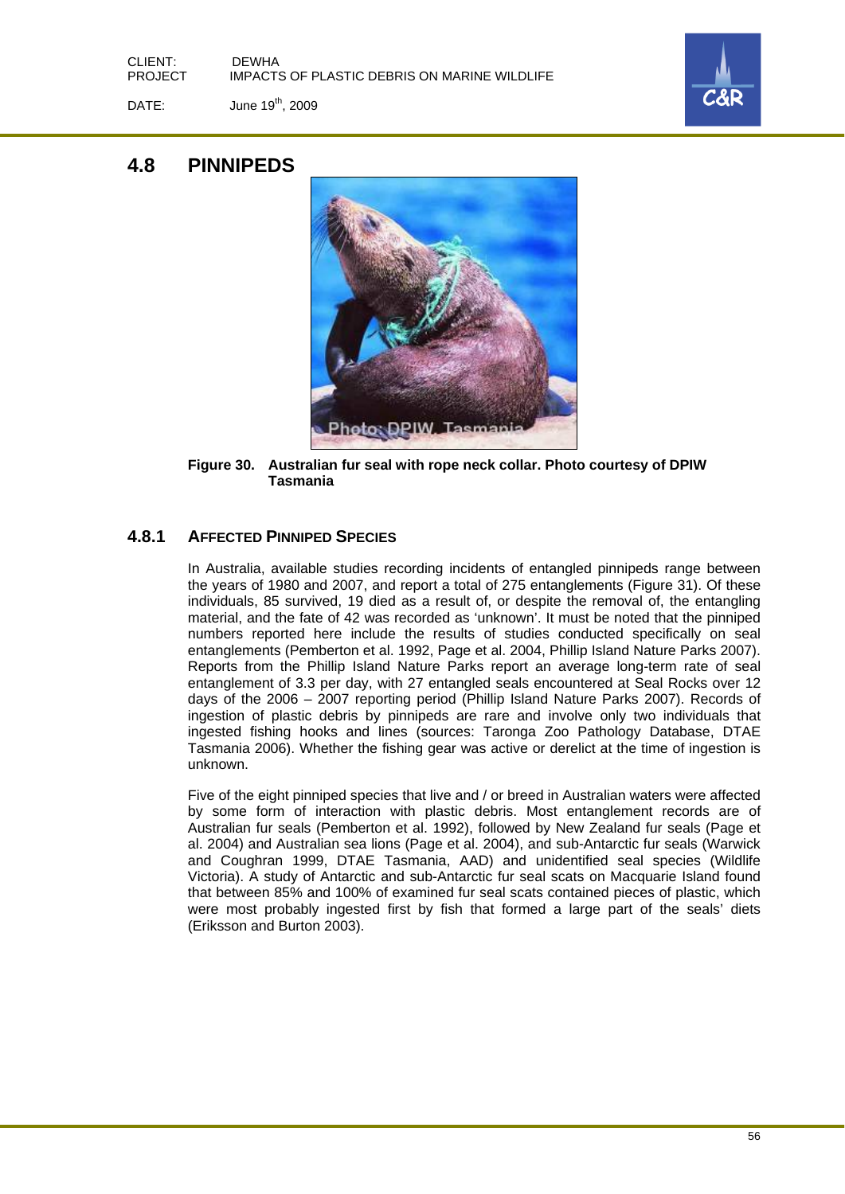

### **4.8 PINNIPEDS**



**Figure 30. Australian fur seal with rope neck collar. Photo courtesy of DPIW Tasmania** 

#### **4.8.1 AFFECTED PINNIPED SPECIES**

In Australia, available studies recording incidents of entangled pinnipeds range between the years of 1980 and 2007, and report a total of 275 entanglements ([Figure 31\)](#page-56-0). Of these individuals, 85 survived, 19 died as a result of, or despite the removal of, the entangling material, and the fate of 42 was recorded as 'unknown'. It must be noted that the pinniped numbers reported here include the results of studies conducted specifically on seal entanglements (Pemberton et al. 1992, Page et al. 2004, Phillip Island Nature Parks 2007). Reports from the Phillip Island Nature Parks report an average long-term rate of seal entanglement of 3.3 per day, with 27 entangled seals encountered at Seal Rocks over 12 days of the 2006 – 2007 reporting period (Phillip Island Nature Parks 2007). Records of ingestion of plastic debris by pinnipeds are rare and involve only two individuals that ingested fishing hooks and lines (sources: Taronga Zoo Pathology Database, DTAE Tasmania 2006). Whether the fishing gear was active or derelict at the time of ingestion is unknown.

Five of the eight pinniped species that live and / or breed in Australian waters were affected by some form of interaction with plastic debris. Most entanglement records are of Australian fur seals (Pemberton et al. 1992), followed by New Zealand fur seals (Page et al. 2004) and Australian sea lions (Page et al. 2004), and sub-Antarctic fur seals (Warwick and Coughran 1999, DTAE Tasmania, AAD) and unidentified seal species (Wildlife Victoria). A study of Antarctic and sub-Antarctic fur seal scats on Macquarie Island found that between 85% and 100% of examined fur seal scats contained pieces of plastic, which were most probably ingested first by fish that formed a large part of the seals' diets (Eriksson and Burton 2003).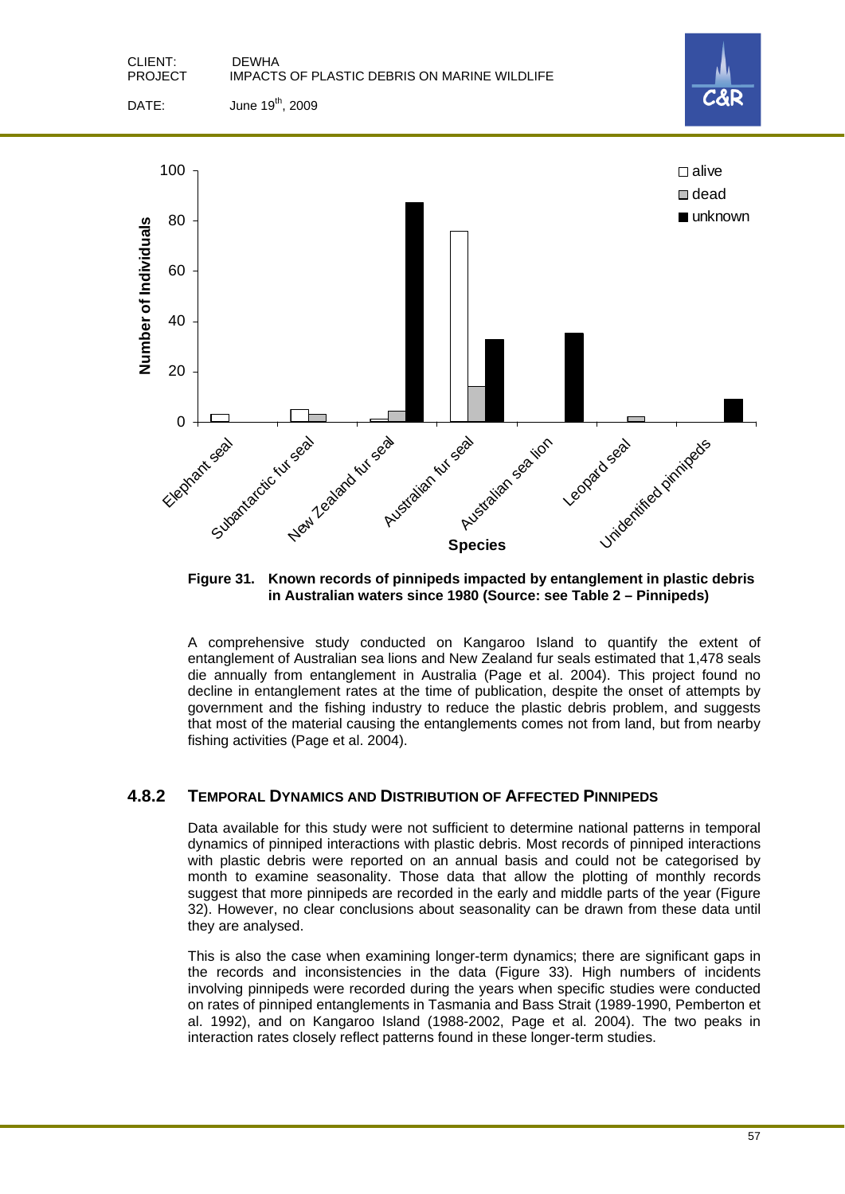



<span id="page-56-0"></span>**Figure 31. Known records of pinnipeds impacted by entanglement in plastic debris in Australian waters since 1980 (Source: see Table 2 – Pinnipeds)** 

A comprehensive study conducted on Kangaroo Island to quantify the extent of entanglement of Australian sea lions and New Zealand fur seals estimated that 1,478 seals die annually from entanglement in Australia (Page et al. 2004). This project found no decline in entanglement rates at the time of publication, despite the onset of attempts by government and the fishing industry to reduce the plastic debris problem, and suggests that most of the material causing the entanglements comes not from land, but from nearby fishing activities (Page et al. 2004).

### **4.8.2 TEMPORAL DYNAMICS AND DISTRIBUTION OF AFFECTED PINNIPEDS**

Data available for this study were not sufficient to determine national patterns in temporal dynamics of pinniped interactions with plastic debris. Most records of pinniped interactions with plastic debris were reported on an annual basis and could not be categorised by month to examine seasonality. Those data that allow the plotting of monthly records suggest that more pinnipeds are recorded in the early and middle parts of the year ([Figure](#page-57-0)  [32\)](#page-57-0). However, no clear conclusions about seasonality can be drawn from these data until they are analysed.

This is also the case when examining longer-term dynamics; there are significant gaps in the records and inconsistencies in the data [\(Figure 33\)](#page-57-1). High numbers of incidents involving pinnipeds were recorded during the years when specific studies were conducted on rates of pinniped entanglements in Tasmania and Bass Strait (1989-1990, Pemberton et al. 1992), and on Kangaroo Island (1988-2002, Page et al. 2004). The two peaks in interaction rates closely reflect patterns found in these longer-term studies.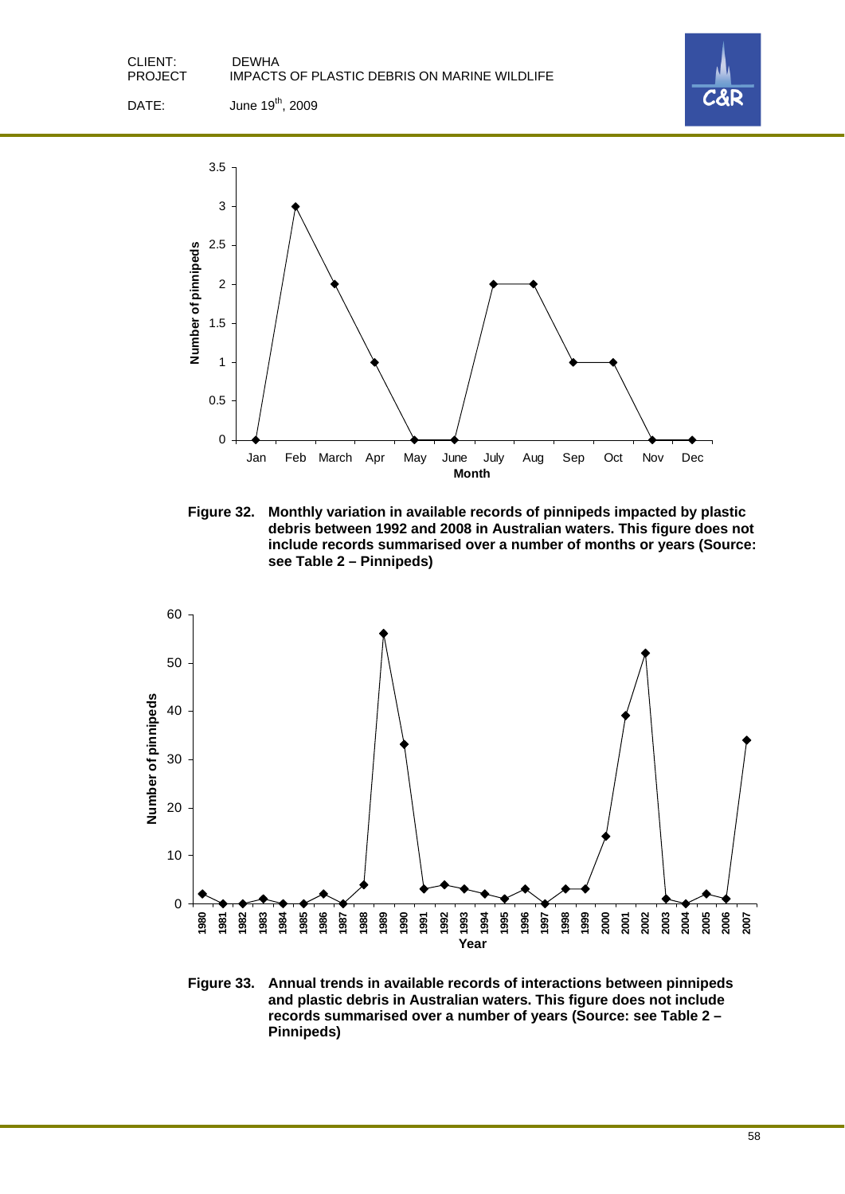





**Figure 32. Monthly variation in available records of pinnipeds impacted by plastic debris between 1992 and 2008 in Australian waters. This figure does not include records summarised over a number of months or years (Source: see Table 2 – Pinnipeds)** 

<span id="page-57-0"></span>

<span id="page-57-1"></span>**Figure 33. Annual trends in available records of interactions between pinnipeds and plastic debris in Australian waters. This figure does not include records summarised over a number of years (Source: see Table 2 – Pinnipeds)**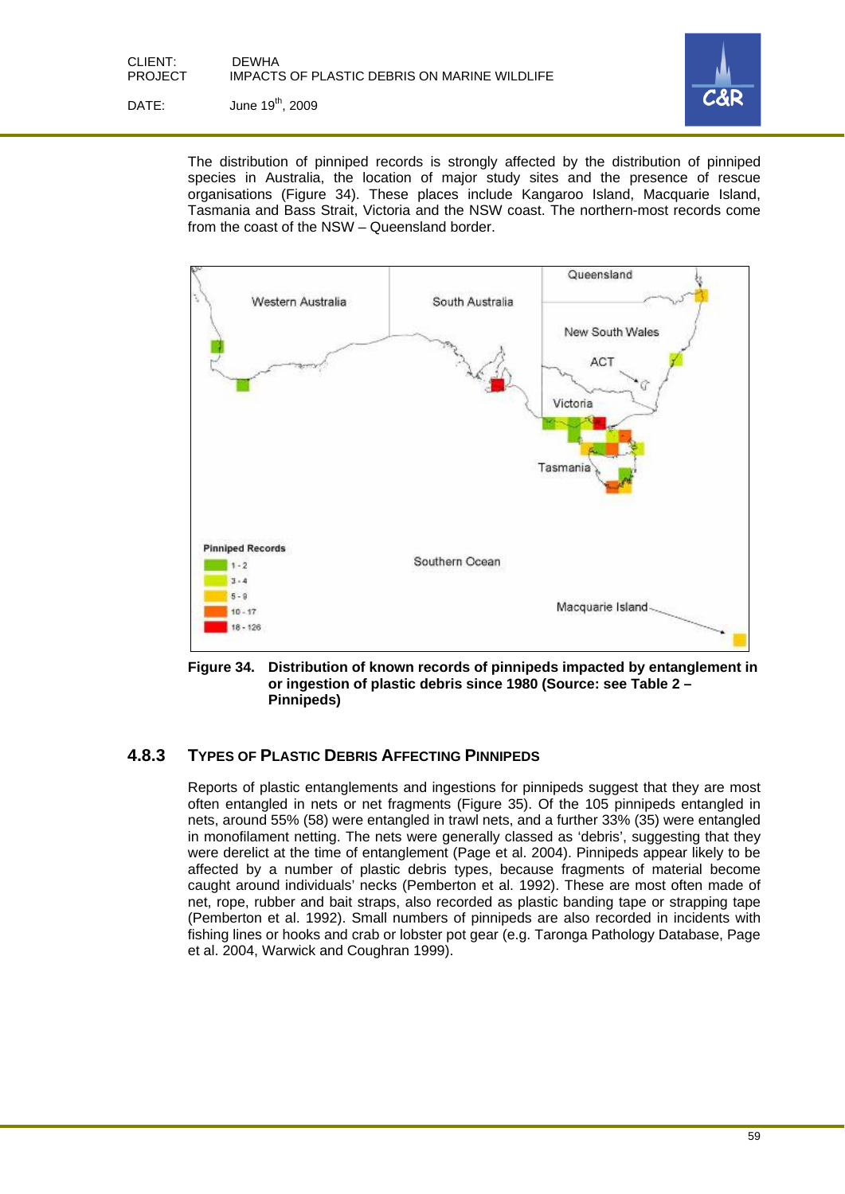

The distribution of pinniped records is strongly affected by the distribution of pinniped species in Australia, the location of major study sites and the presence of rescue organisations ([Figure 34\)](#page-58-0). These places include Kangaroo Island, Macquarie Island, Tasmania and Bass Strait, Victoria and the NSW coast. The northern-most records come from the coast of the NSW – Queensland border.



**Figure 34. Distribution of known records of pinnipeds impacted by entanglement in or ingestion of plastic debris since 1980 (Source: see Table 2 – Pinnipeds)** 

### <span id="page-58-0"></span>**4.8.3 TYPES OF PLASTIC DEBRIS AFFECTING PINNIPEDS**

Reports of plastic entanglements and ingestions for pinnipeds suggest that they are most often entangled in nets or net fragments [\(Figure 35](#page-59-0)). Of the 105 pinnipeds entangled in nets, around 55% (58) were entangled in trawl nets, and a further 33% (35) were entangled in monofilament netting. The nets were generally classed as 'debris', suggesting that they were derelict at the time of entanglement (Page et al. 2004). Pinnipeds appear likely to be affected by a number of plastic debris types, because fragments of material become caught around individuals' necks (Pemberton et al. 1992). These are most often made of net, rope, rubber and bait straps, also recorded as plastic banding tape or strapping tape (Pemberton et al. 1992). Small numbers of pinnipeds are also recorded in incidents with fishing lines or hooks and crab or lobster pot gear (e.g. Taronga Pathology Database, Page et al. 2004, Warwick and Coughran 1999).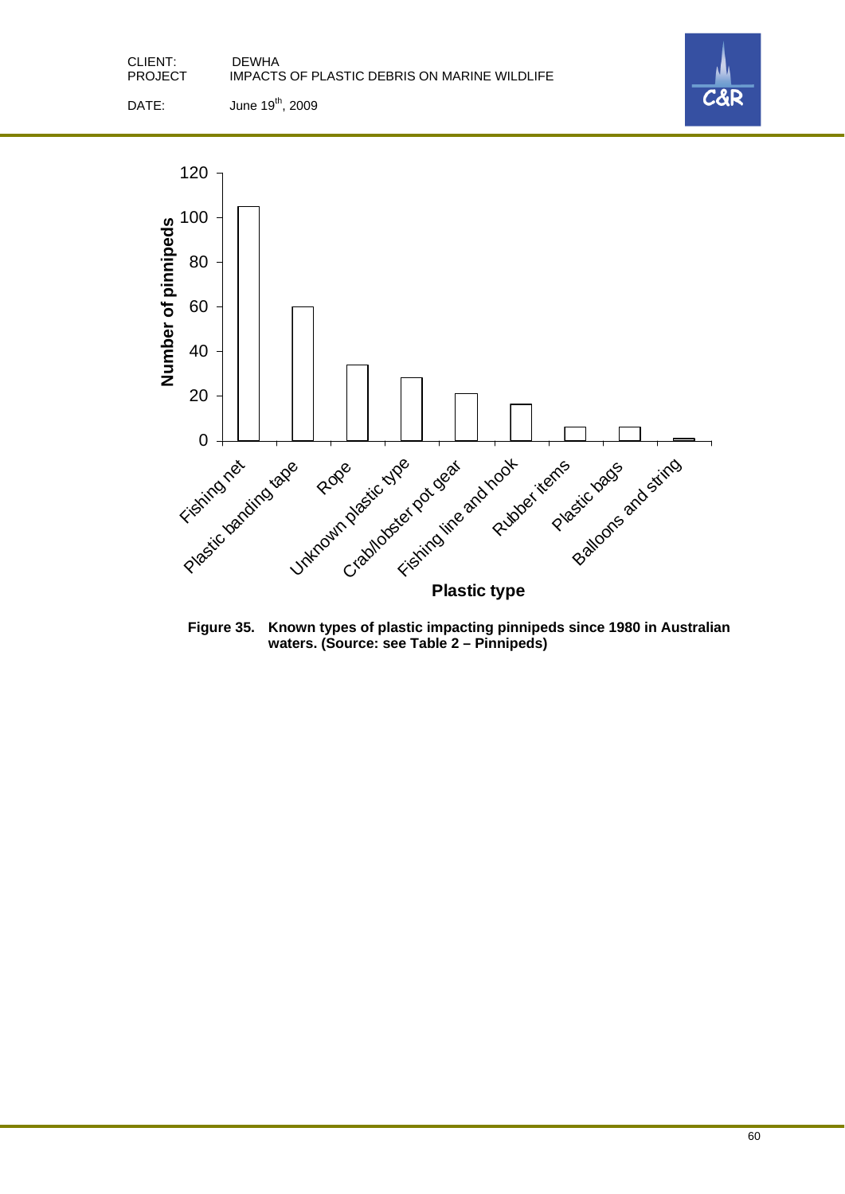



<span id="page-59-0"></span>**Figure 35. Known types of plastic impacting pinnipeds since 1980 in Australian waters. (Source: see Table 2 – Pinnipeds)**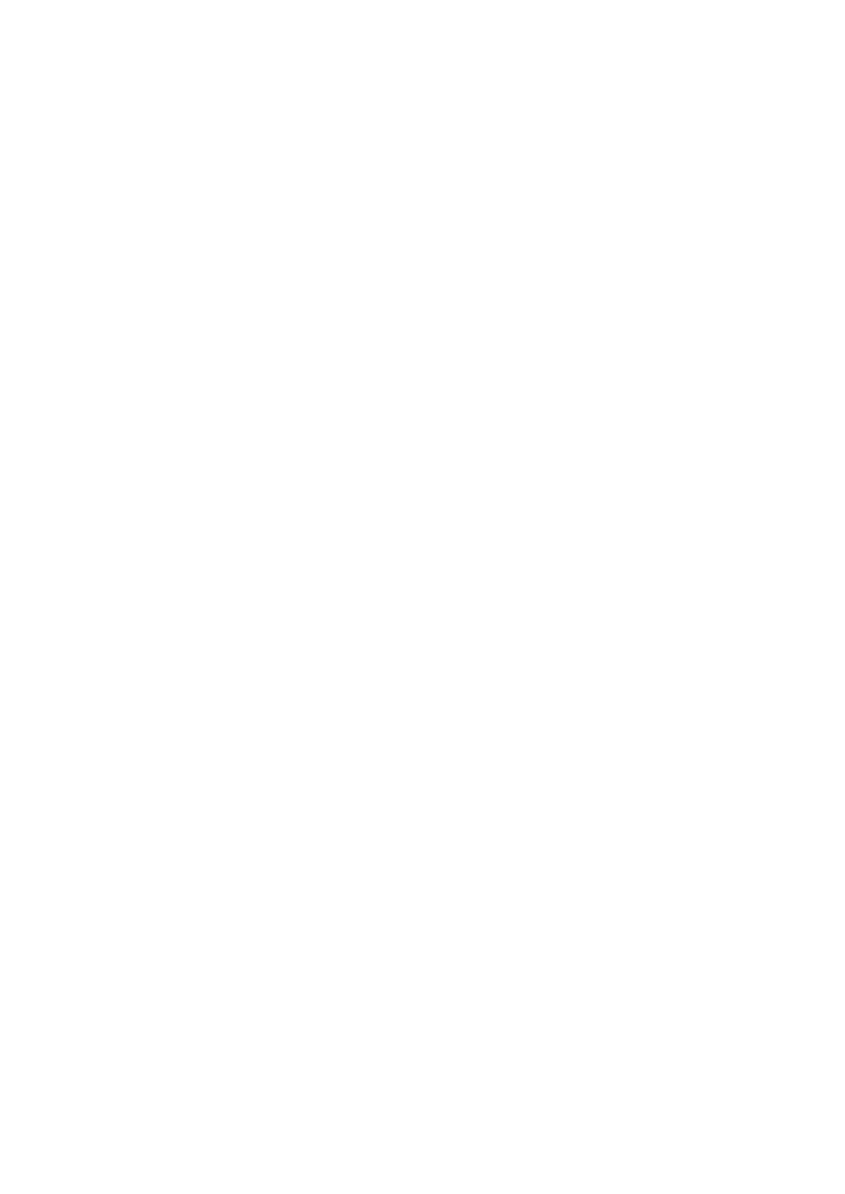

June 19<sup>th</sup>, 2009 DATE:

> Worldwide, over 26 species of odontocetes (toothed whales and dolphins) have been reported to ingest plastic debris (Baird and Hooker 2000). In Australia, deaths and injuries of 14 species of cetaceans could be attributed directly to interactions with plastic debris between 1998 and 2008. A further 11 species were found dead for unknown reasons. Humpback whales dominated the available records, probably due to their relatively large population and their tendency to undertake annual migrations close to the east and west coasts of Australia (Figure 11a). Other identified species affected by entanglement were southern right whales, common dolphins, Indo-Pacific humpbacked and bottlenose dolphins, Australian snubfin dolphins, and a rare beaked whale (family Ziiphidae, species not given).

> The most notable record of plastic ingestion in a cetacean was in a Bryde's whale, found in Cairns in August 2000 with a stomach full of plastic litter, photographs of which were used for educational purposes (Haines and Limpus 2000b). Three bottlenose dolphins were recorded in Victoria with fishing hooks in their digestive tract (K. Charlton, Monash University) and dietary studies on sperm whales found plastic fragments in the stomachs of four individuals (Evans and Hindell 2004) (Figure 11b). The four sperm whales, recorded in Tasmania, were part of a study investigating the stomach contents of two groups of sperm whales that had stranded en masse in Strahan and Marrawah, northwestern Tasmania. Overall, these four whales represent 11.1% of all animals necropsied during this study. However, it was stated that complete stomach contents were only examined for 47% of the stranded animals (Evans and Hindell 2004). A necropsy of a pygmy southern right whale found on Maria Island (Tasmania) revealed that the animal had ingested a chainsaw file cover and a cap from a 20-litre drum (Glenn Atkinson, DPIW Tasmania, pers. comm.).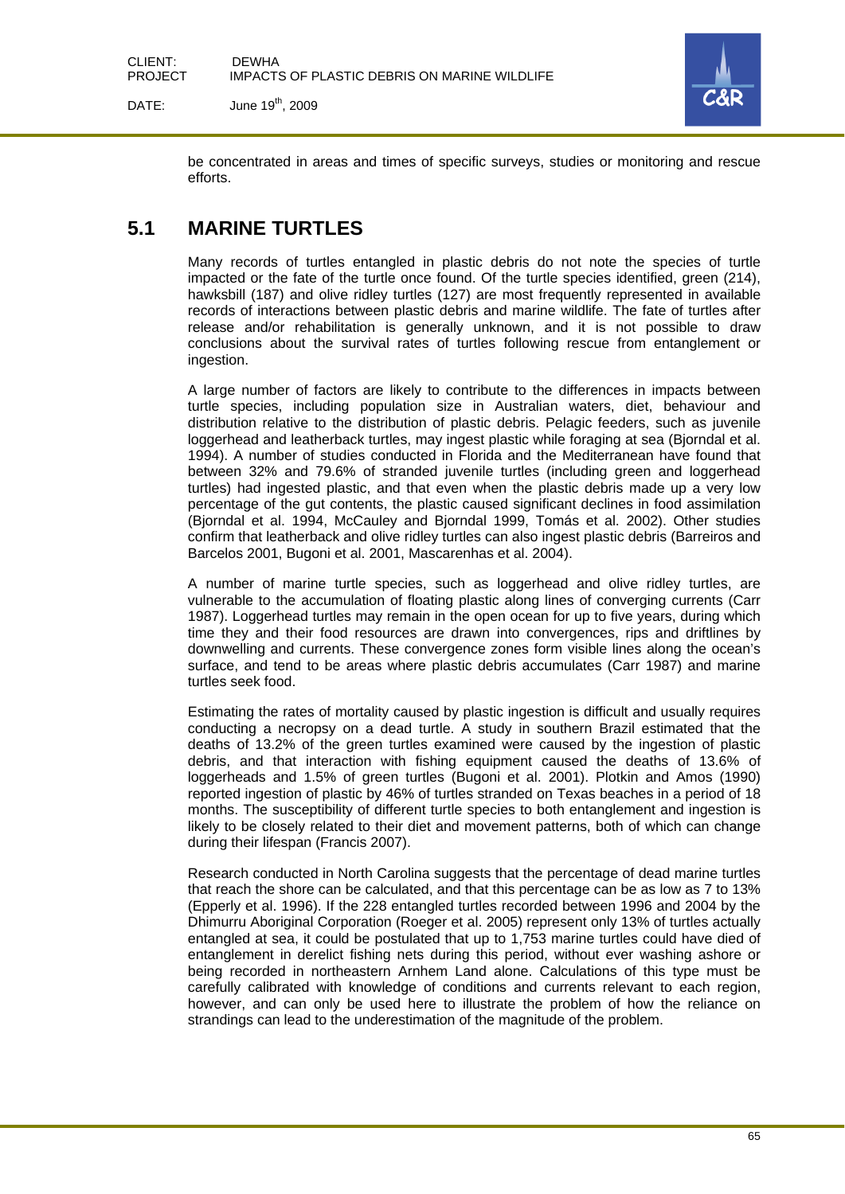

be concentrated in areas and times of specific surveys, studies or monitoring and rescue efforts.

### **5.1 MARINE TURTLES**

Many records of turtles entangled in plastic debris do not note the species of turtle impacted or the fate of the turtle once found. Of the turtle species identified, green (214), hawksbill (187) and olive ridley turtles (127) are most frequently represented in available records of interactions between plastic debris and marine wildlife. The fate of turtles after release and/or rehabilitation is generally unknown, and it is not possible to draw conclusions about the survival rates of turtles following rescue from entanglement or ingestion.

A large number of factors are likely to contribute to the differences in impacts between turtle species, including population size in Australian waters, diet, behaviour and distribution relative to the distribution of plastic debris. Pelagic feeders, such as juvenile loggerhead and leatherback turtles, may ingest plastic while foraging at sea (Bjorndal et al. 1994). A number of studies conducted in Florida and the Mediterranean have found that between 32% and 79.6% of stranded juvenile turtles (including green and loggerhead turtles) had ingested plastic, and that even when the plastic debris made up a very low percentage of the gut contents, the plastic caused significant declines in food assimilation (Bjorndal et al. 1994, McCauley and Bjorndal 1999, Tomás et al. 2002). Other studies confirm that leatherback and olive ridley turtles can also ingest plastic debris (Barreiros and Barcelos 2001, Bugoni et al. 2001, Mascarenhas et al. 2004).

A number of marine turtle species, such as loggerhead and olive ridley turtles, are vulnerable to the accumulation of floating plastic along lines of converging currents (Carr 1987). Loggerhead turtles may remain in the open ocean for up to five years, during which time they and their food resources are drawn into convergences, rips and driftlines by downwelling and currents. These convergence zones form visible lines along the ocean's surface, and tend to be areas where plastic debris accumulates (Carr 1987) and marine turtles seek food.

Estimating the rates of mortality caused by plastic ingestion is difficult and usually requires conducting a necropsy on a dead turtle. A study in southern Brazil estimated that the deaths of 13.2% of the green turtles examined were caused by the ingestion of plastic debris, and that interaction with fishing equipment caused the deaths of 13.6% of loggerheads and 1.5% of green turtles (Bugoni et al. 2001). Plotkin and Amos (1990) reported ingestion of plastic by 46% of turtles stranded on Texas beaches in a period of 18 months. The susceptibility of different turtle species to both entanglement and ingestion is likely to be closely related to their diet and movement patterns, both of which can change during their lifespan (Francis 2007).

Research conducted in North Carolina suggests that the percentage of dead marine turtles that reach the shore can be calculated, and that this percentage can be as low as 7 to 13% (Epperly et al. 1996). If the 228 entangled turtles recorded between 1996 and 2004 by the Dhimurru Aboriginal Corporation (Roeger et al. 2005) represent only 13% of turtles actually entangled at sea, it could be postulated that up to 1,753 marine turtles could have died of entanglement in derelict fishing nets during this period, without ever washing ashore or being recorded in northeastern Arnhem Land alone. Calculations of this type must be carefully calibrated with knowledge of conditions and currents relevant to each region, however, and can only be used here to illustrate the problem of how the reliance on strandings can lead to the underestimation of the magnitude of the problem.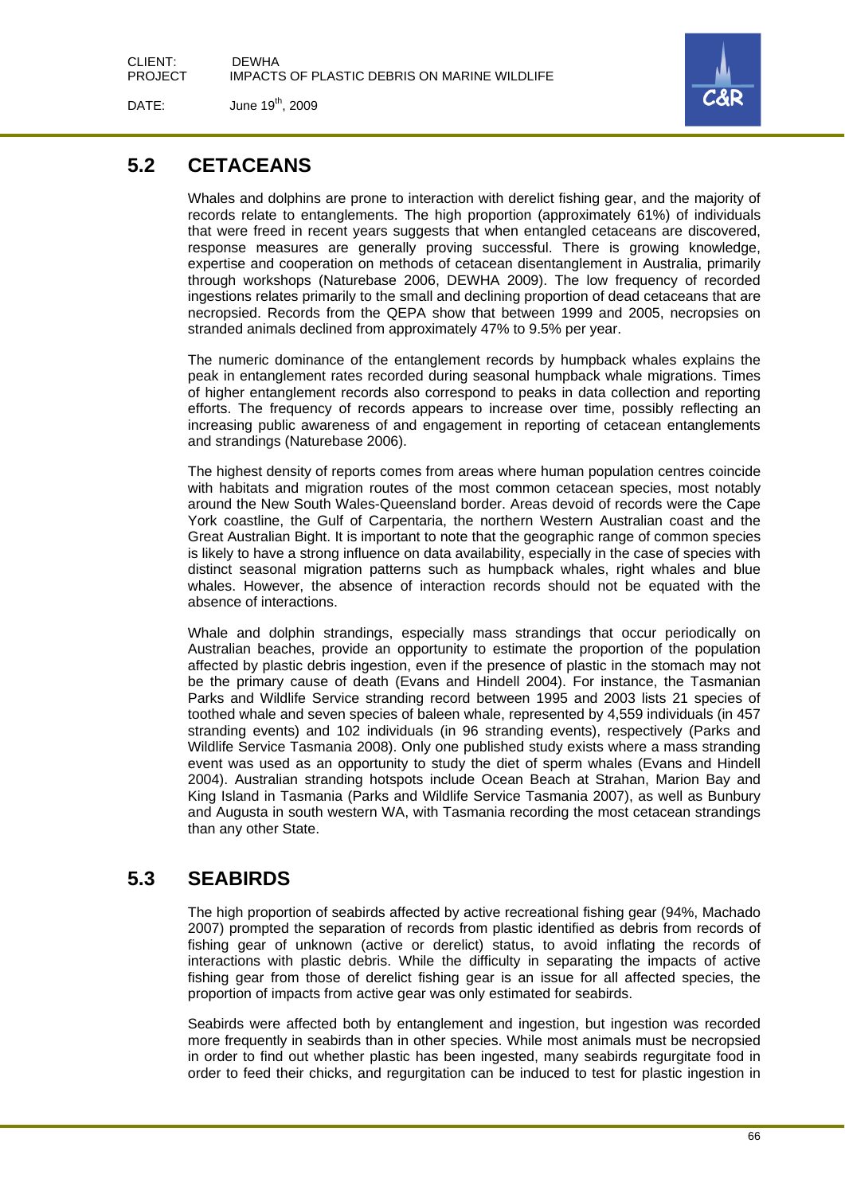DATE: June 19<sup>th</sup>, 2009



### **5.2 CETACEANS**

Whales and dolphins are prone to interaction with derelict fishing gear, and the majority of records relate to entanglements. The high proportion (approximately 61%) of individuals that were freed in recent years suggests that when entangled cetaceans are discovered, response measures are generally proving successful. There is growing knowledge, expertise and cooperation on methods of cetacean disentanglement in Australia, primarily through workshops (Naturebase 2006, DEWHA 2009). The low frequency of recorded ingestions relates primarily to the small and declining proportion of dead cetaceans that are necropsied. Records from the QEPA show that between 1999 and 2005, necropsies on stranded animals declined from approximately 47% to 9.5% per year.

The numeric dominance of the entanglement records by humpback whales explains the peak in entanglement rates recorded during seasonal humpback whale migrations. Times of higher entanglement records also correspond to peaks in data collection and reporting efforts. The frequency of records appears to increase over time, possibly reflecting an increasing public awareness of and engagement in reporting of cetacean entanglements and strandings (Naturebase 2006).

The highest density of reports comes from areas where human population centres coincide with habitats and migration routes of the most common cetacean species, most notably around the New South Wales-Queensland border. Areas devoid of records were the Cape York coastline, the Gulf of Carpentaria, the northern Western Australian coast and the Great Australian Bight. It is important to note that the geographic range of common species is likely to have a strong influence on data availability, especially in the case of species with distinct seasonal migration patterns such as humpback whales, right whales and blue whales. However, the absence of interaction records should not be equated with the absence of interactions.

Whale and dolphin strandings, especially mass strandings that occur periodically on Australian beaches, provide an opportunity to estimate the proportion of the population affected by plastic debris ingestion, even if the presence of plastic in the stomach may not be the primary cause of death (Evans and Hindell 2004). For instance, the Tasmanian Parks and Wildlife Service stranding record between 1995 and 2003 lists 21 species of toothed whale and seven species of baleen whale, represented by 4,559 individuals (in 457 stranding events) and 102 individuals (in 96 stranding events), respectively (Parks and Wildlife Service Tasmania 2008). Only one published study exists where a mass stranding event was used as an opportunity to study the diet of sperm whales (Evans and Hindell 2004). Australian stranding hotspots include Ocean Beach at Strahan, Marion Bay and King Island in Tasmania (Parks and Wildlife Service Tasmania 2007), as well as Bunbury and Augusta in south western WA, with Tasmania recording the most cetacean strandings than any other State.

# **5.3 SEABIRDS**

The high proportion of seabirds affected by active recreational fishing gear (94%, Machado 2007) prompted the separation of records from plastic identified as debris from records of fishing gear of unknown (active or derelict) status, to avoid inflating the records of interactions with plastic debris. While the difficulty in separating the impacts of active fishing gear from those of derelict fishing gear is an issue for all affected species, the proportion of impacts from active gear was only estimated for seabirds.

Seabirds were affected both by entanglement and ingestion, but ingestion was recorded more frequently in seabirds than in other species. While most animals must be necropsied in order to find out whether plastic has been ingested, many seabirds regurgitate food in order to feed their chicks, and regurgitation can be induced to test for plastic ingestion in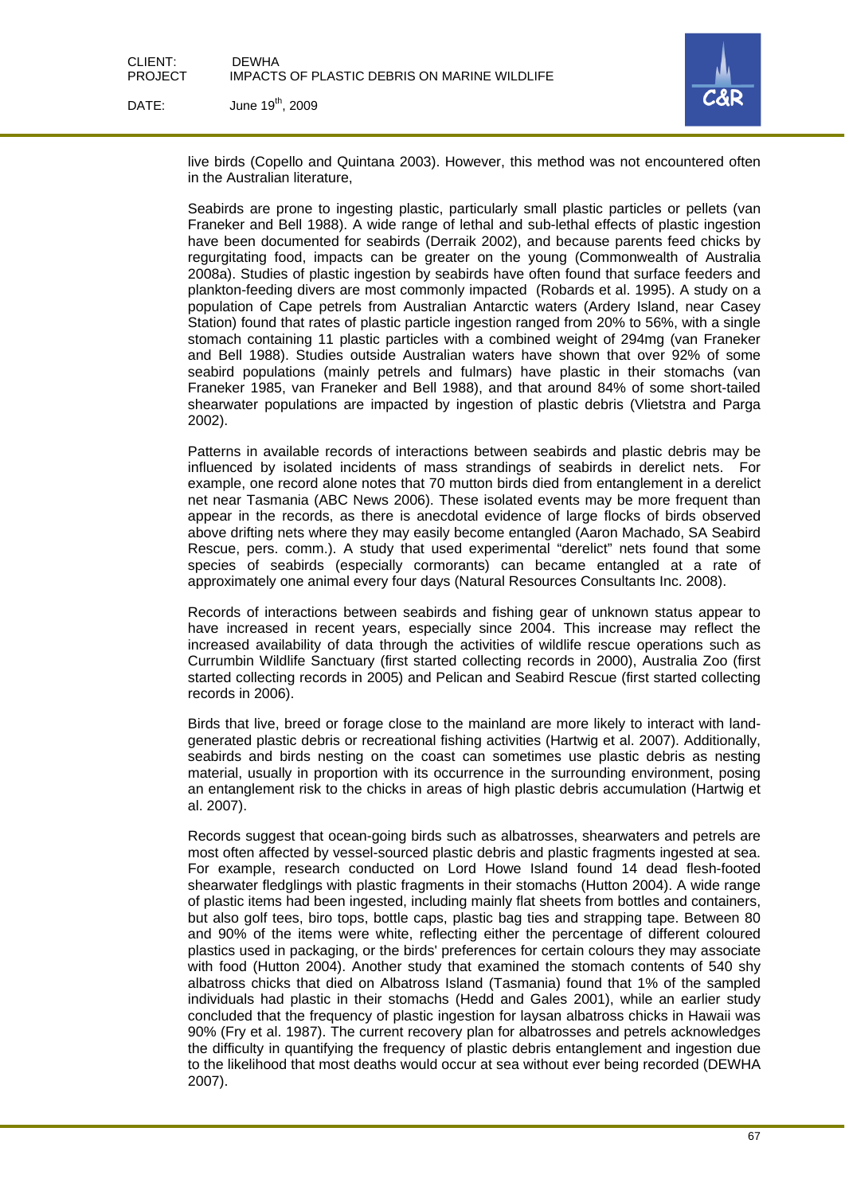

live birds (Copello and Quintana 2003). However, this method was not encountered often in the Australian literature,

Seabirds are prone to ingesting plastic, particularly small plastic particles or pellets (van Franeker and Bell 1988). A wide range of lethal and sub-lethal effects of plastic ingestion have been documented for seabirds (Derraik 2002), and because parents feed chicks by regurgitating food, impacts can be greater on the young (Commonwealth of Australia 2008a). Studies of plastic ingestion by seabirds have often found that surface feeders and plankton-feeding divers are most commonly impacted (Robards et al. 1995). A study on a population of Cape petrels from Australian Antarctic waters (Ardery Island, near Casey Station) found that rates of plastic particle ingestion ranged from 20% to 56%, with a single stomach containing 11 plastic particles with a combined weight of 294mg (van Franeker and Bell 1988). Studies outside Australian waters have shown that over 92% of some seabird populations (mainly petrels and fulmars) have plastic in their stomachs (van Franeker 1985, van Franeker and Bell 1988), and that around 84% of some short-tailed shearwater populations are impacted by ingestion of plastic debris (Vlietstra and Parga 2002).

Patterns in available records of interactions between seabirds and plastic debris may be influenced by isolated incidents of mass strandings of seabirds in derelict nets. For example, one record alone notes that 70 mutton birds died from entanglement in a derelict net near Tasmania (ABC News 2006). These isolated events may be more frequent than appear in the records, as there is anecdotal evidence of large flocks of birds observed above drifting nets where they may easily become entangled (Aaron Machado, SA Seabird Rescue, pers. comm.). A study that used experimental "derelict" nets found that some species of seabirds (especially cormorants) can became entangled at a rate of approximately one animal every four days (Natural Resources Consultants Inc. 2008).

Records of interactions between seabirds and fishing gear of unknown status appear to have increased in recent years, especially since 2004. This increase may reflect the increased availability of data through the activities of wildlife rescue operations such as Currumbin Wildlife Sanctuary (first started collecting records in 2000), Australia Zoo (first started collecting records in 2005) and Pelican and Seabird Rescue (first started collecting records in 2006).

Birds that live, breed or forage close to the mainland are more likely to interact with landgenerated plastic debris or recreational fishing activities (Hartwig et al. 2007). Additionally, seabirds and birds nesting on the coast can sometimes use plastic debris as nesting material, usually in proportion with its occurrence in the surrounding environment, posing an entanglement risk to the chicks in areas of high plastic debris accumulation (Hartwig et al. 2007).

Records suggest that ocean-going birds such as albatrosses, shearwaters and petrels are most often affected by vessel-sourced plastic debris and plastic fragments ingested at sea. For example, research conducted on Lord Howe Island found 14 dead flesh-footed shearwater fledglings with plastic fragments in their stomachs (Hutton 2004). A wide range of plastic items had been ingested, including mainly flat sheets from bottles and containers, but also golf tees, biro tops, bottle caps, plastic bag ties and strapping tape. Between 80 and 90% of the items were white, reflecting either the percentage of different coloured plastics used in packaging, or the birds' preferences for certain colours they may associate with food (Hutton 2004). Another study that examined the stomach contents of 540 shy albatross chicks that died on Albatross Island (Tasmania) found that 1% of the sampled individuals had plastic in their stomachs (Hedd and Gales 2001), while an earlier study concluded that the frequency of plastic ingestion for laysan albatross chicks in Hawaii was 90% (Fry et al. 1987). The current recovery plan for albatrosses and petrels acknowledges the difficulty in quantifying the frequency of plastic debris entanglement and ingestion due to the likelihood that most deaths would occur at sea without ever being recorded (DEWHA 2007).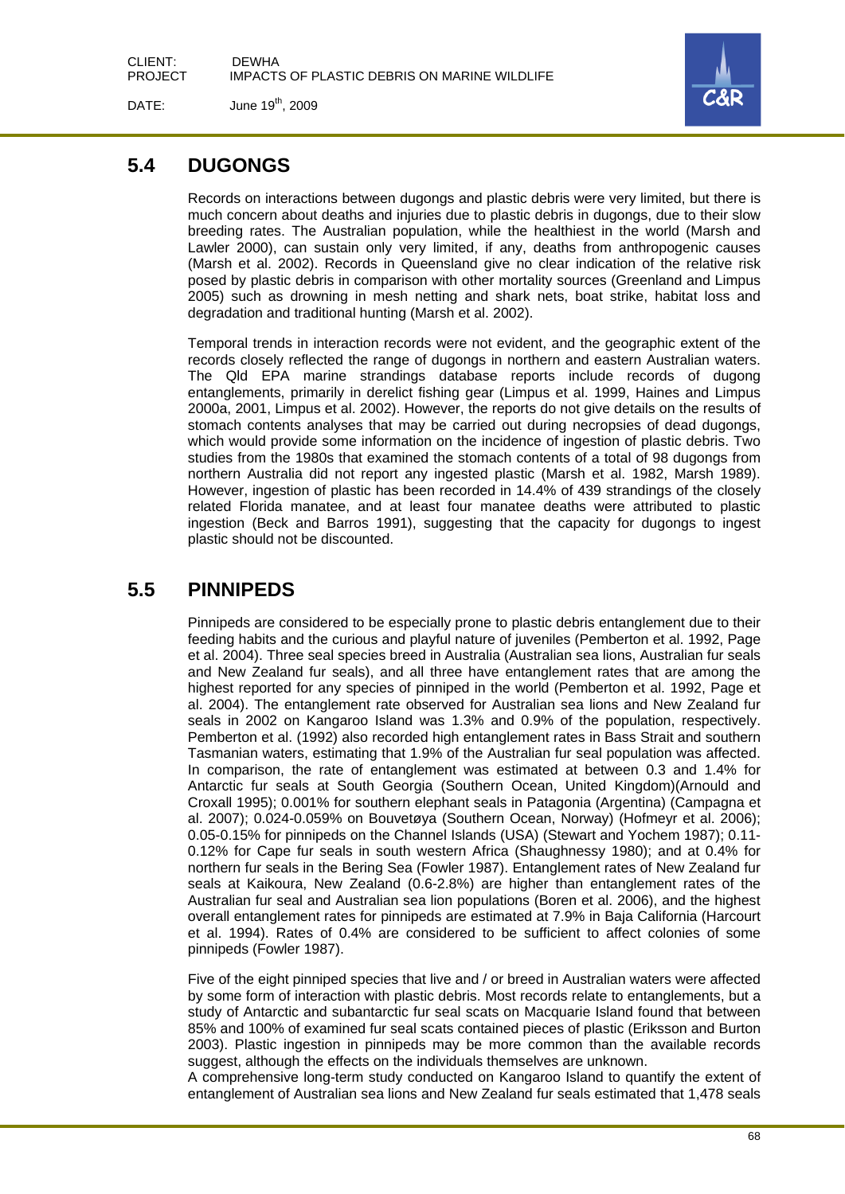DATE: June 19<sup>th</sup>, 2009



### **5.4 DUGONGS**

Records on interactions between dugongs and plastic debris were very limited, but there is much concern about deaths and injuries due to plastic debris in dugongs, due to their slow breeding rates. The Australian population, while the healthiest in the world (Marsh and Lawler 2000), can sustain only very limited, if any, deaths from anthropogenic causes (Marsh et al. 2002). Records in Queensland give no clear indication of the relative risk posed by plastic debris in comparison with other mortality sources (Greenland and Limpus 2005) such as drowning in mesh netting and shark nets, boat strike, habitat loss and degradation and traditional hunting (Marsh et al. 2002).

Temporal trends in interaction records were not evident, and the geographic extent of the records closely reflected the range of dugongs in northern and eastern Australian waters. The Qld EPA marine strandings database reports include records of dugong entanglements, primarily in derelict fishing gear (Limpus et al. 1999, Haines and Limpus 2000a, 2001, Limpus et al. 2002). However, the reports do not give details on the results of stomach contents analyses that may be carried out during necropsies of dead dugongs, which would provide some information on the incidence of ingestion of plastic debris. Two studies from the 1980s that examined the stomach contents of a total of 98 dugongs from northern Australia did not report any ingested plastic (Marsh et al. 1982, Marsh 1989). However, ingestion of plastic has been recorded in 14.4% of 439 strandings of the closely related Florida manatee, and at least four manatee deaths were attributed to plastic ingestion (Beck and Barros 1991), suggesting that the capacity for dugongs to ingest plastic should not be discounted.

## **5.5 PINNIPEDS**

Pinnipeds are considered to be especially prone to plastic debris entanglement due to their feeding habits and the curious and playful nature of juveniles (Pemberton et al. 1992, Page et al. 2004). Three seal species breed in Australia (Australian sea lions, Australian fur seals and New Zealand fur seals), and all three have entanglement rates that are among the highest reported for any species of pinniped in the world (Pemberton et al. 1992, Page et al. 2004). The entanglement rate observed for Australian sea lions and New Zealand fur seals in 2002 on Kangaroo Island was 1.3% and 0.9% of the population, respectively. Pemberton et al. (1992) also recorded high entanglement rates in Bass Strait and southern Tasmanian waters, estimating that 1.9% of the Australian fur seal population was affected. In comparison, the rate of entanglement was estimated at between 0.3 and 1.4% for Antarctic fur seals at South Georgia (Southern Ocean, United Kingdom)(Arnould and Croxall 1995); 0.001% for southern elephant seals in Patagonia (Argentina) (Campagna et al. 2007); 0.024-0.059% on Bouvetøya (Southern Ocean, Norway) (Hofmeyr et al. 2006); 0.05-0.15% for pinnipeds on the Channel Islands (USA) (Stewart and Yochem 1987); 0.11- 0.12% for Cape fur seals in south western Africa (Shaughnessy 1980); and at 0.4% for northern fur seals in the Bering Sea (Fowler 1987). Entanglement rates of New Zealand fur seals at Kaikoura, New Zealand (0.6-2.8%) are higher than entanglement rates of the Australian fur seal and Australian sea lion populations (Boren et al. 2006), and the highest overall entanglement rates for pinnipeds are estimated at 7.9% in Baja California (Harcourt et al. 1994). Rates of 0.4% are considered to be sufficient to affect colonies of some pinnipeds (Fowler 1987).

Five of the eight pinniped species that live and / or breed in Australian waters were affected by some form of interaction with plastic debris. Most records relate to entanglements, but a study of Antarctic and subantarctic fur seal scats on Macquarie Island found that between 85% and 100% of examined fur seal scats contained pieces of plastic (Eriksson and Burton 2003). Plastic ingestion in pinnipeds may be more common than the available records suggest, although the effects on the individuals themselves are unknown.

A comprehensive long-term study conducted on Kangaroo Island to quantify the extent of entanglement of Australian sea lions and New Zealand fur seals estimated that 1,478 seals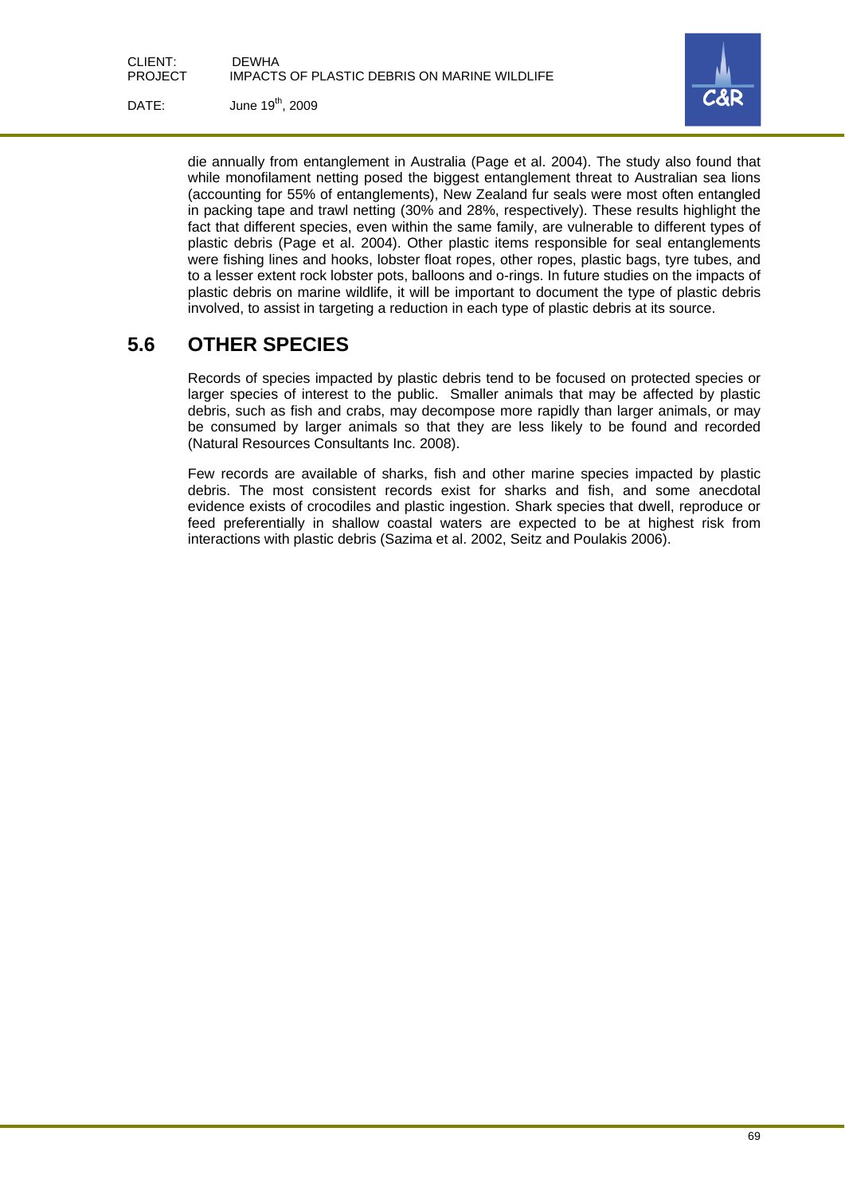

die annually from entanglement in Australia (Page et al. 2004). The study also found that while monofilament netting posed the biggest entanglement threat to Australian sea lions (accounting for 55% of entanglements), New Zealand fur seals were most often entangled in packing tape and trawl netting (30% and 28%, respectively). These results highlight the fact that different species, even within the same family, are vulnerable to different types of plastic debris (Page et al. 2004). Other plastic items responsible for seal entanglements were fishing lines and hooks, lobster float ropes, other ropes, plastic bags, tyre tubes, and to a lesser extent rock lobster pots, balloons and o-rings. In future studies on the impacts of plastic debris on marine wildlife, it will be important to document the type of plastic debris involved, to assist in targeting a reduction in each type of plastic debris at its source.

# **5.6 OTHER SPECIES**

DATE: June 19<sup>th</sup>, 2009

Records of species impacted by plastic debris tend to be focused on protected species or larger species of interest to the public. Smaller animals that may be affected by plastic debris, such as fish and crabs, may decompose more rapidly than larger animals, or may be consumed by larger animals so that they are less likely to be found and recorded (Natural Resources Consultants Inc. 2008).

Few records are available of sharks, fish and other marine species impacted by plastic debris. The most consistent records exist for sharks and fish, and some anecdotal evidence exists of crocodiles and plastic ingestion. Shark species that dwell, reproduce or feed preferentially in shallow coastal waters are expected to be at highest risk from interactions with plastic debris (Sazima et al. 2002, Seitz and Poulakis 2006).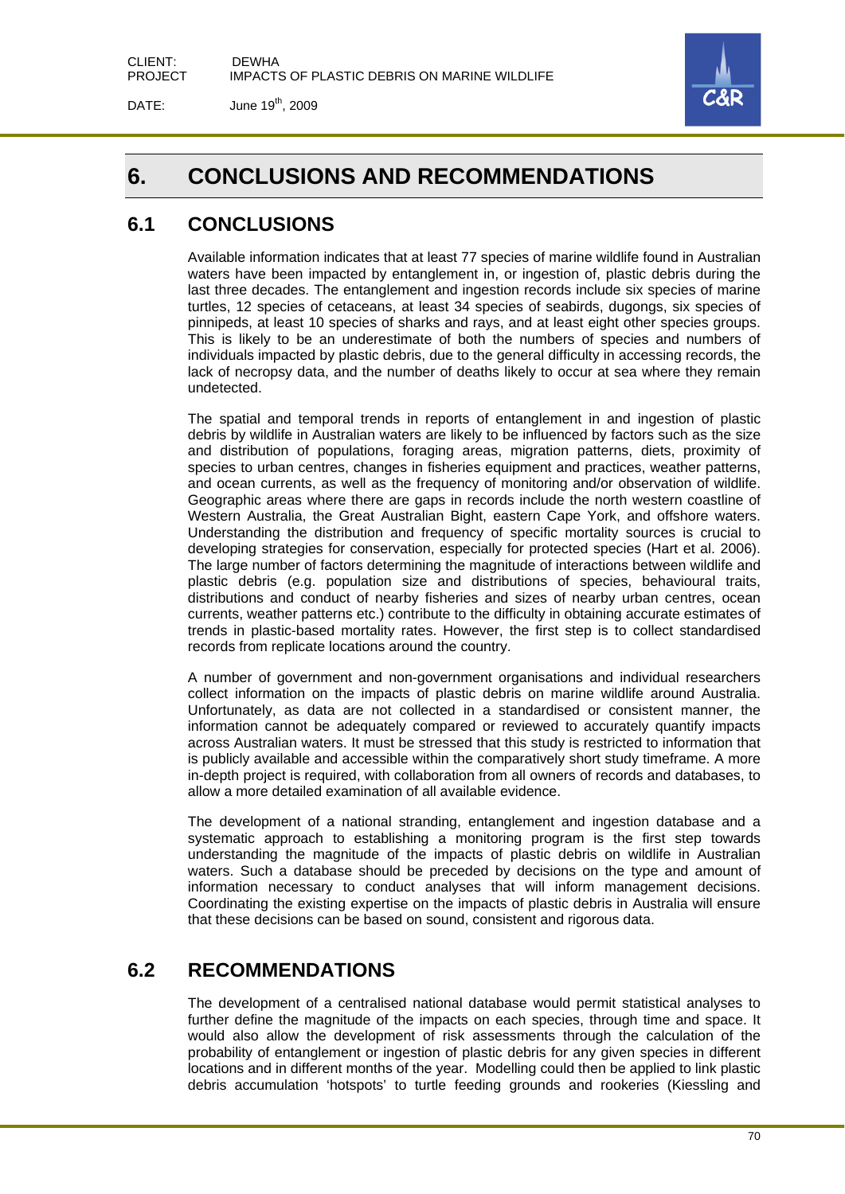DATE: June 19<sup>th</sup>, 2009



# **6. CONCLUSIONS AND RECOMMENDATIONS**

## **6.1 CONCLUSIONS**

Available information indicates that at least 77 species of marine wildlife found in Australian waters have been impacted by entanglement in, or ingestion of, plastic debris during the last three decades. The entanglement and ingestion records include six species of marine turtles, 12 species of cetaceans, at least 34 species of seabirds, dugongs, six species of pinnipeds, at least 10 species of sharks and rays, and at least eight other species groups. This is likely to be an underestimate of both the numbers of species and numbers of individuals impacted by plastic debris, due to the general difficulty in accessing records, the lack of necropsy data, and the number of deaths likely to occur at sea where they remain undetected.

The spatial and temporal trends in reports of entanglement in and ingestion of plastic debris by wildlife in Australian waters are likely to be influenced by factors such as the size and distribution of populations, foraging areas, migration patterns, diets, proximity of species to urban centres, changes in fisheries equipment and practices, weather patterns, and ocean currents, as well as the frequency of monitoring and/or observation of wildlife. Geographic areas where there are gaps in records include the north western coastline of Western Australia, the Great Australian Bight, eastern Cape York, and offshore waters. Understanding the distribution and frequency of specific mortality sources is crucial to developing strategies for conservation, especially for protected species (Hart et al. 2006). The large number of factors determining the magnitude of interactions between wildlife and plastic debris (e.g. population size and distributions of species, behavioural traits, distributions and conduct of nearby fisheries and sizes of nearby urban centres, ocean currents, weather patterns etc.) contribute to the difficulty in obtaining accurate estimates of trends in plastic-based mortality rates. However, the first step is to collect standardised records from replicate locations around the country.

A number of government and non-government organisations and individual researchers collect information on the impacts of plastic debris on marine wildlife around Australia. Unfortunately, as data are not collected in a standardised or consistent manner, the information cannot be adequately compared or reviewed to accurately quantify impacts across Australian waters. It must be stressed that this study is restricted to information that is publicly available and accessible within the comparatively short study timeframe. A more in-depth project is required, with collaboration from all owners of records and databases, to allow a more detailed examination of all available evidence.

The development of a national stranding, entanglement and ingestion database and a systematic approach to establishing a monitoring program is the first step towards understanding the magnitude of the impacts of plastic debris on wildlife in Australian waters. Such a database should be preceded by decisions on the type and amount of information necessary to conduct analyses that will inform management decisions. Coordinating the existing expertise on the impacts of plastic debris in Australia will ensure that these decisions can be based on sound, consistent and rigorous data.

### **6.2 RECOMMENDATIONS**

The development of a centralised national database would permit statistical analyses to further define the magnitude of the impacts on each species, through time and space. It would also allow the development of risk assessments through the calculation of the probability of entanglement or ingestion of plastic debris for any given species in different locations and in different months of the year. Modelling could then be applied to link plastic debris accumulation 'hotspots' to turtle feeding grounds and rookeries (Kiessling and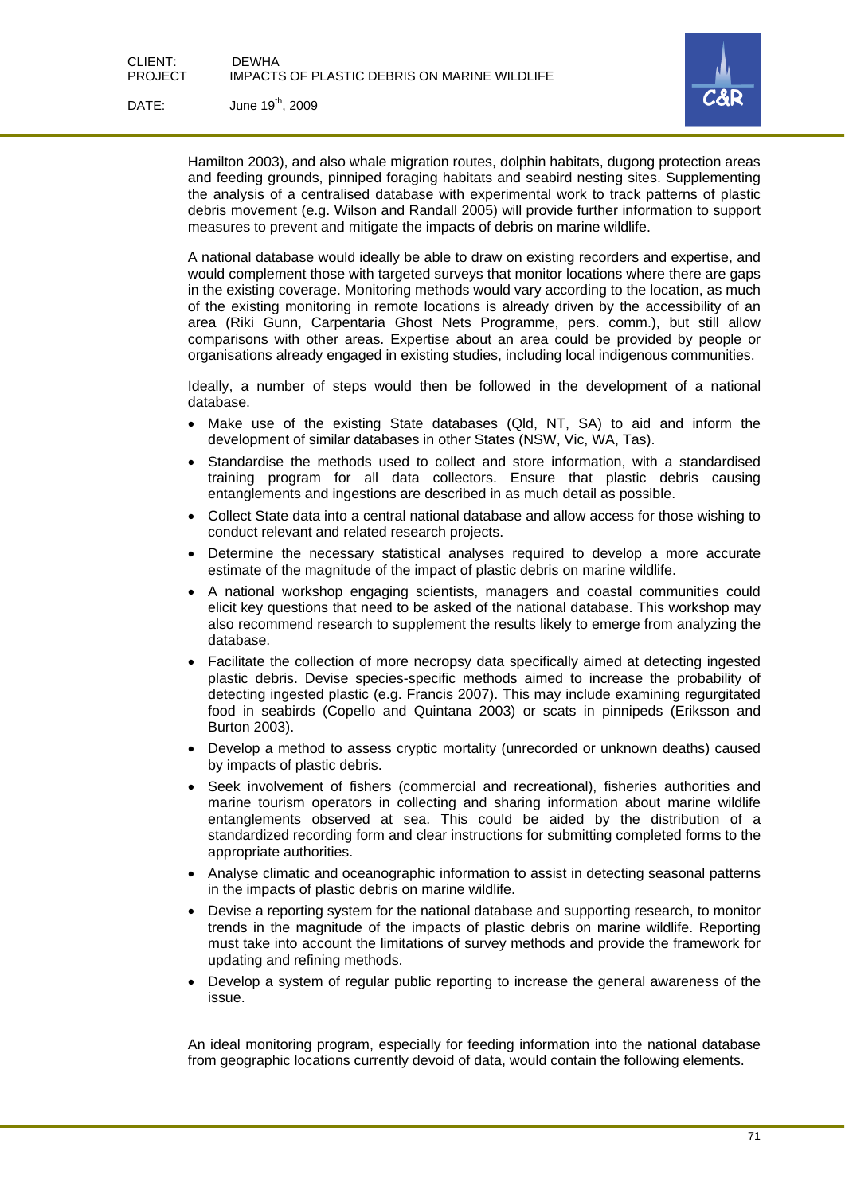



Hamilton 2003), and also whale migration routes, dolphin habitats, dugong protection areas and feeding grounds, pinniped foraging habitats and seabird nesting sites. Supplementing the analysis of a centralised database with experimental work to track patterns of plastic debris movement (e.g. Wilson and Randall 2005) will provide further information to support measures to prevent and mitigate the impacts of debris on marine wildlife.

A national database would ideally be able to draw on existing recorders and expertise, and would complement those with targeted surveys that monitor locations where there are gaps in the existing coverage. Monitoring methods would vary according to the location, as much of the existing monitoring in remote locations is already driven by the accessibility of an area (Riki Gunn, Carpentaria Ghost Nets Programme, pers. comm.), but still allow comparisons with other areas. Expertise about an area could be provided by people or organisations already engaged in existing studies, including local indigenous communities.

Ideally, a number of steps would then be followed in the development of a national database.

- Make use of the existing State databases (Qld, NT, SA) to aid and inform the development of similar databases in other States (NSW, Vic, WA, Tas).
- Standardise the methods used to collect and store information, with a standardised training program for all data collectors. Ensure that plastic debris causing entanglements and ingestions are described in as much detail as possible.
- Collect State data into a central national database and allow access for those wishing to conduct relevant and related research projects.
- Determine the necessary statistical analyses required to develop a more accurate estimate of the magnitude of the impact of plastic debris on marine wildlife.
- A national workshop engaging scientists, managers and coastal communities could elicit key questions that need to be asked of the national database. This workshop may also recommend research to supplement the results likely to emerge from analyzing the database.
- Facilitate the collection of more necropsy data specifically aimed at detecting ingested plastic debris. Devise species-specific methods aimed to increase the probability of detecting ingested plastic (e.g. Francis 2007). This may include examining regurgitated food in seabirds (Copello and Quintana 2003) or scats in pinnipeds (Eriksson and Burton 2003).
- Develop a method to assess cryptic mortality (unrecorded or unknown deaths) caused by impacts of plastic debris.
- Seek involvement of fishers (commercial and recreational), fisheries authorities and marine tourism operators in collecting and sharing information about marine wildlife entanglements observed at sea. This could be aided by the distribution of a standardized recording form and clear instructions for submitting completed forms to the appropriate authorities.
- Analyse climatic and oceanographic information to assist in detecting seasonal patterns in the impacts of plastic debris on marine wildlife.
- Devise a reporting system for the national database and supporting research, to monitor trends in the magnitude of the impacts of plastic debris on marine wildlife. Reporting must take into account the limitations of survey methods and provide the framework for updating and refining methods.
- Develop a system of regular public reporting to increase the general awareness of the issue.

An ideal monitoring program, especially for feeding information into the national database from geographic locations currently devoid of data, would contain the following elements.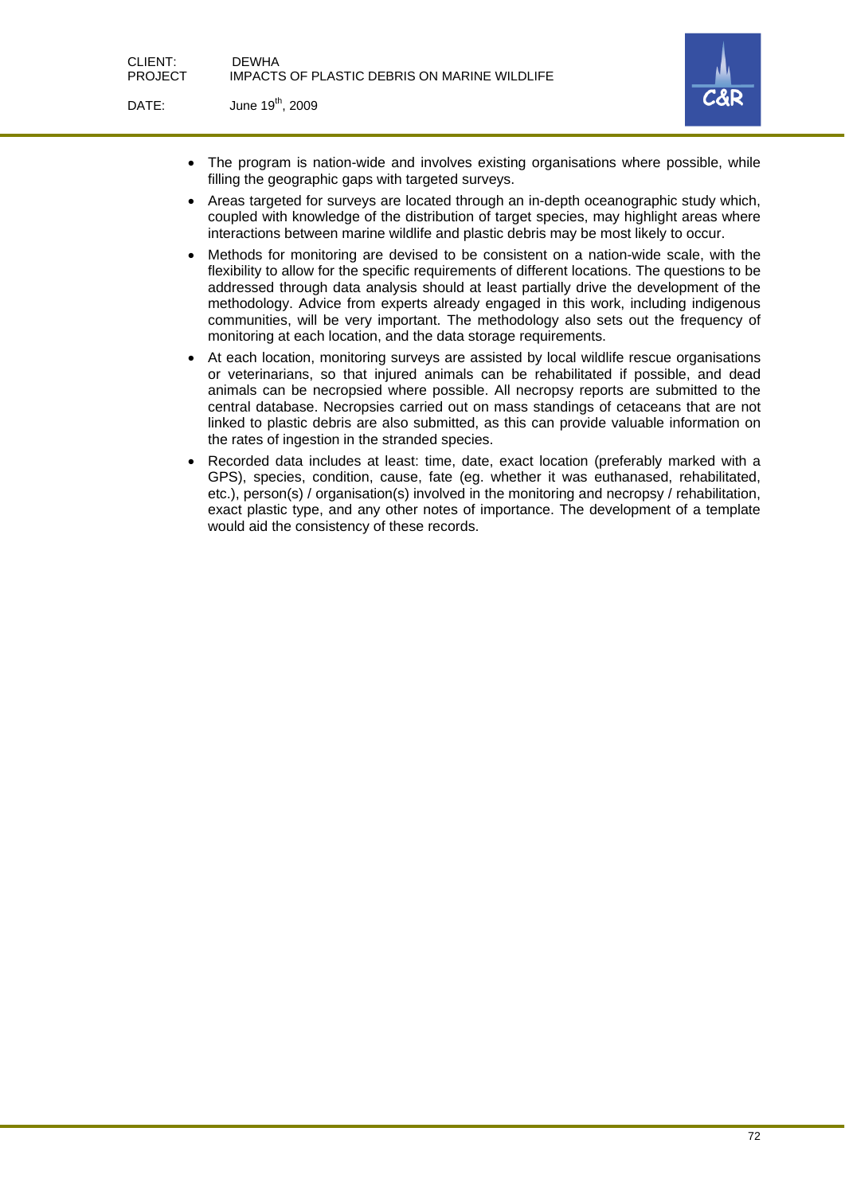

- The program is nation-wide and involves existing organisations where possible, while filling the geographic gaps with targeted surveys.
- Areas targeted for surveys are located through an in-depth oceanographic study which, coupled with knowledge of the distribution of target species, may highlight areas where interactions between marine wildlife and plastic debris may be most likely to occur.
- Methods for monitoring are devised to be consistent on a nation-wide scale, with the flexibility to allow for the specific requirements of different locations. The questions to be addressed through data analysis should at least partially drive the development of the methodology. Advice from experts already engaged in this work, including indigenous communities, will be very important. The methodology also sets out the frequency of monitoring at each location, and the data storage requirements.
- At each location, monitoring surveys are assisted by local wildlife rescue organisations or veterinarians, so that injured animals can be rehabilitated if possible, and dead animals can be necropsied where possible. All necropsy reports are submitted to the central database. Necropsies carried out on mass standings of cetaceans that are not linked to plastic debris are also submitted, as this can provide valuable information on the rates of ingestion in the stranded species.
- Recorded data includes at least: time, date, exact location (preferably marked with a GPS), species, condition, cause, fate (eg. whether it was euthanased, rehabilitated, etc.), person(s) / organisation(s) involved in the monitoring and necropsy / rehabilitation, exact plastic type, and any other notes of importance. The development of a template would aid the consistency of these records.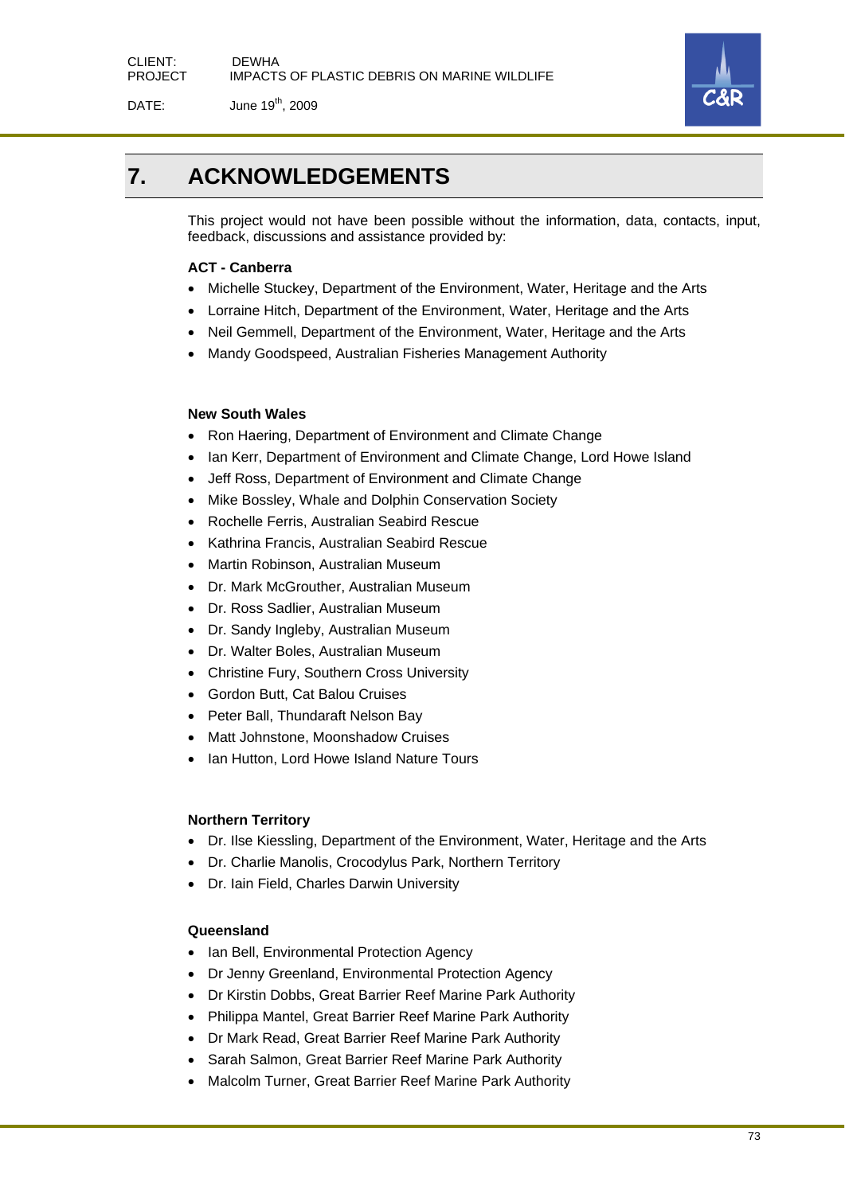CLIENT: DEWHA PROJECT IMPACTS OF PLASTIC DEBRIS ON MARINE WILDLIFE

DATE: June 19<sup>th</sup>, 2009



# **7. ACKNOWLEDGEMENTS**

This project would not have been possible without the information, data, contacts, input, feedback, discussions and assistance provided by:

#### **ACT - Canberra**

- Michelle Stuckey, Department of the Environment, Water, Heritage and the Arts
- Lorraine Hitch, Department of the Environment, Water, Heritage and the Arts
- Neil Gemmell, Department of the Environment, Water, Heritage and the Arts
- Mandy Goodspeed, Australian Fisheries Management Authority

#### **New South Wales**

- Ron Haering, Department of Environment and Climate Change
- Ian Kerr, Department of Environment and Climate Change, Lord Howe Island
- Jeff Ross, Department of Environment and Climate Change
- Mike Bossley, Whale and Dolphin Conservation Society
- Rochelle Ferris, Australian Seabird Rescue
- Kathrina Francis, Australian Seabird Rescue
- Martin Robinson, Australian Museum
- Dr. Mark McGrouther, Australian Museum
- Dr. Ross Sadlier, Australian Museum
- Dr. Sandy Ingleby, Australian Museum
- Dr. Walter Boles, Australian Museum
- Christine Fury, Southern Cross University
- Gordon Butt, Cat Balou Cruises
- Peter Ball, Thundaraft Nelson Bay
- Matt Johnstone, Moonshadow Cruises
- Ian Hutton, Lord Howe Island Nature Tours

#### **Northern Territory**

- Dr. Ilse Kiessling, Department of the Environment, Water, Heritage and the Arts
- Dr. Charlie Manolis, Crocodylus Park, Northern Territory
- Dr. Iain Field, Charles Darwin University

#### **Queensland**

- Ian Bell, Environmental Protection Agency
- Dr Jenny Greenland, Environmental Protection Agency
- Dr Kirstin Dobbs, Great Barrier Reef Marine Park Authority
- Philippa Mantel, Great Barrier Reef Marine Park Authority
- Dr Mark Read, Great Barrier Reef Marine Park Authority
- Sarah Salmon, Great Barrier Reef Marine Park Authority
- Malcolm Turner, Great Barrier Reef Marine Park Authority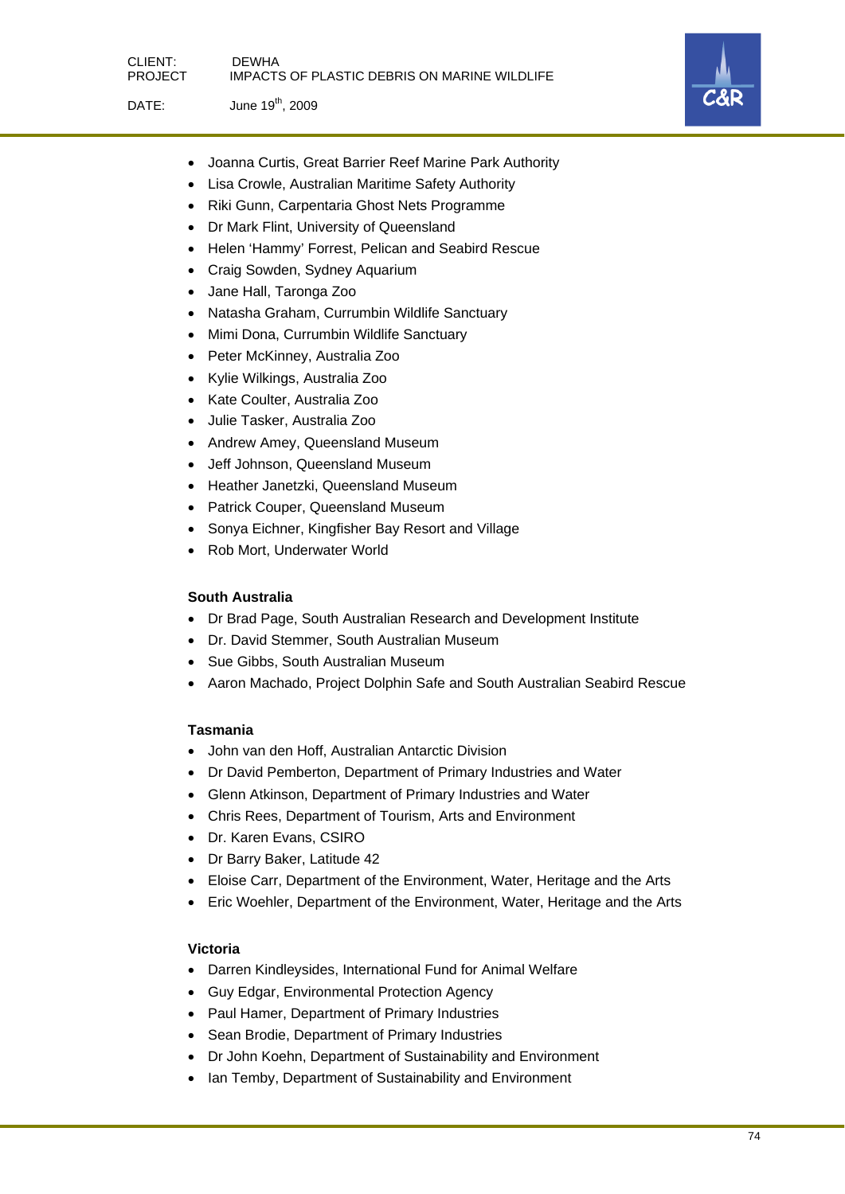

- Joanna Curtis, Great Barrier Reef Marine Park Authority
- Lisa Crowle, Australian Maritime Safety Authority
- Riki Gunn, Carpentaria Ghost Nets Programme
- Dr Mark Flint, University of Queensland
- Helen 'Hammy' Forrest, Pelican and Seabird Rescue
- Craig Sowden, Sydney Aquarium
- Jane Hall, Taronga Zoo
- Natasha Graham, Currumbin Wildlife Sanctuary
- Mimi Dona, Currumbin Wildlife Sanctuary
- Peter McKinney, Australia Zoo
- Kylie Wilkings, Australia Zoo
- Kate Coulter, Australia Zoo
- Julie Tasker, Australia Zoo
- Andrew Amey, Queensland Museum
- Jeff Johnson, Queensland Museum
- Heather Janetzki, Queensland Museum
- Patrick Couper, Queensland Museum
- Sonya Eichner, Kingfisher Bay Resort and Village
- Rob Mort, Underwater World

### **South Australia**

- Dr Brad Page, South Australian Research and Development Institute
- Dr. David Stemmer, South Australian Museum
- Sue Gibbs, South Australian Museum
- Aaron Machado, Project Dolphin Safe and South Australian Seabird Rescue

### **Tasmania**

- John van den Hoff, Australian Antarctic Division
- Dr David Pemberton, Department of Primary Industries and Water
- Glenn Atkinson, Department of Primary Industries and Water
- Chris Rees, Department of Tourism, Arts and Environment
- Dr. Karen Evans, CSIRO
- Dr Barry Baker, Latitude 42
- Eloise Carr, Department of the Environment, Water, Heritage and the Arts
- Eric Woehler, Department of the Environment, Water, Heritage and the Arts

### **Victoria**

- Darren Kindleysides, International Fund for Animal Welfare
- Guy Edgar, Environmental Protection Agency
- Paul Hamer, Department of Primary Industries
- Sean Brodie, Department of Primary Industries
- Dr John Koehn, Department of Sustainability and Environment
- Ian Temby, Department of Sustainability and Environment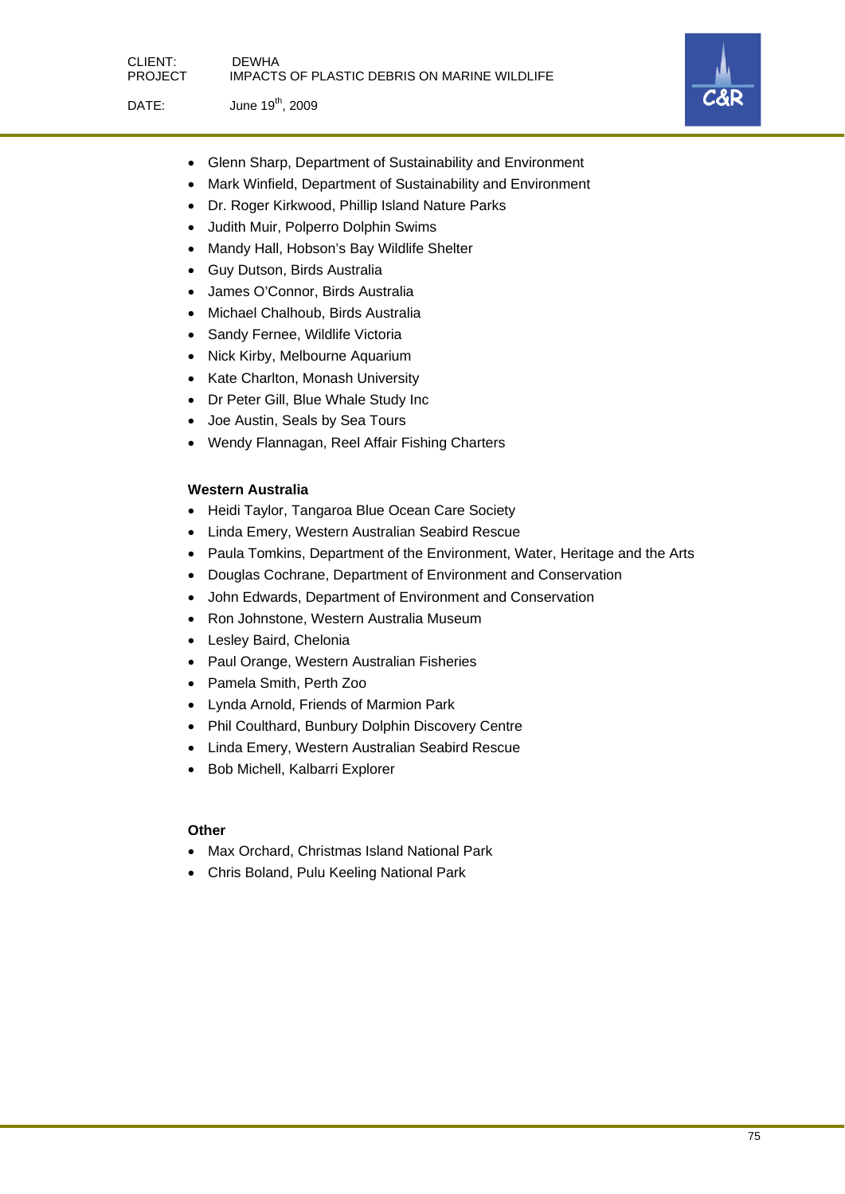



C&R

- Glenn Sharp, Department of Sustainability and Environment
- Mark Winfield, Department of Sustainability and Environment
- Dr. Roger Kirkwood, Phillip Island Nature Parks
- Judith Muir, Polperro Dolphin Swims
- Mandy Hall, Hobson's Bay Wildlife Shelter
- Guy Dutson, Birds Australia
- James O'Connor, Birds Australia
- Michael Chalhoub, Birds Australia
- Sandy Fernee, Wildlife Victoria
- Nick Kirby, Melbourne Aquarium
- Kate Charlton, Monash University
- Dr Peter Gill, Blue Whale Study Inc
- Joe Austin, Seals by Sea Tours
- Wendy Flannagan, Reel Affair Fishing Charters

## **Western Australia**

- Heidi Taylor, Tangaroa Blue Ocean Care Society
- Linda Emery, Western Australian Seabird Rescue
- Paula Tomkins, Department of the Environment, Water, Heritage and the Arts
- Douglas Cochrane, Department of Environment and Conservation
- John Edwards, Department of Environment and Conservation
- Ron Johnstone, Western Australia Museum
- Lesley Baird, Chelonia
- Paul Orange, Western Australian Fisheries
- Pamela Smith, Perth Zoo
- Lynda Arnold, Friends of Marmion Park
- Phil Coulthard, Bunbury Dolphin Discovery Centre
- Linda Emery, Western Australian Seabird Rescue
- Bob Michell, Kalbarri Explorer

### **Other**

- Max Orchard, Christmas Island National Park
- Chris Boland, Pulu Keeling National Park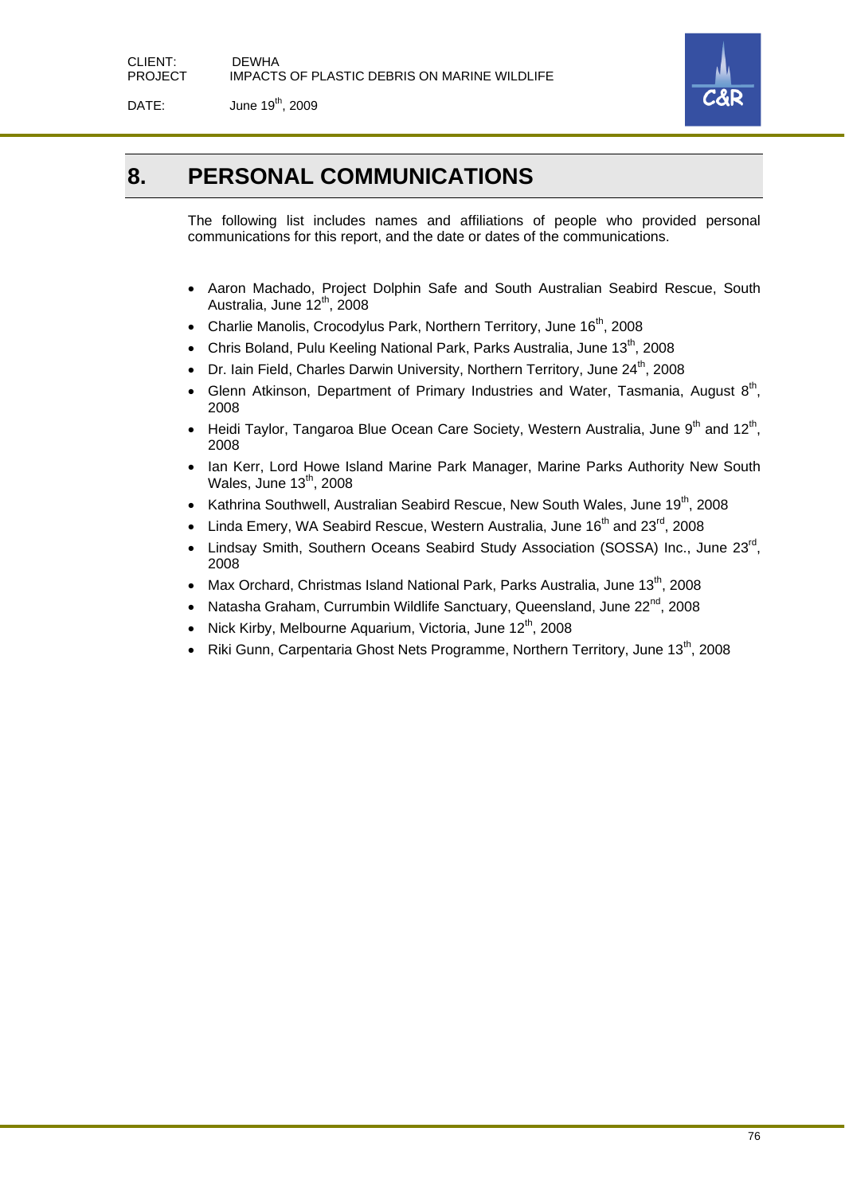CLIENT: DEWHA PROJECT IMPACTS OF PLASTIC DEBRIS ON MARINE WILDLIFE

DATE: June 19<sup>th</sup>, 2009



## **8. PERSONAL COMMUNICATIONS**

The following list includes names and affiliations of people who provided personal communications for this report, and the date or dates of the communications.

- Aaron Machado, Project Dolphin Safe and South Australian Seabird Rescue, South Australia, June  $12<sup>th</sup>$ , 2008
- Charlie Manolis, Crocodylus Park, Northern Territory, June  $16<sup>th</sup>$ , 2008
- Chris Boland, Pulu Keeling National Park, Parks Australia, June 13<sup>th</sup>, 2008
- Dr. Iain Field, Charles Darwin University, Northern Territory, June 24<sup>th</sup>, 2008
- Glenn Atkinson, Department of Primary Industries and Water, Tasmania, August  $8<sup>th</sup>$ , 2008
- Heidi Taylor, Tangaroa Blue Ocean Care Society, Western Australia, June 9<sup>th</sup> and 12<sup>th</sup>, 2008
- Ian Kerr, Lord Howe Island Marine Park Manager, Marine Parks Authority New South Wales, June  $13<sup>th</sup>$ , 2008
- Kathrina Southwell, Australian Seabird Rescue, New South Wales. June 19<sup>th</sup>. 2008
- Linda Emery, WA Seabird Rescue, Western Australia, June 16<sup>th</sup> and 23<sup>rd</sup>, 2008
- Lindsay Smith, Southern Oceans Seabird Study Association (SOSSA) Inc., June 23rd, 2008
- Max Orchard, Christmas Island National Park, Parks Australia, June 13<sup>th</sup>, 2008
- Natasha Graham, Currumbin Wildlife Sanctuary, Queensland, June 22<sup>nd</sup>, 2008
- Nick Kirby, Melbourne Aquarium, Victoria, June 12<sup>th</sup>, 2008
- Riki Gunn, Carpentaria Ghost Nets Programme, Northern Territory, June 13<sup>th</sup>, 2008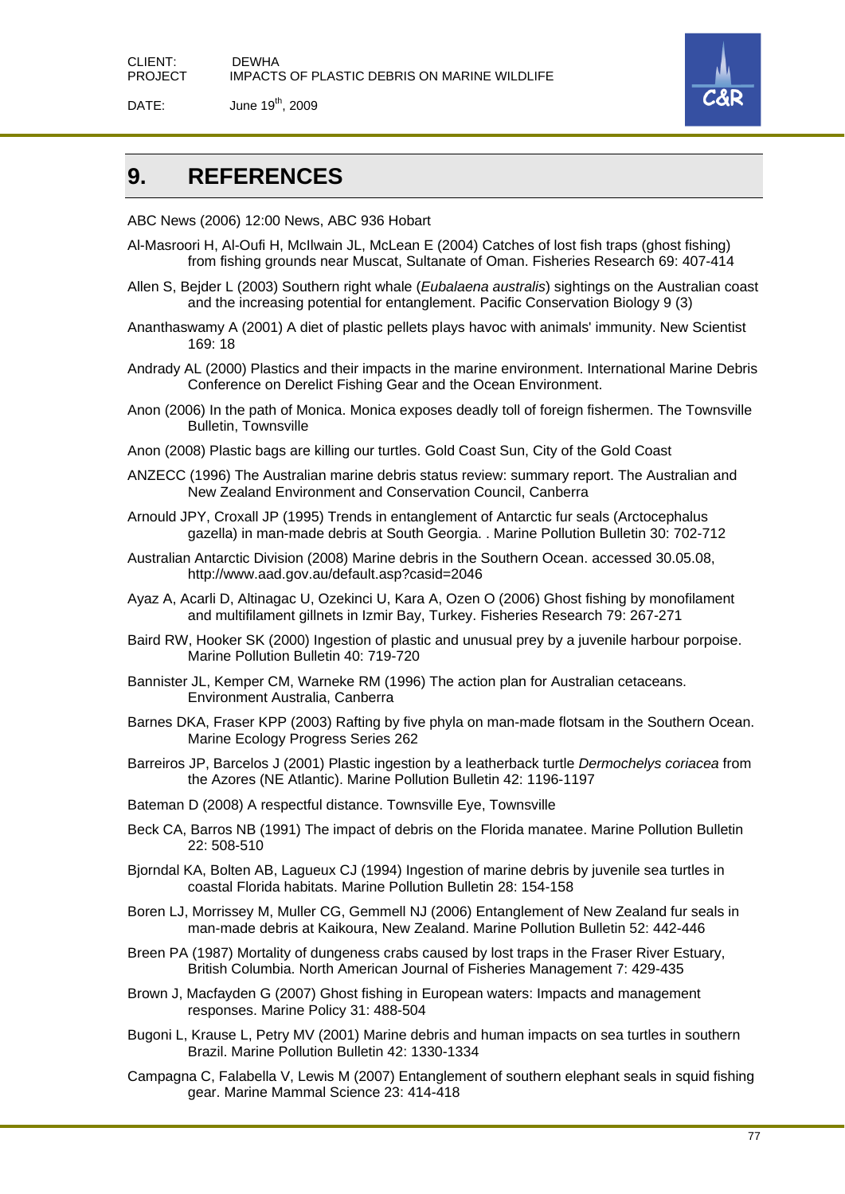

## **9. REFERENCES**

ABC News (2006) 12:00 News, ABC 936 Hobart

- Al-Masroori H, Al-Oufi H, McIlwain JL, McLean E (2004) Catches of lost fish traps (ghost fishing) from fishing grounds near Muscat, Sultanate of Oman. Fisheries Research 69: 407-414
- Allen S, Bejder L (2003) Southern right whale (*Eubalaena australis*) sightings on the Australian coast and the increasing potential for entanglement. Pacific Conservation Biology 9 (3)
- Ananthaswamy A (2001) A diet of plastic pellets plays havoc with animals' immunity. New Scientist 169: 18
- Andrady AL (2000) Plastics and their impacts in the marine environment. International Marine Debris Conference on Derelict Fishing Gear and the Ocean Environment.
- Anon (2006) In the path of Monica. Monica exposes deadly toll of foreign fishermen. The Townsville Bulletin, Townsville
- Anon (2008) Plastic bags are killing our turtles. Gold Coast Sun, City of the Gold Coast
- ANZECC (1996) The Australian marine debris status review: summary report. The Australian and New Zealand Environment and Conservation Council, Canberra
- Arnould JPY, Croxall JP (1995) Trends in entanglement of Antarctic fur seals (Arctocephalus gazella) in man-made debris at South Georgia. . Marine Pollution Bulletin 30: 702-712
- Australian Antarctic Division (2008) Marine debris in the Southern Ocean. accessed 30.05.08, http://www.aad.gov.au/default.asp?casid=2046
- Ayaz A, Acarli D, Altinagac U, Ozekinci U, Kara A, Ozen O (2006) Ghost fishing by monofilament and multifilament gillnets in Izmir Bay, Turkey. Fisheries Research 79: 267-271
- Baird RW, Hooker SK (2000) Ingestion of plastic and unusual prey by a juvenile harbour porpoise. Marine Pollution Bulletin 40: 719-720
- Bannister JL, Kemper CM, Warneke RM (1996) The action plan for Australian cetaceans. Environment Australia, Canberra
- Barnes DKA, Fraser KPP (2003) Rafting by five phyla on man-made flotsam in the Southern Ocean. Marine Ecology Progress Series 262
- Barreiros JP, Barcelos J (2001) Plastic ingestion by a leatherback turtle *Dermochelys coriacea* from the Azores (NE Atlantic). Marine Pollution Bulletin 42: 1196-1197
- Bateman D (2008) A respectful distance. Townsville Eye, Townsville
- Beck CA, Barros NB (1991) The impact of debris on the Florida manatee. Marine Pollution Bulletin 22: 508-510
- Bjorndal KA, Bolten AB, Lagueux CJ (1994) Ingestion of marine debris by juvenile sea turtles in coastal Florida habitats. Marine Pollution Bulletin 28: 154-158
- Boren LJ, Morrissey M, Muller CG, Gemmell NJ (2006) Entanglement of New Zealand fur seals in man-made debris at Kaikoura, New Zealand. Marine Pollution Bulletin 52: 442-446
- Breen PA (1987) Mortality of dungeness crabs caused by lost traps in the Fraser River Estuary, British Columbia. North American Journal of Fisheries Management 7: 429-435
- Brown J, Macfayden G (2007) Ghost fishing in European waters: Impacts and management responses. Marine Policy 31: 488-504
- Bugoni L, Krause L, Petry MV (2001) Marine debris and human impacts on sea turtles in southern Brazil. Marine Pollution Bulletin 42: 1330-1334
- Campagna C, Falabella V, Lewis M (2007) Entanglement of southern elephant seals in squid fishing gear. Marine Mammal Science 23: 414-418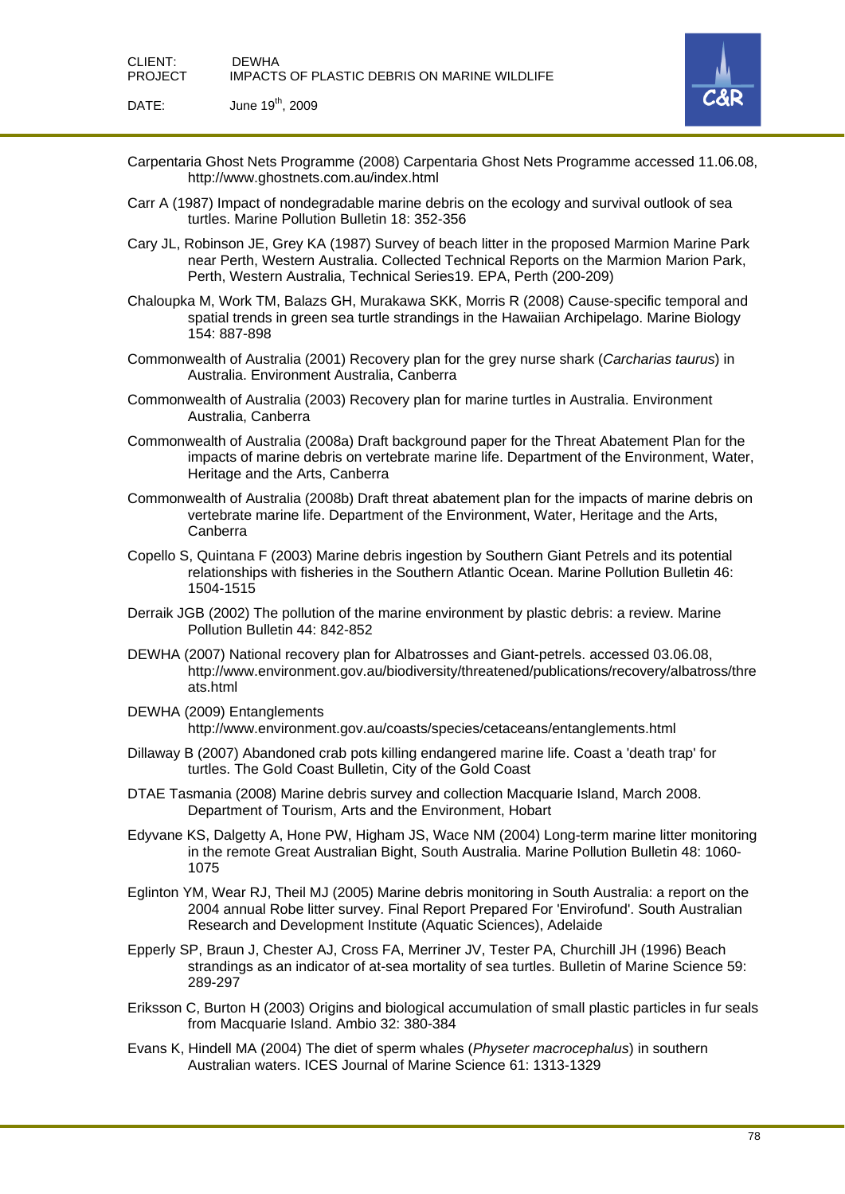

- Carpentaria Ghost Nets Programme (2008) Carpentaria Ghost Nets Programme accessed 11.06.08, http://www.ghostnets.com.au/index.html
- Carr A (1987) Impact of nondegradable marine debris on the ecology and survival outlook of sea turtles. Marine Pollution Bulletin 18: 352-356
- Cary JL, Robinson JE, Grey KA (1987) Survey of beach litter in the proposed Marmion Marine Park near Perth, Western Australia. Collected Technical Reports on the Marmion Marion Park, Perth, Western Australia, Technical Series19. EPA, Perth (200-209)
- Chaloupka M, Work TM, Balazs GH, Murakawa SKK, Morris R (2008) Cause-specific temporal and spatial trends in green sea turtle strandings in the Hawaiian Archipelago. Marine Biology 154: 887-898
- Commonwealth of Australia (2001) Recovery plan for the grey nurse shark (*Carcharias taurus*) in Australia. Environment Australia, Canberra
- Commonwealth of Australia (2003) Recovery plan for marine turtles in Australia. Environment Australia, Canberra
- Commonwealth of Australia (2008a) Draft background paper for the Threat Abatement Plan for the impacts of marine debris on vertebrate marine life. Department of the Environment, Water, Heritage and the Arts, Canberra
- Commonwealth of Australia (2008b) Draft threat abatement plan for the impacts of marine debris on vertebrate marine life. Department of the Environment, Water, Heritage and the Arts, Canberra
- Copello S, Quintana F (2003) Marine debris ingestion by Southern Giant Petrels and its potential relationships with fisheries in the Southern Atlantic Ocean. Marine Pollution Bulletin 46: 1504-1515
- Derraik JGB (2002) The pollution of the marine environment by plastic debris: a review. Marine Pollution Bulletin 44: 842-852
- DEWHA (2007) National recovery plan for Albatrosses and Giant-petrels. accessed 03.06.08, http://www.environment.gov.au/biodiversity/threatened/publications/recovery/albatross/thre ats.html
- DEWHA (2009) Entanglements http://www.environment.gov.au/coasts/species/cetaceans/entanglements.html
- Dillaway B (2007) Abandoned crab pots killing endangered marine life. Coast a 'death trap' for turtles. The Gold Coast Bulletin, City of the Gold Coast
- DTAE Tasmania (2008) Marine debris survey and collection Macquarie Island, March 2008. Department of Tourism, Arts and the Environment, Hobart
- Edyvane KS, Dalgetty A, Hone PW, Higham JS, Wace NM (2004) Long-term marine litter monitoring in the remote Great Australian Bight, South Australia. Marine Pollution Bulletin 48: 1060- 1075
- Eglinton YM, Wear RJ, Theil MJ (2005) Marine debris monitoring in South Australia: a report on the 2004 annual Robe litter survey. Final Report Prepared For 'Envirofund'. South Australian Research and Development Institute (Aquatic Sciences), Adelaide
- Epperly SP, Braun J, Chester AJ, Cross FA, Merriner JV, Tester PA, Churchill JH (1996) Beach strandings as an indicator of at-sea mortality of sea turtles. Bulletin of Marine Science 59: 289-297
- Eriksson C, Burton H (2003) Origins and biological accumulation of small plastic particles in fur seals from Macquarie Island. Ambio 32: 380-384
- Evans K, Hindell MA (2004) The diet of sperm whales (*Physeter macrocephalus*) in southern Australian waters. ICES Journal of Marine Science 61: 1313-1329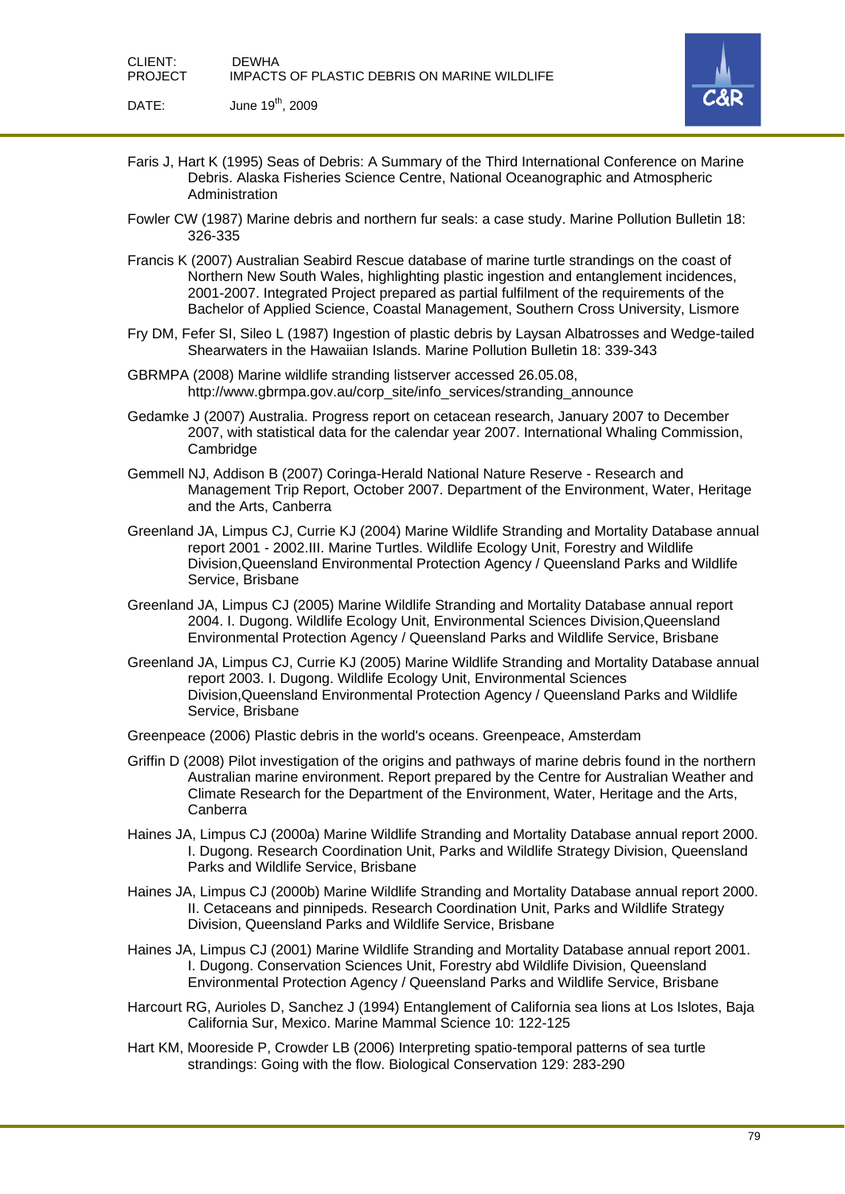

- Faris J, Hart K (1995) Seas of Debris: A Summary of the Third International Conference on Marine Debris. Alaska Fisheries Science Centre, National Oceanographic and Atmospheric Administration
- Fowler CW (1987) Marine debris and northern fur seals: a case study. Marine Pollution Bulletin 18: 326-335
- Francis K (2007) Australian Seabird Rescue database of marine turtle strandings on the coast of Northern New South Wales, highlighting plastic ingestion and entanglement incidences, 2001-2007. Integrated Project prepared as partial fulfilment of the requirements of the Bachelor of Applied Science, Coastal Management, Southern Cross University, Lismore
- Fry DM, Fefer SI, Sileo L (1987) Ingestion of plastic debris by Laysan Albatrosses and Wedge-tailed Shearwaters in the Hawaiian Islands. Marine Pollution Bulletin 18: 339-343
- GBRMPA (2008) Marine wildlife stranding listserver accessed 26.05.08, http://www.gbrmpa.gov.au/corp\_site/info\_services/stranding\_announce
- Gedamke J (2007) Australia. Progress report on cetacean research, January 2007 to December 2007, with statistical data for the calendar year 2007. International Whaling Commission, Cambridge
- Gemmell NJ, Addison B (2007) Coringa-Herald National Nature Reserve Research and Management Trip Report, October 2007. Department of the Environment, Water, Heritage and the Arts, Canberra
- Greenland JA, Limpus CJ, Currie KJ (2004) Marine Wildlife Stranding and Mortality Database annual report 2001 - 2002.III. Marine Turtles. Wildlife Ecology Unit, Forestry and Wildlife Division,Queensland Environmental Protection Agency / Queensland Parks and Wildlife Service, Brisbane
- Greenland JA, Limpus CJ (2005) Marine Wildlife Stranding and Mortality Database annual report 2004. I. Dugong. Wildlife Ecology Unit, Environmental Sciences Division,Queensland Environmental Protection Agency / Queensland Parks and Wildlife Service, Brisbane
- Greenland JA, Limpus CJ, Currie KJ (2005) Marine Wildlife Stranding and Mortality Database annual report 2003. I. Dugong. Wildlife Ecology Unit, Environmental Sciences Division,Queensland Environmental Protection Agency / Queensland Parks and Wildlife Service, Brisbane
- Greenpeace (2006) Plastic debris in the world's oceans. Greenpeace, Amsterdam
- Griffin D (2008) Pilot investigation of the origins and pathways of marine debris found in the northern Australian marine environment. Report prepared by the Centre for Australian Weather and Climate Research for the Department of the Environment, Water, Heritage and the Arts, Canberra
- Haines JA, Limpus CJ (2000a) Marine Wildlife Stranding and Mortality Database annual report 2000. I. Dugong. Research Coordination Unit, Parks and Wildlife Strategy Division, Queensland Parks and Wildlife Service, Brisbane
- Haines JA, Limpus CJ (2000b) Marine Wildlife Stranding and Mortality Database annual report 2000. II. Cetaceans and pinnipeds. Research Coordination Unit, Parks and Wildlife Strategy Division, Queensland Parks and Wildlife Service, Brisbane
- Haines JA, Limpus CJ (2001) Marine Wildlife Stranding and Mortality Database annual report 2001. I. Dugong. Conservation Sciences Unit, Forestry abd Wildlife Division, Queensland Environmental Protection Agency / Queensland Parks and Wildlife Service, Brisbane
- Harcourt RG, Aurioles D, Sanchez J (1994) Entanglement of California sea lions at Los Islotes, Baja California Sur, Mexico. Marine Mammal Science 10: 122-125
- Hart KM, Mooreside P, Crowder LB (2006) Interpreting spatio-temporal patterns of sea turtle strandings: Going with the flow. Biological Conservation 129: 283-290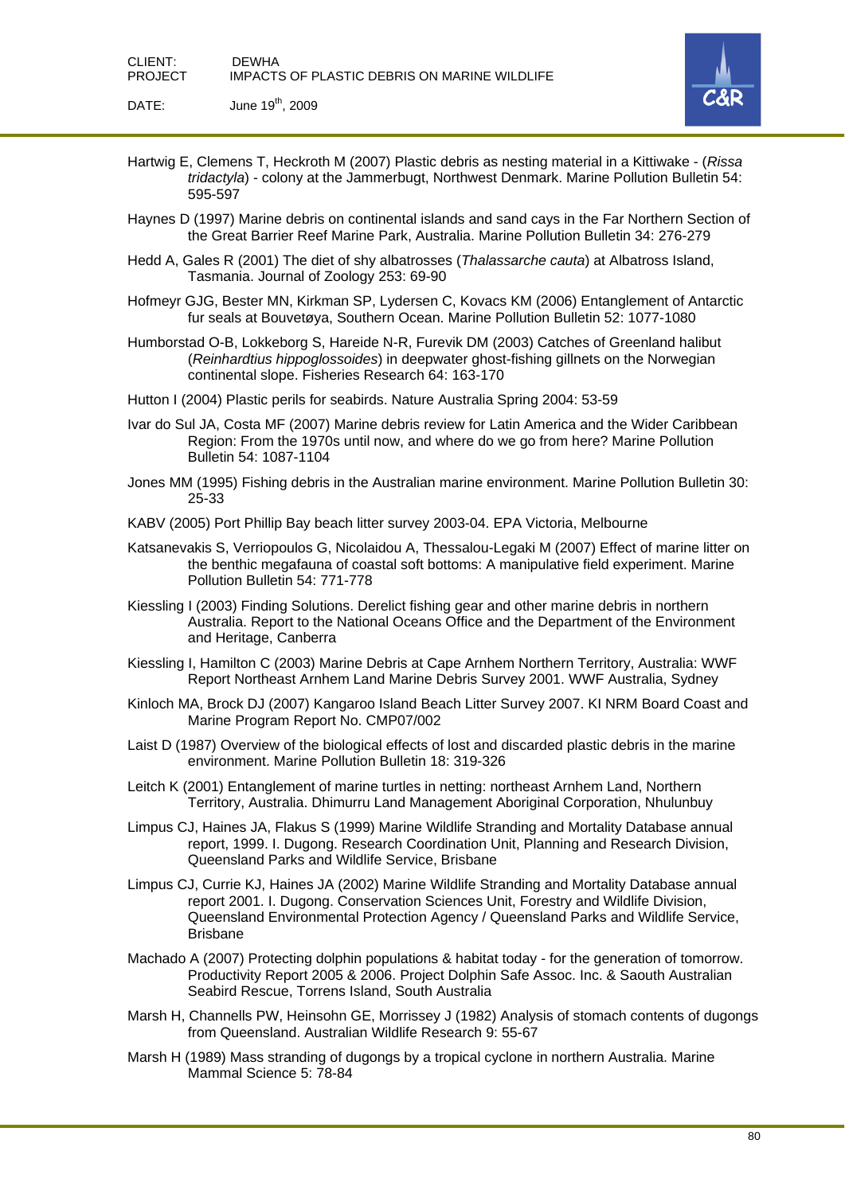

- Hartwig E, Clemens T, Heckroth M (2007) Plastic debris as nesting material in a Kittiwake (*Rissa tridactyla*) - colony at the Jammerbugt, Northwest Denmark. Marine Pollution Bulletin 54: 595-597
- Haynes D (1997) Marine debris on continental islands and sand cays in the Far Northern Section of the Great Barrier Reef Marine Park, Australia. Marine Pollution Bulletin 34: 276-279
- Hedd A, Gales R (2001) The diet of shy albatrosses (*Thalassarche cauta*) at Albatross Island, Tasmania. Journal of Zoology 253: 69-90
- Hofmeyr GJG, Bester MN, Kirkman SP, Lydersen C, Kovacs KM (2006) Entanglement of Antarctic fur seals at Bouvetøya, Southern Ocean. Marine Pollution Bulletin 52: 1077-1080
- Humborstad O-B, Lokkeborg S, Hareide N-R, Furevik DM (2003) Catches of Greenland halibut (*Reinhardtius hippoglossoides*) in deepwater ghost-fishing gillnets on the Norwegian continental slope. Fisheries Research 64: 163-170
- Hutton I (2004) Plastic perils for seabirds. Nature Australia Spring 2004: 53-59
- Ivar do Sul JA, Costa MF (2007) Marine debris review for Latin America and the Wider Caribbean Region: From the 1970s until now, and where do we go from here? Marine Pollution Bulletin 54: 1087-1104
- Jones MM (1995) Fishing debris in the Australian marine environment. Marine Pollution Bulletin 30: 25-33
- KABV (2005) Port Phillip Bay beach litter survey 2003-04. EPA Victoria, Melbourne
- Katsanevakis S, Verriopoulos G, Nicolaidou A, Thessalou-Legaki M (2007) Effect of marine litter on the benthic megafauna of coastal soft bottoms: A manipulative field experiment. Marine Pollution Bulletin 54: 771-778
- Kiessling I (2003) Finding Solutions. Derelict fishing gear and other marine debris in northern Australia. Report to the National Oceans Office and the Department of the Environment and Heritage, Canberra
- Kiessling I, Hamilton C (2003) Marine Debris at Cape Arnhem Northern Territory, Australia: WWF Report Northeast Arnhem Land Marine Debris Survey 2001. WWF Australia, Sydney
- Kinloch MA, Brock DJ (2007) Kangaroo Island Beach Litter Survey 2007. KI NRM Board Coast and Marine Program Report No. CMP07/002
- Laist D (1987) Overview of the biological effects of lost and discarded plastic debris in the marine environment. Marine Pollution Bulletin 18: 319-326
- Leitch K (2001) Entanglement of marine turtles in netting: northeast Arnhem Land, Northern Territory, Australia. Dhimurru Land Management Aboriginal Corporation, Nhulunbuy
- Limpus CJ, Haines JA, Flakus S (1999) Marine Wildlife Stranding and Mortality Database annual report, 1999. I. Dugong. Research Coordination Unit, Planning and Research Division, Queensland Parks and Wildlife Service, Brisbane
- Limpus CJ, Currie KJ, Haines JA (2002) Marine Wildlife Stranding and Mortality Database annual report 2001. I. Dugong. Conservation Sciences Unit, Forestry and Wildlife Division, Queensland Environmental Protection Agency / Queensland Parks and Wildlife Service, Brisbane
- Machado A (2007) Protecting dolphin populations & habitat today for the generation of tomorrow. Productivity Report 2005 & 2006. Project Dolphin Safe Assoc. Inc. & Saouth Australian Seabird Rescue, Torrens Island, South Australia
- Marsh H, Channells PW, Heinsohn GE, Morrissey J (1982) Analysis of stomach contents of dugongs from Queensland. Australian Wildlife Research 9: 55-67
- Marsh H (1989) Mass stranding of dugongs by a tropical cyclone in northern Australia. Marine Mammal Science 5: 78-84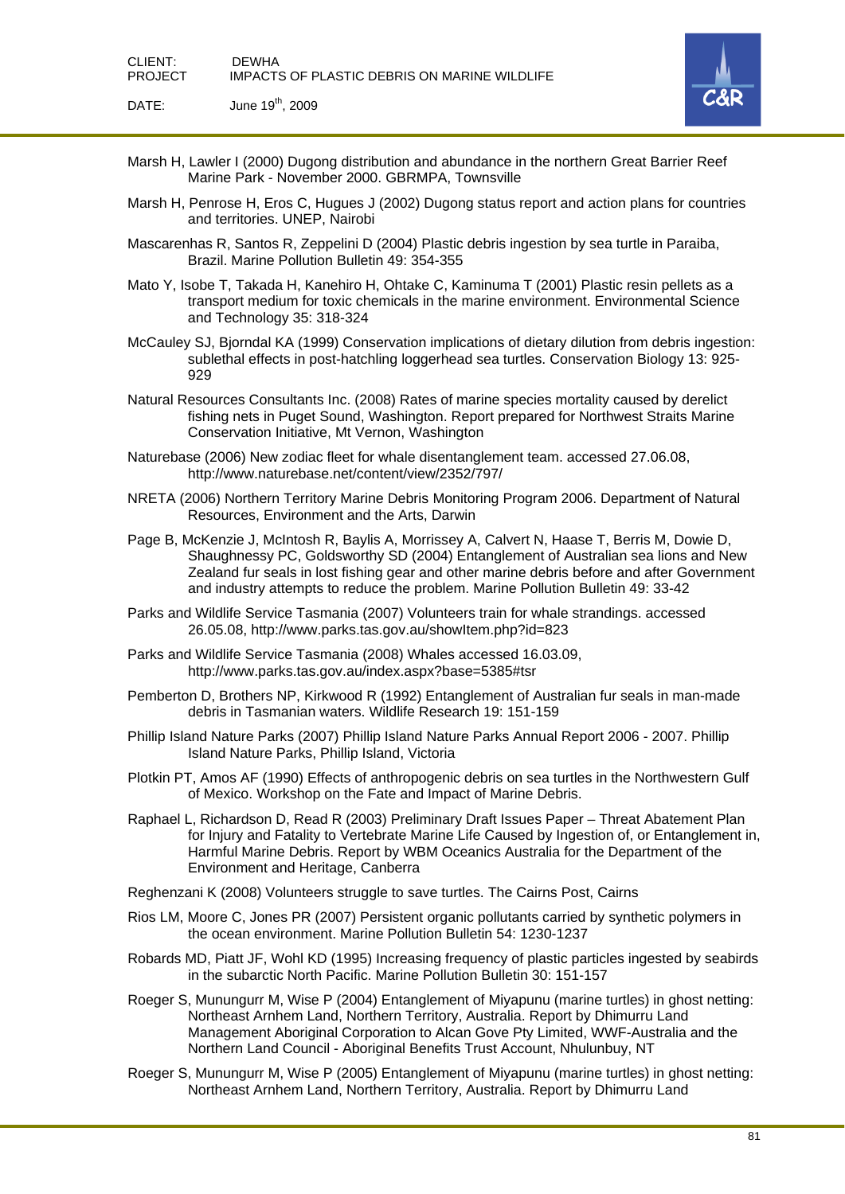

- Marsh H, Lawler I (2000) Dugong distribution and abundance in the northern Great Barrier Reef Marine Park - November 2000. GBRMPA, Townsville
- Marsh H, Penrose H, Eros C, Hugues J (2002) Dugong status report and action plans for countries and territories. UNEP, Nairobi
- Mascarenhas R, Santos R, Zeppelini D (2004) Plastic debris ingestion by sea turtle in Paraiba, Brazil. Marine Pollution Bulletin 49: 354-355
- Mato Y, Isobe T, Takada H, Kanehiro H, Ohtake C, Kaminuma T (2001) Plastic resin pellets as a transport medium for toxic chemicals in the marine environment. Environmental Science and Technology 35: 318-324
- McCauley SJ, Bjorndal KA (1999) Conservation implications of dietary dilution from debris ingestion: sublethal effects in post-hatchling loggerhead sea turtles. Conservation Biology 13: 925- 929
- Natural Resources Consultants Inc. (2008) Rates of marine species mortality caused by derelict fishing nets in Puget Sound, Washington. Report prepared for Northwest Straits Marine Conservation Initiative, Mt Vernon, Washington
- Naturebase (2006) New zodiac fleet for whale disentanglement team. accessed 27.06.08, http://www.naturebase.net/content/view/2352/797/
- NRETA (2006) Northern Territory Marine Debris Monitoring Program 2006. Department of Natural Resources, Environment and the Arts, Darwin
- Page B, McKenzie J, McIntosh R, Baylis A, Morrissey A, Calvert N, Haase T, Berris M, Dowie D, Shaughnessy PC, Goldsworthy SD (2004) Entanglement of Australian sea lions and New Zealand fur seals in lost fishing gear and other marine debris before and after Government and industry attempts to reduce the problem. Marine Pollution Bulletin 49: 33-42
- Parks and Wildlife Service Tasmania (2007) Volunteers train for whale strandings. accessed 26.05.08, http://www.parks.tas.gov.au/showItem.php?id=823
- Parks and Wildlife Service Tasmania (2008) Whales accessed 16.03.09, http://www.parks.tas.gov.au/index.aspx?base=5385#tsr
- Pemberton D, Brothers NP, Kirkwood R (1992) Entanglement of Australian fur seals in man-made debris in Tasmanian waters. Wildlife Research 19: 151-159
- Phillip Island Nature Parks (2007) Phillip Island Nature Parks Annual Report 2006 2007. Phillip Island Nature Parks, Phillip Island, Victoria
- Plotkin PT, Amos AF (1990) Effects of anthropogenic debris on sea turtles in the Northwestern Gulf of Mexico. Workshop on the Fate and Impact of Marine Debris.
- Raphael L, Richardson D, Read R (2003) Preliminary Draft Issues Paper Threat Abatement Plan for Injury and Fatality to Vertebrate Marine Life Caused by Ingestion of, or Entanglement in, Harmful Marine Debris. Report by WBM Oceanics Australia for the Department of the Environment and Heritage, Canberra

Reghenzani K (2008) Volunteers struggle to save turtles. The Cairns Post, Cairns

- Rios LM, Moore C, Jones PR (2007) Persistent organic pollutants carried by synthetic polymers in the ocean environment. Marine Pollution Bulletin 54: 1230-1237
- Robards MD, Piatt JF, Wohl KD (1995) Increasing frequency of plastic particles ingested by seabirds in the subarctic North Pacific. Marine Pollution Bulletin 30: 151-157
- Roeger S, Munungurr M, Wise P (2004) Entanglement of Miyapunu (marine turtles) in ghost netting: Northeast Arnhem Land, Northern Territory, Australia. Report by Dhimurru Land Management Aboriginal Corporation to Alcan Gove Pty Limited, WWF-Australia and the Northern Land Council - Aboriginal Benefits Trust Account, Nhulunbuy, NT
- Roeger S, Munungurr M, Wise P (2005) Entanglement of Miyapunu (marine turtles) in ghost netting: Northeast Arnhem Land, Northern Territory, Australia. Report by Dhimurru Land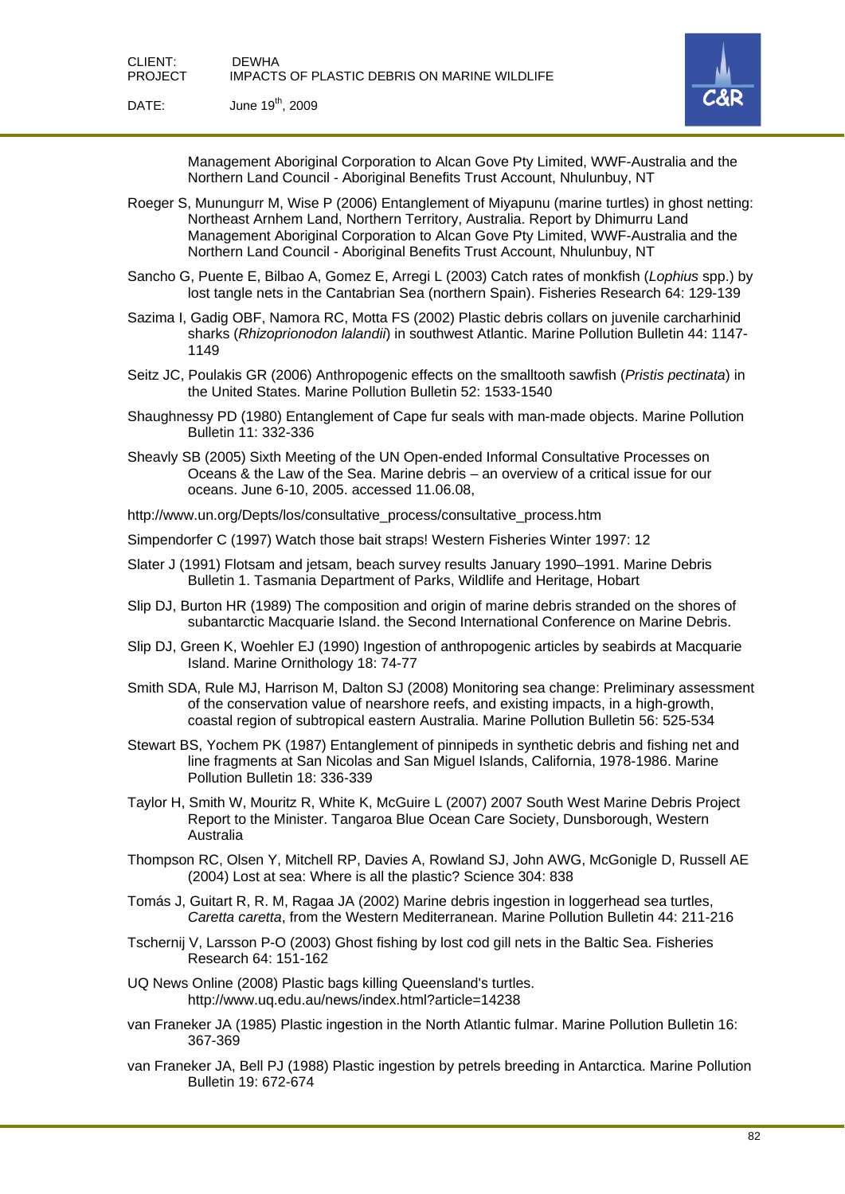

Management Aboriginal Corporation to Alcan Gove Pty Limited, WWF-Australia and the Northern Land Council - Aboriginal Benefits Trust Account, Nhulunbuy, NT

- Roeger S, Munungurr M, Wise P (2006) Entanglement of Miyapunu (marine turtles) in ghost netting: Northeast Arnhem Land, Northern Territory, Australia. Report by Dhimurru Land Management Aboriginal Corporation to Alcan Gove Pty Limited, WWF-Australia and the Northern Land Council - Aboriginal Benefits Trust Account, Nhulunbuy, NT
- Sancho G, Puente E, Bilbao A, Gomez E, Arregi L (2003) Catch rates of monkfish (*Lophius* spp.) by lost tangle nets in the Cantabrian Sea (northern Spain). Fisheries Research 64: 129-139
- Sazima I, Gadig OBF, Namora RC, Motta FS (2002) Plastic debris collars on juvenile carcharhinid sharks (*Rhizoprionodon lalandii*) in southwest Atlantic. Marine Pollution Bulletin 44: 1147- 1149
- Seitz JC, Poulakis GR (2006) Anthropogenic effects on the smalltooth sawfish (*Pristis pectinata*) in the United States. Marine Pollution Bulletin 52: 1533-1540
- Shaughnessy PD (1980) Entanglement of Cape fur seals with man-made objects. Marine Pollution Bulletin 11: 332-336
- Sheavly SB (2005) Sixth Meeting of the UN Open-ended Informal Consultative Processes on Oceans & the Law of the Sea. Marine debris – an overview of a critical issue for our oceans. June 6-10, 2005. accessed 11.06.08,
- http://www.un.org/Depts/los/consultative\_process/consultative\_process.htm
- Simpendorfer C (1997) Watch those bait straps! Western Fisheries Winter 1997: 12
- Slater J (1991) Flotsam and jetsam, beach survey results January 1990–1991. Marine Debris Bulletin 1. Tasmania Department of Parks, Wildlife and Heritage, Hobart
- Slip DJ, Burton HR (1989) The composition and origin of marine debris stranded on the shores of subantarctic Macquarie Island. the Second International Conference on Marine Debris.
- Slip DJ, Green K, Woehler EJ (1990) Ingestion of anthropogenic articles by seabirds at Macquarie Island. Marine Ornithology 18: 74-77
- Smith SDA, Rule MJ, Harrison M, Dalton SJ (2008) Monitoring sea change: Preliminary assessment of the conservation value of nearshore reefs, and existing impacts, in a high-growth, coastal region of subtropical eastern Australia. Marine Pollution Bulletin 56: 525-534
- Stewart BS, Yochem PK (1987) Entanglement of pinnipeds in synthetic debris and fishing net and line fragments at San Nicolas and San Miguel Islands, California, 1978-1986. Marine Pollution Bulletin 18: 336-339
- Taylor H, Smith W, Mouritz R, White K, McGuire L (2007) 2007 South West Marine Debris Project Report to the Minister. Tangaroa Blue Ocean Care Society, Dunsborough, Western Australia
- Thompson RC, Olsen Y, Mitchell RP, Davies A, Rowland SJ, John AWG, McGonigle D, Russell AE (2004) Lost at sea: Where is all the plastic? Science 304: 838
- Tomás J, Guitart R, R. M, Ragaa JA (2002) Marine debris ingestion in loggerhead sea turtles, *Caretta caretta*, from the Western Mediterranean. Marine Pollution Bulletin 44: 211-216
- Tschernij V, Larsson P-O (2003) Ghost fishing by lost cod gill nets in the Baltic Sea. Fisheries Research 64: 151-162
- UQ News Online (2008) Plastic bags killing Queensland's turtles. http://www.uq.edu.au/news/index.html?article=14238
- van Franeker JA (1985) Plastic ingestion in the North Atlantic fulmar. Marine Pollution Bulletin 16: 367-369
- van Franeker JA, Bell PJ (1988) Plastic ingestion by petrels breeding in Antarctica. Marine Pollution Bulletin 19: 672-674